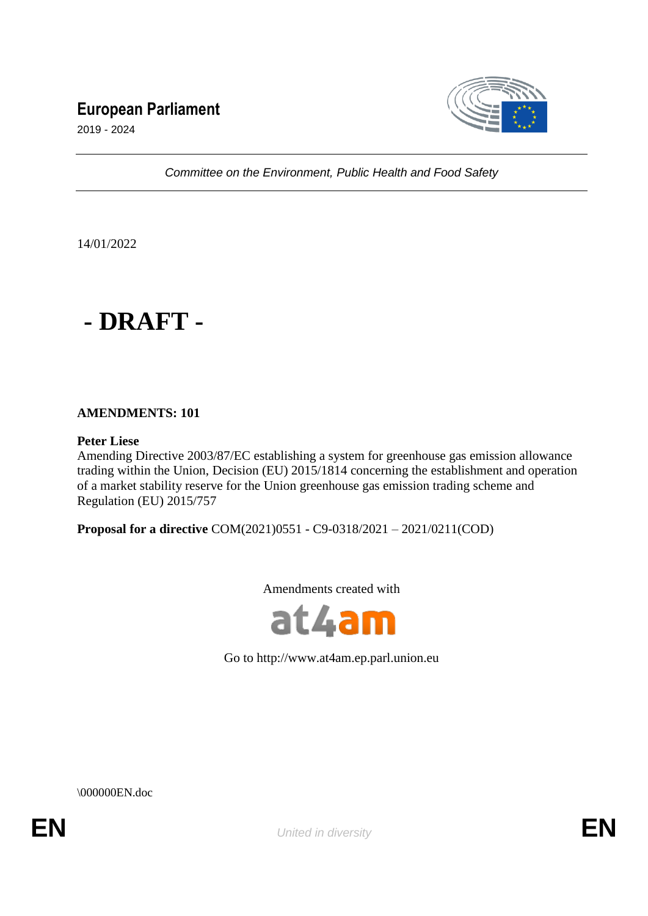# **European Parliament**



2019 - 2024

*Committee on the Environment, Public Health and Food Safety*

14/01/2022



# **AMENDMENTS: 101**

# **Peter Liese**

Amending Directive 2003/87/EC establishing a system for greenhouse gas emission allowance trading within the Union, Decision (EU) 2015/1814 concerning the establishment and operation of a market stability reserve for the Union greenhouse gas emission trading scheme and Regulation (EU) 2015/757

**Proposal for a directive** COM(2021)0551 - C9-0318/2021 – 2021/0211(COD)

Amendments created with



Go to http://www.at4am.ep.parl.union.eu

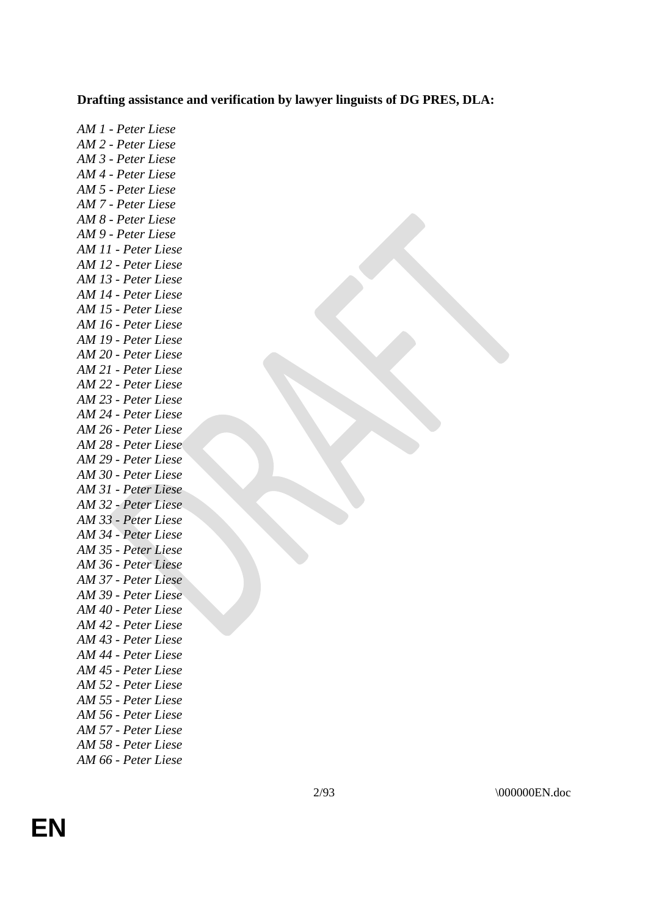# **Drafting assistance and verification by lawyer linguists of DG PRES, DLA:**

*AM 1 - Peter Liese AM 2 - Peter Liese AM 3 - Peter Liese AM 4 - Peter Liese AM 5 - Peter Liese AM 7 - Peter Liese AM 8 - Peter Liese AM 9 - Peter Liese AM 11 - Peter Liese AM 12 - Peter Liese AM 13 - Peter Liese AM 14 - Peter Liese AM 15 - Peter Liese AM 16 - Peter Liese AM 19 - Peter Liese AM 20 - Peter Liese AM 21 - Peter Liese AM 22 - Peter Liese AM 23 - Peter Liese AM 24 - Peter Liese AM 26 - Peter Liese AM 28 - Peter Liese AM 29 - Peter Liese AM 30 - Peter Liese AM 31 - Peter Liese AM 32 - Peter Liese AM 33 - Peter Liese AM 34 - Peter Liese AM 35 - Peter Liese AM 36 - Peter Liese AM 37 - Peter Liese AM 39 - Peter Liese AM 40 - Peter Liese AM 42 - Peter Liese AM 43 - Peter Liese AM 44 - Peter Liese AM 45 - Peter Liese AM 52 - Peter Liese AM 55 - Peter Liese AM 56 - Peter Liese AM 57 - Peter Liese AM 58 - Peter Liese*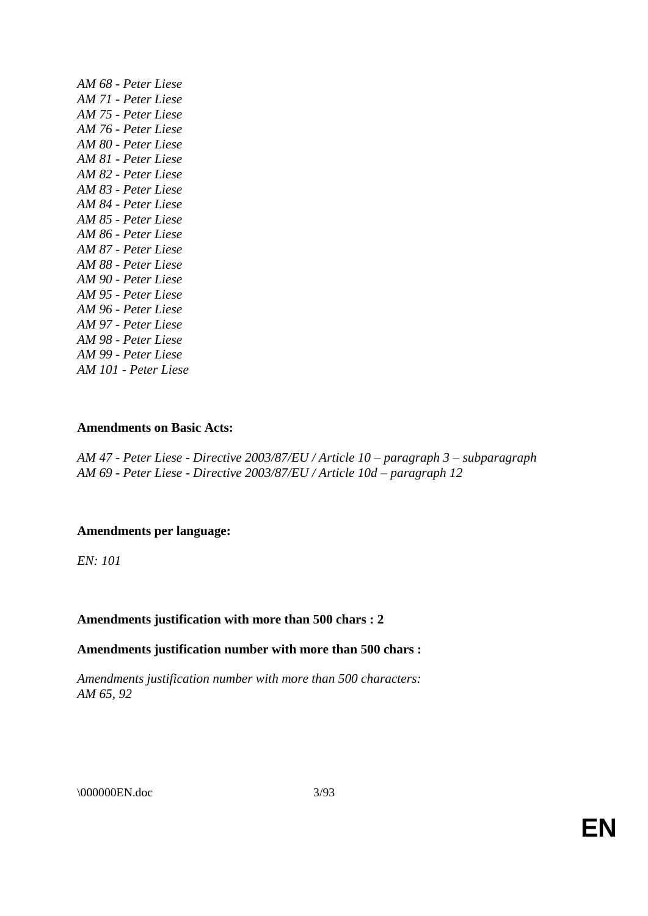| AM 68 - Peter Liese  |
|----------------------|
| AM 71 - Peter Liese  |
| AM 75 - Peter Liese  |
| AM 76 - Peter Liese  |
| AM 80 - Peter Liese  |
| AM 81 - Peter Liese  |
| AM 82 - Peter Liese  |
| AM 83 - Peter Liese  |
| AM 84 - Peter Liese  |
| AM 85 - Peter Liese  |
| AM 86 - Peter Liese  |
| AM 87 - Peter Liese  |
| AM 88 - Peter Liese  |
| AM 90 - Peter Liese  |
| AM 95 - Peter Liese  |
| AM 96 - Peter Liese  |
| AM 97 - Peter Liese  |
| AM 98 - Peter Liese  |
| AM 99 - Peter Liese  |
| AM 101 - Peter Liese |

# **Amendments on Basic Acts:**

*AM 47 - Peter Liese - Directive 2003/87/EU / Article 10 – paragraph 3 – subparagraph AM 69 - Peter Liese - Directive 2003/87/EU / Article 10d – paragraph 12*

# **Amendments per language:**

*EN: 101*

# **Amendments justification with more than 500 chars : 2**

# **Amendments justification number with more than 500 chars :**

*Amendments justification number with more than 500 characters: AM 65, 92* 

\\ 000000EN.doc 3/93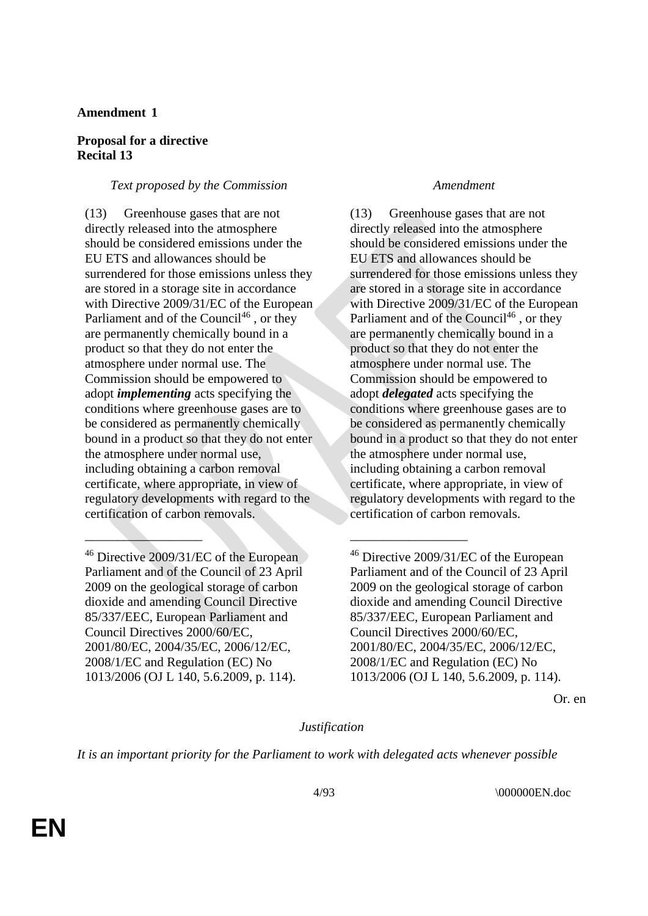# **Amendment 1**

# **Proposal for a directive Recital 13**

# *Text proposed by the Commission Amendment*

(13) Greenhouse gases that are not directly released into the atmosphere should be considered emissions under the EU ETS and allowances should be surrendered for those emissions unless they are stored in a storage site in accordance with Directive 2009/31/EC of the European Parliament and of the Council<sup>46</sup>, or they are permanently chemically bound in a product so that they do not enter the atmosphere under normal use. The Commission should be empowered to adopt *implementing* acts specifying the conditions where greenhouse gases are to be considered as permanently chemically bound in a product so that they do not enter the atmosphere under normal use, including obtaining a carbon removal certificate, where appropriate, in view of regulatory developments with regard to the certification of carbon removals.

(13) Greenhouse gases that are not directly released into the atmosphere should be considered emissions under the EU ETS and allowances should be surrendered for those emissions unless they are stored in a storage site in accordance with Directive 2009/31/EC of the European Parliament and of the Council<sup>46</sup>, or they are permanently chemically bound in a product so that they do not enter the atmosphere under normal use. The Commission should be empowered to adopt *delegated* acts specifying the conditions where greenhouse gases are to be considered as permanently chemically bound in a product so that they do not enter the atmosphere under normal use, including obtaining a carbon removal certificate, where appropriate, in view of regulatory developments with regard to the certification of carbon removals.

Or. en

# *Justification*

*It is an important priority for the Parliament to work with delegated acts whenever possible* 

 $\_\_\_\_\_\_\_\_\_\_\_\_$ 

<sup>46</sup> Directive 2009/31/EC of the European Parliament and of the Council of 23 April 2009 on the geological storage of carbon dioxide and amending Council Directive 85/337/EEC, European Parliament and Council Directives 2000/60/EC, 2001/80/EC, 2004/35/EC, 2006/12/EC, 2008/1/EC and Regulation (EC) No 1013/2006 (OJ L 140, 5.6.2009, p. 114).

<sup>&</sup>lt;sup>46</sup> Directive 2009/31/EC of the European Parliament and of the Council of 23 April 2009 on the geological storage of carbon dioxide and amending Council Directive 85/337/EEC, European Parliament and Council Directives 2000/60/EC, 2001/80/EC, 2004/35/EC, 2006/12/EC, 2008/1/EC and Regulation (EC) No 1013/2006 (OJ L 140, 5.6.2009, p. 114).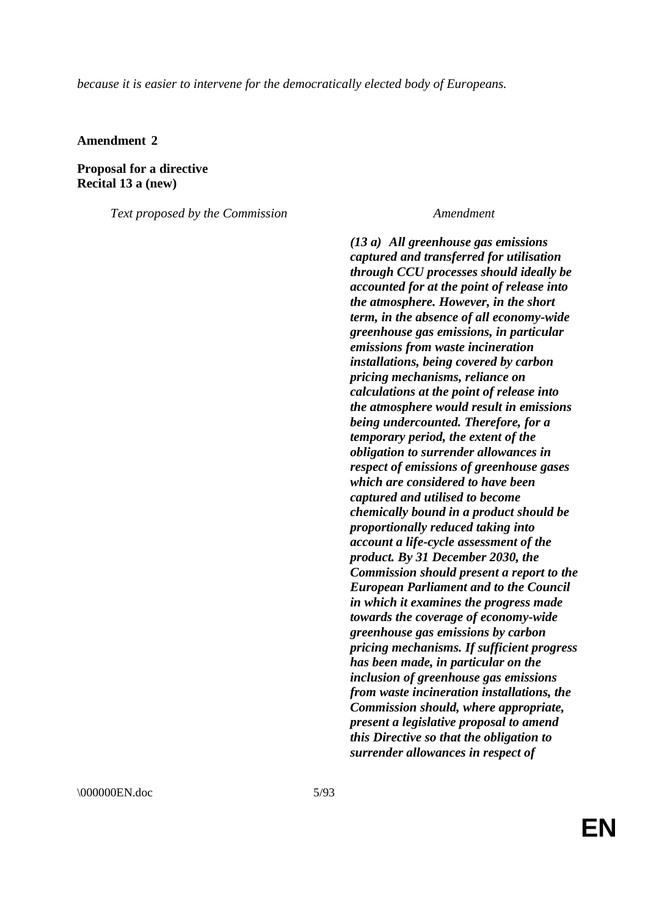*because it is easier to intervene for the democratically elected body of Europeans.*

**Amendment 2**

**Proposal for a directive Recital 13 a (new)**

*Text proposed by the Commission Amendment*

*(13 a) All greenhouse gas emissions captured and transferred for utilisation through CCU processes should ideally be accounted for at the point of release into the atmosphere. However, in the short term, in the absence of all economy-wide greenhouse gas emissions, in particular emissions from waste incineration installations, being covered by carbon pricing mechanisms, reliance on calculations at the point of release into the atmosphere would result in emissions being undercounted. Therefore, for a temporary period, the extent of the obligation to surrender allowances in respect of emissions of greenhouse gases which are considered to have been captured and utilised to become chemically bound in a product should be proportionally reduced taking into account a life-cycle assessment of the product. By 31 December 2030, the Commission should present a report to the European Parliament and to the Council in which it examines the progress made towards the coverage of economy-wide greenhouse gas emissions by carbon pricing mechanisms. If sufficient progress has been made, in particular on the inclusion of greenhouse gas emissions from waste incineration installations, the Commission should, where appropriate, present a legislative proposal to amend this Directive so that the obligation to surrender allowances in respect of*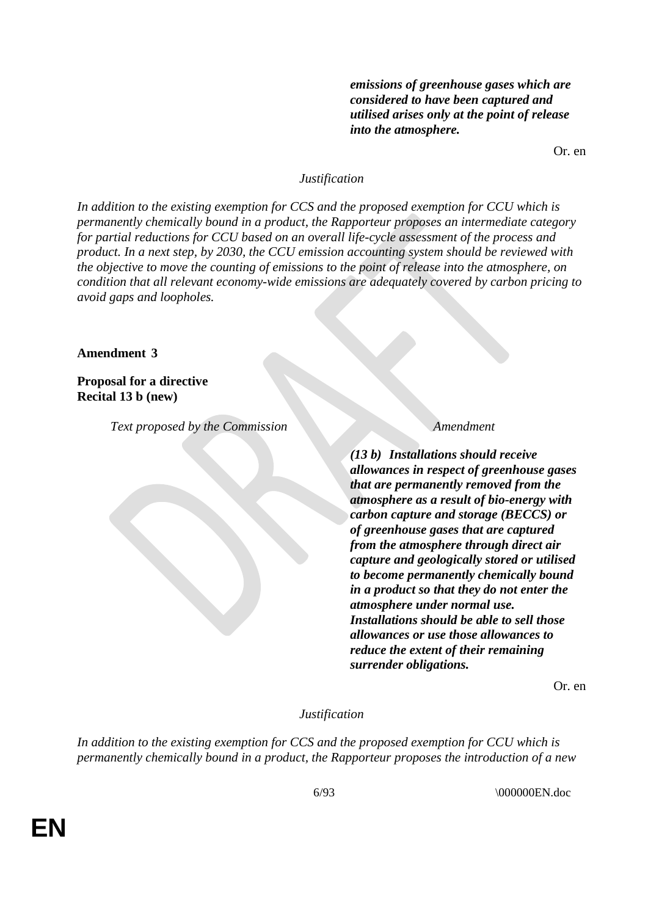*emissions of greenhouse gases which are considered to have been captured and utilised arises only at the point of release into the atmosphere.*

Or. en

### *Justification*

*In addition to the existing exemption for CCS and the proposed exemption for CCU which is permanently chemically bound in a product, the Rapporteur proposes an intermediate category for partial reductions for CCU based on an overall life-cycle assessment of the process and product. In a next step, by 2030, the CCU emission accounting system should be reviewed with the objective to move the counting of emissions to the point of release into the atmosphere, on condition that all relevant economy-wide emissions are adequately covered by carbon pricing to avoid gaps and loopholes.*

#### **Amendment 3**

# **Proposal for a directive Recital 13 b (new)**

*Text proposed by the Commission Amendment*

*(13 b) Installations should receive allowances in respect of greenhouse gases that are permanently removed from the atmosphere as a result of bio-energy with carbon capture and storage (BECCS) or of greenhouse gases that are captured from the atmosphere through direct air capture and geologically stored or utilised to become permanently chemically bound in a product so that they do not enter the atmosphere under normal use. Installations should be able to sell those allowances or use those allowances to reduce the extent of their remaining surrender obligations.*

Or. en

# *Justification*

*In addition to the existing exemption for CCS and the proposed exemption for CCU which is permanently chemically bound in a product, the Rapporteur proposes the introduction of a new*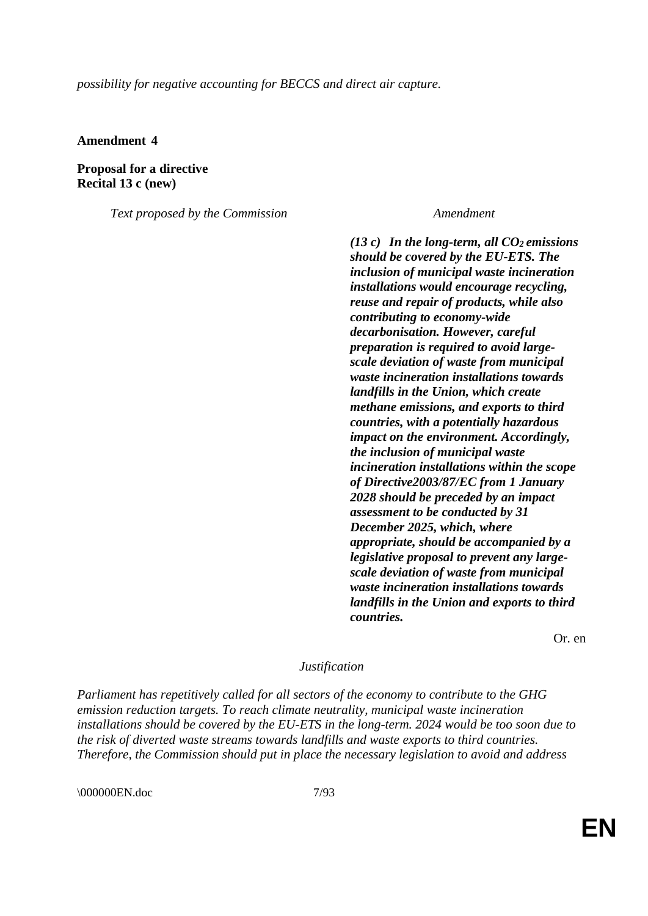*possibility for negative accounting for BECCS and direct air capture.*

**Amendment 4**

**Proposal for a directive Recital 13 c (new)**

*Text proposed by the Commission Amendment*

*(13 c) In the long-term, all CO<sup>2</sup> emissions should be covered by the EU-ETS. The inclusion of municipal waste incineration installations would encourage recycling, reuse and repair of products, while also contributing to economy-wide decarbonisation. However, careful preparation is required to avoid largescale deviation of waste from municipal waste incineration installations towards landfills in the Union, which create methane emissions, and exports to third countries, with a potentially hazardous impact on the environment. Accordingly, the inclusion of municipal waste incineration installations within the scope of Directive2003/87/EC from 1 January 2028 should be preceded by an impact assessment to be conducted by 31 December 2025, which, where appropriate, should be accompanied by a legislative proposal to prevent any largescale deviation of waste from municipal waste incineration installations towards landfills in the Union and exports to third countries.*

Or. en

## *Justification*

*Parliament has repetitively called for all sectors of the economy to contribute to the GHG emission reduction targets. To reach climate neutrality, municipal waste incineration installations should be covered by the EU-ETS in the long-term. 2024 would be too soon due to the risk of diverted waste streams towards landfills and waste exports to third countries. Therefore, the Commission should put in place the necessary legislation to avoid and address* 

\000000EN.doc 7/93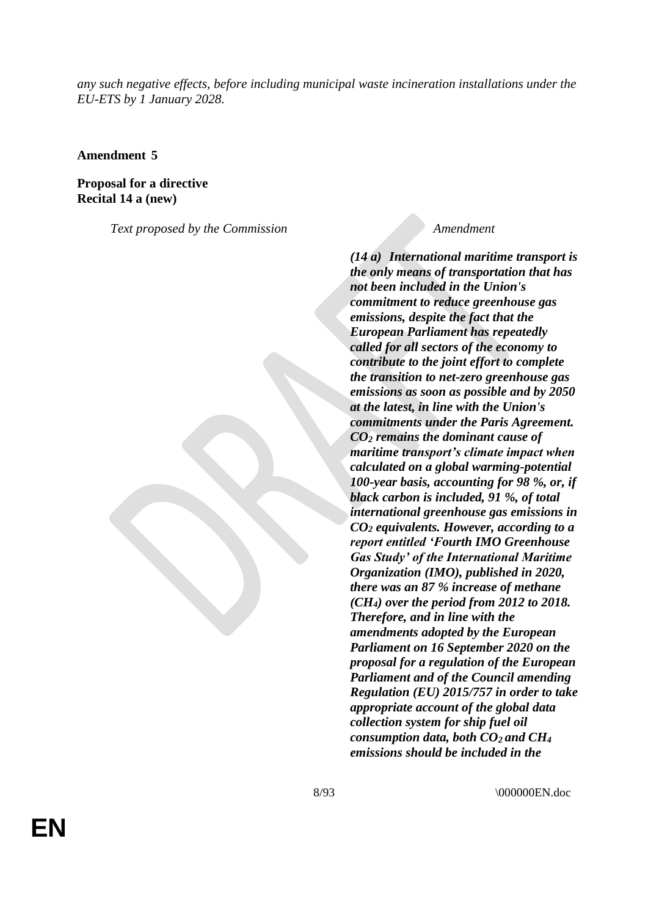*any such negative effects, before including municipal waste incineration installations under the EU-ETS by 1 January 2028.*

**Amendment 5**

**Proposal for a directive Recital 14 a (new)**

*Text proposed by the Commission Amendment*

*(14 a) International maritime transport is the only means of transportation that has not been included in the Union's commitment to reduce greenhouse gas emissions, despite the fact that the European Parliament has repeatedly called for all sectors of the economy to contribute to the joint effort to complete the transition to net-zero greenhouse gas emissions as soon as possible and by 2050 at the latest, in line with the Union's commitments under the Paris Agreement. CO<sup>2</sup> remains the dominant cause of maritime transport's climate impact when calculated on a global warming-potential 100-year basis, accounting for 98 %, or, if black carbon is included, 91 %, of total international greenhouse gas emissions in CO<sup>2</sup> equivalents. However, according to a report entitled 'Fourth IMO Greenhouse Gas Study' of the International Maritime Organization (IMO), published in 2020, there was an 87 % increase of methane (CH4) over the period from 2012 to 2018. Therefore, and in line with the amendments adopted by the European Parliament on 16 September 2020 on the proposal for a regulation of the European Parliament and of the Council amending Regulation (EU) 2015/757 in order to take appropriate account of the global data collection system for ship fuel oil consumption data, both CO<sup>2</sup> and CH<sup>4</sup> emissions should be included in the* 

8/93 \000000EN.doc

**EN**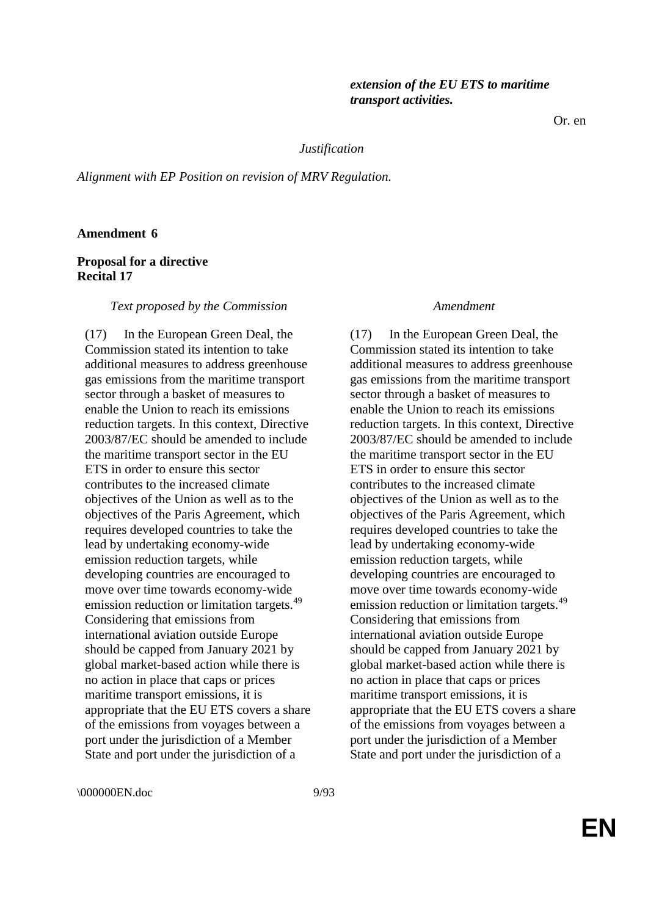Or. en

#### *Justification*

*Alignment with EP Position on revision of MRV Regulation.*

# **Amendment 6**

### **Proposal for a directive Recital 17**

#### *Text proposed by the Commission Amendment*

(17) In the European Green Deal, the Commission stated its intention to take additional measures to address greenhouse gas emissions from the maritime transport sector through a basket of measures to enable the Union to reach its emissions reduction targets. In this context, Directive 2003/87/EC should be amended to include the maritime transport sector in the EU ETS in order to ensure this sector contributes to the increased climate objectives of the Union as well as to the objectives of the Paris Agreement, which requires developed countries to take the lead by undertaking economy-wide emission reduction targets, while developing countries are encouraged to move over time towards economy-wide emission reduction or limitation targets.<sup>49</sup> Considering that emissions from international aviation outside Europe should be capped from January 2021 by global market-based action while there is no action in place that caps or prices maritime transport emissions, it is appropriate that the EU ETS covers a share of the emissions from voyages between a port under the jurisdiction of a Member State and port under the jurisdiction of a

(17) In the European Green Deal, the Commission stated its intention to take additional measures to address greenhouse gas emissions from the maritime transport sector through a basket of measures to enable the Union to reach its emissions reduction targets. In this context, Directive 2003/87/EC should be amended to include the maritime transport sector in the EU ETS in order to ensure this sector contributes to the increased climate objectives of the Union as well as to the objectives of the Paris Agreement, which requires developed countries to take the lead by undertaking economy-wide emission reduction targets, while developing countries are encouraged to move over time towards economy-wide emission reduction or limitation targets.<sup>49</sup> Considering that emissions from international aviation outside Europe should be capped from January 2021 by global market-based action while there is no action in place that caps or prices maritime transport emissions, it is appropriate that the EU ETS covers a share of the emissions from voyages between a port under the jurisdiction of a Member State and port under the jurisdiction of a

\000000EN.doc 9/93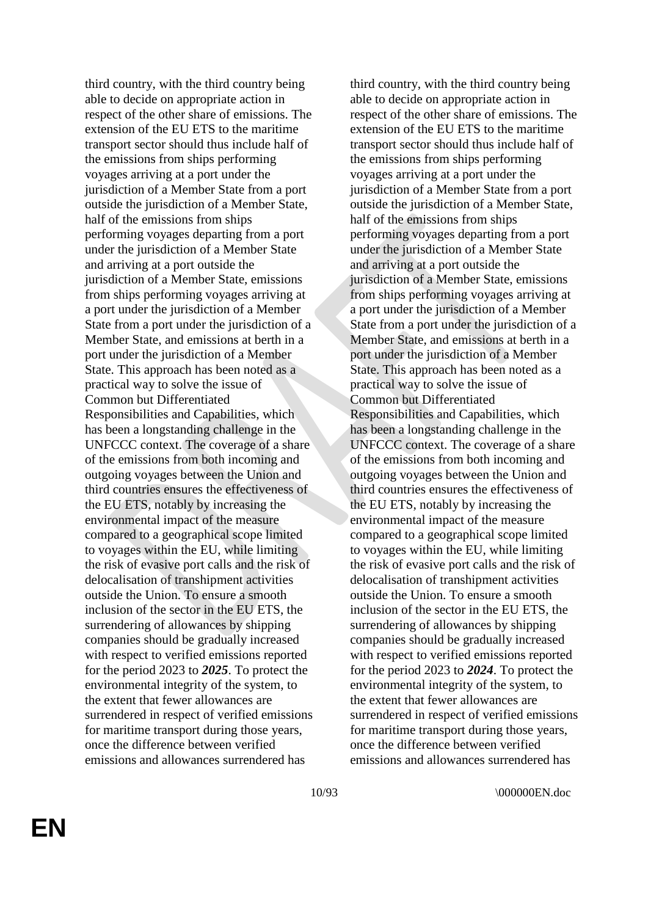third country, with the third country being able to decide on appropriate action in respect of the other share of emissions. The extension of the EU ETS to the maritime transport sector should thus include half of the emissions from ships performing voyages arriving at a port under the jurisdiction of a Member State from a port outside the jurisdiction of a Member State, half of the emissions from ships performing voyages departing from a port under the jurisdiction of a Member State and arriving at a port outside the jurisdiction of a Member State, emissions from ships performing voyages arriving at a port under the jurisdiction of a Member State from a port under the jurisdiction of a Member State, and emissions at berth in a port under the jurisdiction of a Member State. This approach has been noted as a practical way to solve the issue of Common but Differentiated Responsibilities and Capabilities, which has been a longstanding challenge in the UNFCCC context. The coverage of a share of the emissions from both incoming and outgoing voyages between the Union and third countries ensures the effectiveness of the EU ETS, notably by increasing the environmental impact of the measure compared to a geographical scope limited to voyages within the EU, while limiting the risk of evasive port calls and the risk of delocalisation of transhipment activities outside the Union. To ensure a smooth inclusion of the sector in the EU ETS, the surrendering of allowances by shipping companies should be gradually increased with respect to verified emissions reported for the period 2023 to *2025*. To protect the environmental integrity of the system, to the extent that fewer allowances are surrendered in respect of verified emissions for maritime transport during those years, once the difference between verified emissions and allowances surrendered has

third country, with the third country being able to decide on appropriate action in respect of the other share of emissions. The extension of the EU ETS to the maritime transport sector should thus include half of the emissions from ships performing voyages arriving at a port under the jurisdiction of a Member State from a port outside the jurisdiction of a Member State, half of the emissions from ships performing voyages departing from a port under the jurisdiction of a Member State and arriving at a port outside the jurisdiction of a Member State, emissions from ships performing voyages arriving at a port under the jurisdiction of a Member State from a port under the jurisdiction of a Member State, and emissions at berth in a port under the jurisdiction of a Member State. This approach has been noted as a practical way to solve the issue of Common but Differentiated Responsibilities and Capabilities, which has been a longstanding challenge in the UNFCCC context. The coverage of a share of the emissions from both incoming and outgoing voyages between the Union and third countries ensures the effectiveness of the EU ETS, notably by increasing the environmental impact of the measure compared to a geographical scope limited to voyages within the EU, while limiting the risk of evasive port calls and the risk of delocalisation of transhipment activities outside the Union. To ensure a smooth inclusion of the sector in the EU ETS, the surrendering of allowances by shipping companies should be gradually increased with respect to verified emissions reported for the period 2023 to *2024*. To protect the environmental integrity of the system, to the extent that fewer allowances are surrendered in respect of verified emissions for maritime transport during those years, once the difference between verified emissions and allowances surrendered has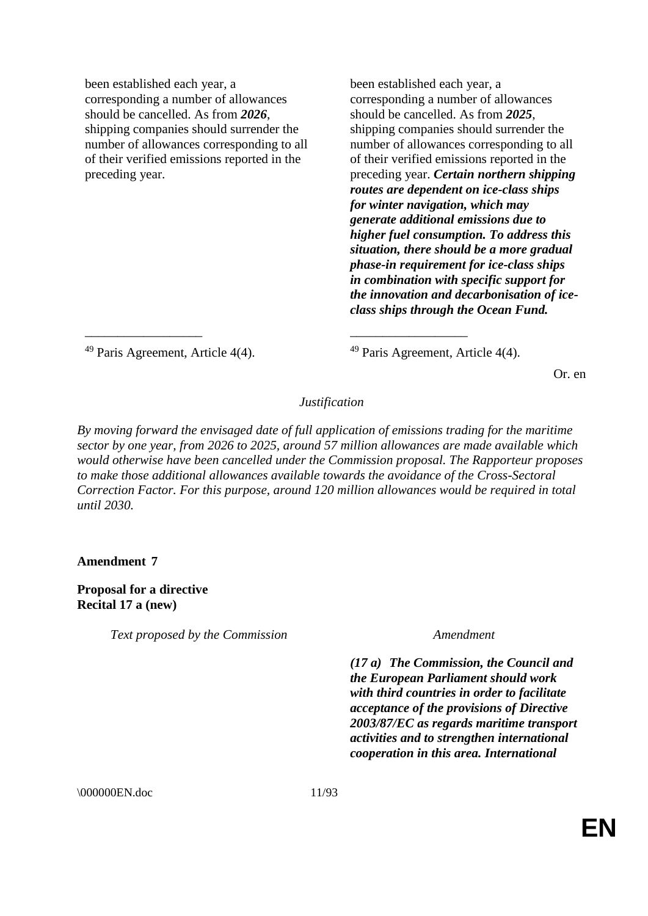been established each year, a corresponding a number of allowances should be cancelled. As from *2026*, shipping companies should surrender the number of allowances corresponding to all of their verified emissions reported in the preceding year.

been established each year, a corresponding a number of allowances should be cancelled. As from *2025*, shipping companies should surrender the number of allowances corresponding to all of their verified emissions reported in the preceding year. *Certain northern shipping routes are dependent on ice-class ships for winter navigation, which may generate additional emissions due to higher fuel consumption. To address this situation, there should be a more gradual phase-in requirement for ice-class ships in combination with specific support for the innovation and decarbonisation of iceclass ships through the Ocean Fund.* 

<sup>49</sup> Paris Agreement, Article 4(4).  $^{49}$  Paris Agreement, Article 4(4).

Or. en

# *Justification*

\_\_\_\_\_\_\_\_\_\_\_\_\_\_\_\_\_\_ \_\_\_\_\_\_\_\_\_\_\_\_\_\_\_\_\_\_

*By moving forward the envisaged date of full application of emissions trading for the maritime sector by one year, from 2026 to 2025, around 57 million allowances are made available which would otherwise have been cancelled under the Commission proposal. The Rapporteur proposes to make those additional allowances available towards the avoidance of the Cross-Sectoral Correction Factor. For this purpose, around 120 million allowances would be required in total until 2030.*

**Amendment 7**

**Proposal for a directive Recital 17 a (new)**

*Text proposed by the Commission Amendment*

*(17 a) The Commission, the Council and the European Parliament should work with third countries in order to facilitate acceptance of the provisions of Directive 2003/87/EC as regards maritime transport activities and to strengthen international cooperation in this area. International* 

\000000EN.doc 11/93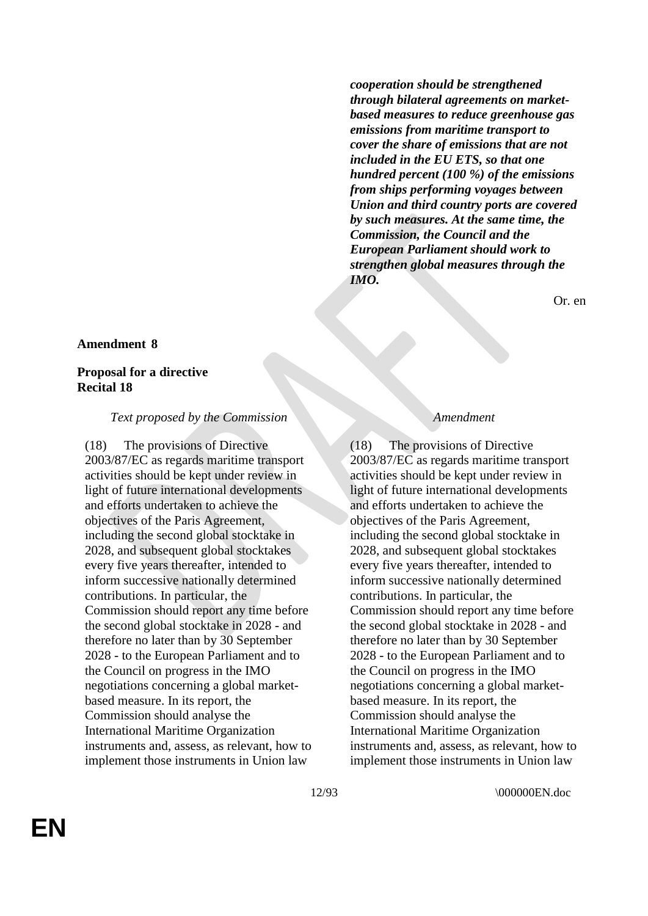*cooperation should be strengthened through bilateral agreements on marketbased measures to reduce greenhouse gas emissions from maritime transport to cover the share of emissions that are not included in the EU ETS, so that one hundred percent (100 %) of the emissions from ships performing voyages between Union and third country ports are covered by such measures. At the same time, the Commission, the Council and the European Parliament should work to strengthen global measures through the IMO.*

Or. en

#### **Amendment 8**

# **Proposal for a directive Recital 18**

#### *Text proposed by the Commission Amendment*

(18) The provisions of Directive 2003/87/EC as regards maritime transport activities should be kept under review in light of future international developments and efforts undertaken to achieve the objectives of the Paris Agreement, including the second global stocktake in 2028, and subsequent global stocktakes every five years thereafter, intended to inform successive nationally determined contributions. In particular, the Commission should report any time before the second global stocktake in 2028 - and therefore no later than by 30 September 2028 - to the European Parliament and to the Council on progress in the IMO negotiations concerning a global marketbased measure. In its report, the Commission should analyse the International Maritime Organization instruments and, assess, as relevant, how to implement those instruments in Union law

(18) The provisions of Directive 2003/87/EC as regards maritime transport activities should be kept under review in light of future international developments and efforts undertaken to achieve the objectives of the Paris Agreement, including the second global stocktake in 2028, and subsequent global stocktakes every five years thereafter, intended to inform successive nationally determined contributions. In particular, the Commission should report any time before the second global stocktake in 2028 - and therefore no later than by 30 September 2028 - to the European Parliament and to the Council on progress in the IMO negotiations concerning a global marketbased measure. In its report, the Commission should analyse the International Maritime Organization instruments and, assess, as relevant, how to implement those instruments in Union law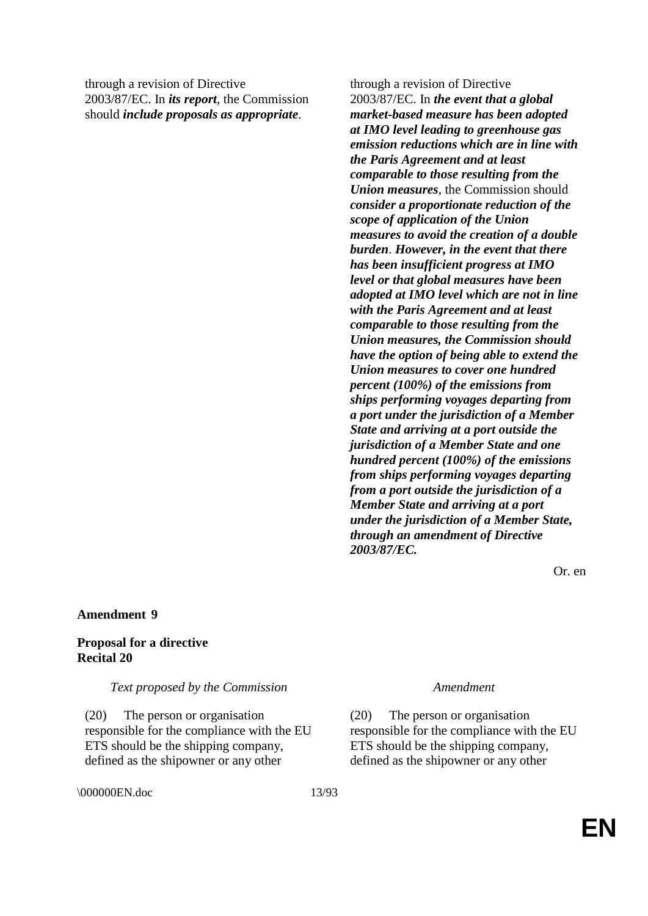through a revision of Directive 2003/87/EC. In *its report*, the Commission should *include proposals as appropriate*.

> *emission reductions which are in line with the Paris Agreement and at least comparable to those resulting from the Union measures*, the Commission should *consider a proportionate reduction of the scope of application of the Union measures to avoid the creation of a double burden*. *However, in the event that there has been insufficient progress at IMO level or that global measures have been adopted at IMO level which are not in line with the Paris Agreement and at least comparable to those resulting from the*

through a revision of Directive

2003/87/EC. In *the event that a global market-based measure has been adopted at IMO level leading to greenhouse gas* 

*Union measures, the Commission should have the option of being able to extend the Union measures to cover one hundred percent (100%) of the emissions from ships performing voyages departing from a port under the jurisdiction of a Member State and arriving at a port outside the jurisdiction of a Member State and one hundred percent (100%) of the emissions from ships performing voyages departing from a port outside the jurisdiction of a Member State and arriving at a port under the jurisdiction of a Member State, through an amendment of Directive 2003/87/EC.*

Or. en

### **Amendment 9**

# **Proposal for a directive Recital 20**

### *Text proposed by the Commission Amendment*

(20) The person or organisation responsible for the compliance with the EU ETS should be the shipping company, defined as the shipowner or any other

\000000EN.doc 13/93

(20) The person or organisation responsible for the compliance with the EU ETS should be the shipping company, defined as the shipowner or any other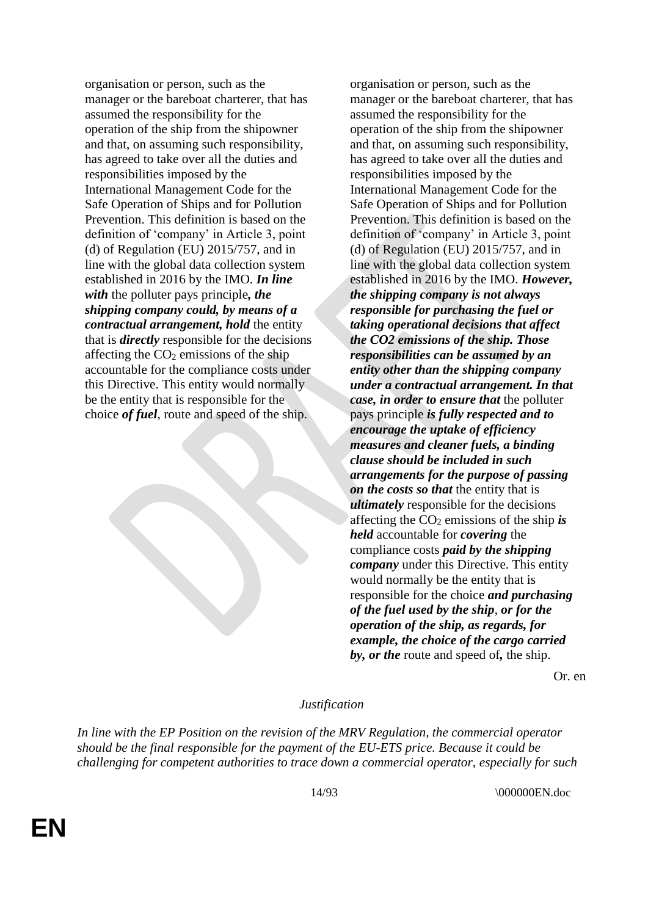organisation or person, such as the manager or the bareboat charterer, that has assumed the responsibility for the operation of the ship from the shipowner and that, on assuming such responsibility, has agreed to take over all the duties and responsibilities imposed by the International Management Code for the Safe Operation of Ships and for Pollution Prevention. This definition is based on the definition of 'company' in Article 3, point (d) of Regulation (EU) 2015/757, and in line with the global data collection system established in 2016 by the IMO. *In line with* the polluter pays principle*, the shipping company could, by means of a contractual arrangement, hold* the entity that is *directly* responsible for the decisions affecting the  $CO<sub>2</sub>$  emissions of the ship accountable for the compliance costs under this Directive. This entity would normally be the entity that is responsible for the choice *of fuel*, route and speed of the ship.

organisation or person, such as the manager or the bareboat charterer, that has assumed the responsibility for the operation of the ship from the shipowner and that, on assuming such responsibility, has agreed to take over all the duties and responsibilities imposed by the International Management Code for the Safe Operation of Ships and for Pollution Prevention. This definition is based on the definition of 'company' in Article 3, point (d) of Regulation (EU) 2015/757, and in line with the global data collection system established in 2016 by the IMO. *However, the shipping company is not always responsible for purchasing the fuel or taking operational decisions that affect the CO2 emissions of the ship. Those responsibilities can be assumed by an entity other than the shipping company under a contractual arrangement. In that case, in order to ensure that* the polluter pays principle *is fully respected and to encourage the uptake of efficiency measures and cleaner fuels, a binding clause should be included in such arrangements for the purpose of passing on the costs so that* the entity that is *ultimately* responsible for the decisions affecting the  $CO<sub>2</sub>$  emissions of the ship *is held* accountable for *covering* the compliance costs *paid by the shipping company* under this Directive. This entity would normally be the entity that is responsible for the choice *and purchasing of the fuel used by the ship*, *or for the operation of the ship, as regards, for example, the choice of the cargo carried by, or the* route and speed of*,* the ship.

Or. en

### *Justification*

*In line with the EP Position on the revision of the MRV Regulation, the commercial operator should be the final responsible for the payment of the EU-ETS price. Because it could be challenging for competent authorities to trace down a commercial operator, especially for such*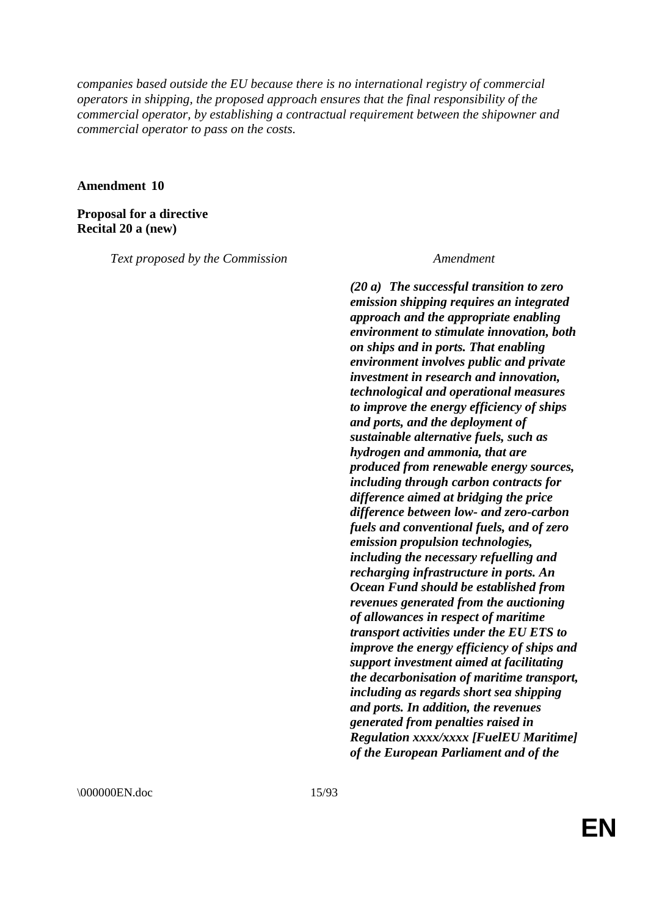*companies based outside the EU because there is no international registry of commercial operators in shipping, the proposed approach ensures that the final responsibility of the commercial operator, by establishing a contractual requirement between the shipowner and commercial operator to pass on the costs.*

**Amendment 10**

**Proposal for a directive Recital 20 a (new)**

*Text proposed by the Commission Amendment*

*(20 a) The successful transition to zero emission shipping requires an integrated approach and the appropriate enabling environment to stimulate innovation, both on ships and in ports. That enabling environment involves public and private investment in research and innovation, technological and operational measures to improve the energy efficiency of ships and ports, and the deployment of sustainable alternative fuels, such as hydrogen and ammonia, that are produced from renewable energy sources, including through carbon contracts for difference aimed at bridging the price difference between low- and zero-carbon fuels and conventional fuels, and of zero emission propulsion technologies, including the necessary refuelling and recharging infrastructure in ports. An Ocean Fund should be established from revenues generated from the auctioning of allowances in respect of maritime transport activities under the EU ETS to improve the energy efficiency of ships and support investment aimed at facilitating the decarbonisation of maritime transport, including as regards short sea shipping and ports. In addition, the revenues generated from penalties raised in Regulation xxxx/xxxx [FuelEU Maritime] of the European Parliament and of the* 

\000000EN.doc 15/93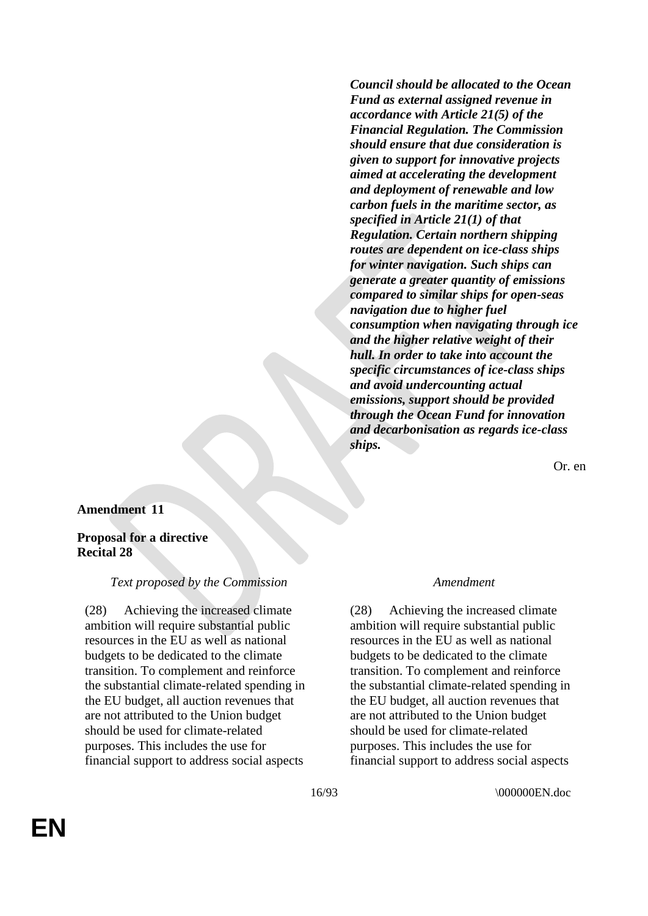*Council should be allocated to the Ocean Fund as external assigned revenue in accordance with Article 21(5) of the Financial Regulation. The Commission should ensure that due consideration is given to support for innovative projects aimed at accelerating the development and deployment of renewable and low carbon fuels in the maritime sector, as specified in Article 21(1) of that Regulation. Certain northern shipping routes are dependent on ice-class ships for winter navigation. Such ships can generate a greater quantity of emissions compared to similar ships for open-seas navigation due to higher fuel consumption when navigating through ice and the higher relative weight of their hull. In order to take into account the specific circumstances of ice-class ships and avoid undercounting actual emissions, support should be provided through the Ocean Fund for innovation and decarbonisation as regards ice-class ships.*

Or. en

# **Amendment 11**

# **Proposal for a directive Recital 28**

### *Text proposed by the Commission Amendment*

(28) Achieving the increased climate ambition will require substantial public resources in the EU as well as national budgets to be dedicated to the climate transition. To complement and reinforce the substantial climate-related spending in the EU budget, all auction revenues that are not attributed to the Union budget should be used for climate-related purposes. This includes the use for financial support to address social aspects

(28) Achieving the increased climate ambition will require substantial public resources in the EU as well as national budgets to be dedicated to the climate transition. To complement and reinforce the substantial climate-related spending in the EU budget, all auction revenues that are not attributed to the Union budget should be used for climate-related purposes. This includes the use for financial support to address social aspects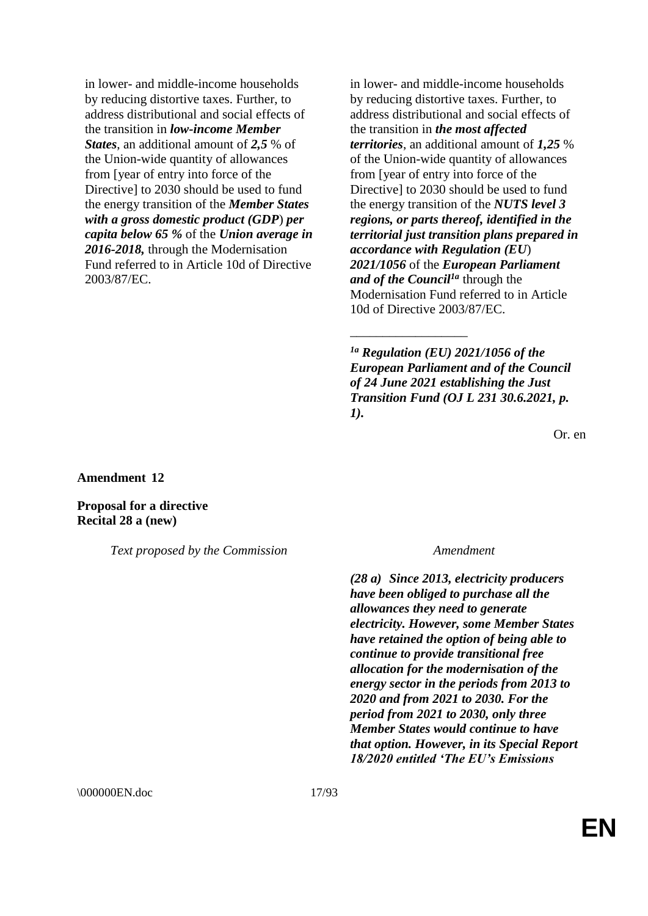in lower- and middle-income households by reducing distortive taxes. Further, to address distributional and social effects of the transition in *low-income Member States*, an additional amount of *2,5* % of the Union-wide quantity of allowances from [year of entry into force of the Directive] to 2030 should be used to fund the energy transition of the *Member States with a gross domestic product (GDP*) *per capita below 65 %* of the *Union average in 2016-2018,* through the Modernisation Fund referred to in Article 10d of Directive 2003/87/EC.

in lower- and middle-income households by reducing distortive taxes. Further, to address distributional and social effects of the transition in *the most affected territories*, an additional amount of *1,25* % of the Union-wide quantity of allowances from [year of entry into force of the Directive] to 2030 should be used to fund the energy transition of the *NUTS level 3 regions, or parts thereof, identified in the territorial just transition plans prepared in accordance with Regulation (EU*) *2021/1056* of the *European Parliament and of the Council1a* through the Modernisation Fund referred to in Article 10d of Directive 2003/87/EC.

*1a Regulation (EU) 2021/1056 of the European Parliament and of the Council of 24 June 2021 establishing the Just Transition Fund (OJ L 231 30.6.2021, p. 1).*

\_\_\_\_\_\_\_\_\_\_\_\_\_\_\_\_\_\_

Or. en

**Amendment 12**

**Proposal for a directive Recital 28 a (new)**

*Text proposed by the Commission Amendment*

*(28 a) Since 2013, electricity producers have been obliged to purchase all the allowances they need to generate electricity. However, some Member States have retained the option of being able to continue to provide transitional free allocation for the modernisation of the energy sector in the periods from 2013 to 2020 and from 2021 to 2030. For the period from 2021 to 2030, only three Member States would continue to have that option. However, in its Special Report 18/2020 entitled 'The EU's Emissions* 

\000000EN.doc 17/93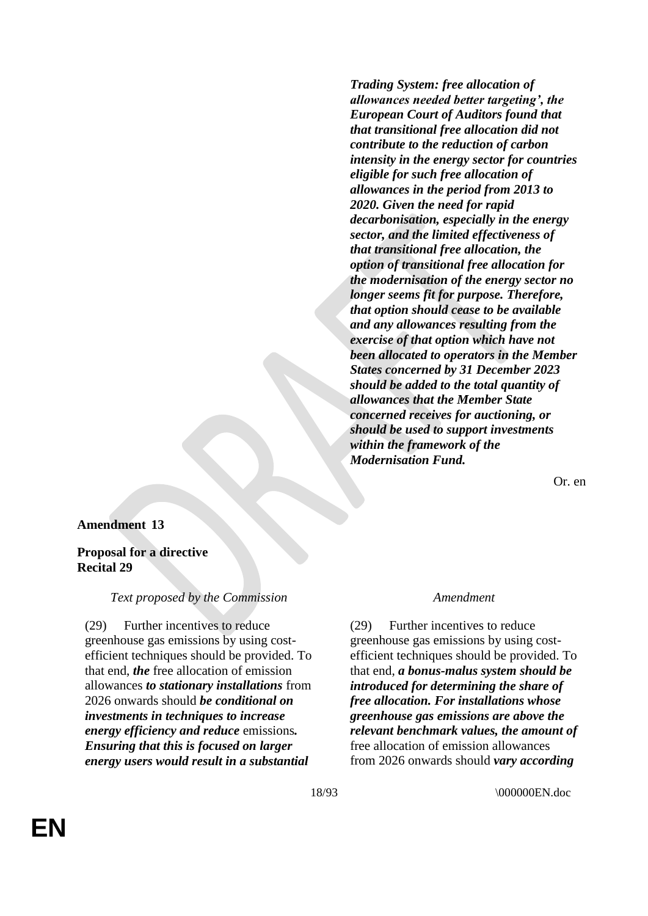*Trading System: free allocation of allowances needed better targeting', the European Court of Auditors found that that transitional free allocation did not contribute to the reduction of carbon intensity in the energy sector for countries eligible for such free allocation of allowances in the period from 2013 to 2020. Given the need for rapid decarbonisation, especially in the energy sector, and the limited effectiveness of that transitional free allocation, the option of transitional free allocation for the modernisation of the energy sector no longer seems fit for purpose. Therefore, that option should cease to be available and any allowances resulting from the exercise of that option which have not been allocated to operators in the Member States concerned by 31 December 2023 should be added to the total quantity of allowances that the Member State concerned receives for auctioning, or should be used to support investments within the framework of the Modernisation Fund.*

Or. en

# **Amendment 13**

# **Proposal for a directive Recital 29**

# *Text proposed by the Commission Amendment*

(29) Further incentives to reduce greenhouse gas emissions by using costefficient techniques should be provided. To that end, *the* free allocation of emission allowances *to stationary installations* from 2026 onwards should *be conditional on investments in techniques to increase energy efficiency and reduce* emissions*. Ensuring that this is focused on larger energy users would result in a substantial* 

(29) Further incentives to reduce greenhouse gas emissions by using costefficient techniques should be provided. To that end, *a bonus-malus system should be introduced for determining the share of free allocation. For installations whose greenhouse gas emissions are above the relevant benchmark values, the amount of* free allocation of emission allowances from 2026 onwards should *vary according*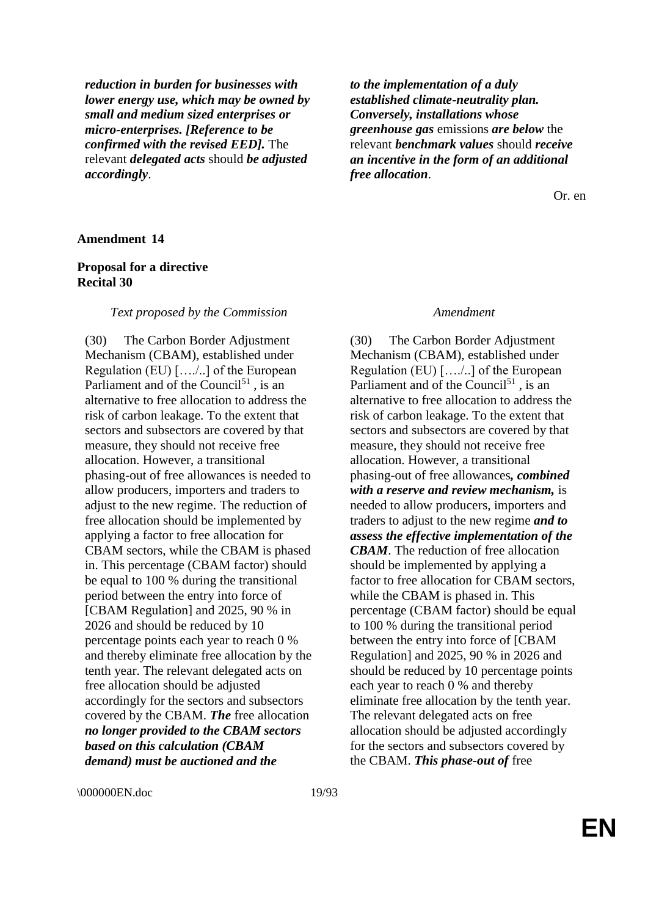*reduction in burden for businesses with lower energy use, which may be owned by small and medium sized enterprises or micro-enterprises. [Reference to be confirmed with the revised EED].* The relevant *delegated acts* should *be adjusted accordingly*.

*to the implementation of a duly established climate-neutrality plan. Conversely, installations whose greenhouse gas* emissions *are below* the relevant *benchmark values* should *receive an incentive in the form of an additional free allocation*.

Or. en

### **Amendment 14**

# **Proposal for a directive Recital 30**

#### *Text proposed by the Commission Amendment*

(30) The Carbon Border Adjustment Mechanism (CBAM), established under Regulation (EU) […./..] of the European Parliament and of the Council $51$ , is an alternative to free allocation to address the risk of carbon leakage. To the extent that sectors and subsectors are covered by that measure, they should not receive free allocation. However, a transitional phasing-out of free allowances is needed to allow producers, importers and traders to adjust to the new regime. The reduction of free allocation should be implemented by applying a factor to free allocation for CBAM sectors, while the CBAM is phased in. This percentage (CBAM factor) should be equal to 100 % during the transitional period between the entry into force of [CBAM Regulation] and 2025, 90 % in 2026 and should be reduced by 10 percentage points each year to reach 0 % and thereby eliminate free allocation by the tenth year. The relevant delegated acts on free allocation should be adjusted accordingly for the sectors and subsectors covered by the CBAM. *The* free allocation *no longer provided to the CBAM sectors based on this calculation (CBAM demand) must be auctioned and the* 

(30) The Carbon Border Adjustment Mechanism (CBAM), established under Regulation (EU) […./..] of the European Parliament and of the Council $5<sup>1</sup>$ , is an alternative to free allocation to address the risk of carbon leakage. To the extent that sectors and subsectors are covered by that measure, they should not receive free allocation. However, a transitional phasing-out of free allowances*, combined with a reserve and review mechanism,* is needed to allow producers, importers and traders to adjust to the new regime *and to assess the effective implementation of the CBAM*. The reduction of free allocation should be implemented by applying a factor to free allocation for CBAM sectors, while the CBAM is phased in. This percentage (CBAM factor) should be equal to 100 % during the transitional period between the entry into force of [CBAM Regulation] and 2025, 90 % in 2026 and should be reduced by 10 percentage points each year to reach 0 % and thereby eliminate free allocation by the tenth year. The relevant delegated acts on free allocation should be adjusted accordingly for the sectors and subsectors covered by the CBAM. *This phase-out of* free

\000000EN.doc 19/93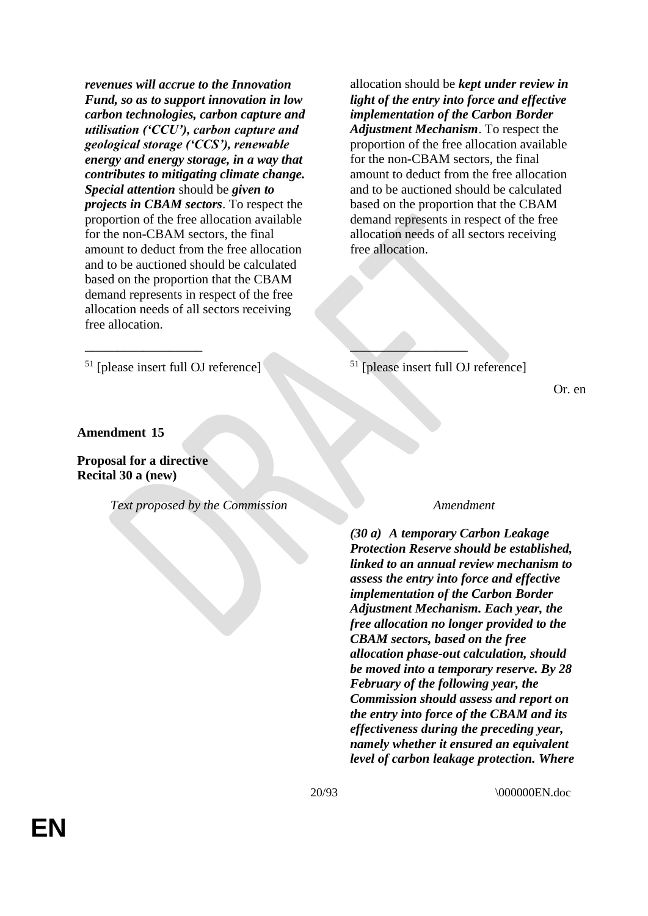*revenues will accrue to the Innovation Fund, so as to support innovation in low carbon technologies, carbon capture and utilisation ('CCU'), carbon capture and geological storage ('CCS'), renewable energy and energy storage, in a way that contributes to mitigating climate change. Special attention* should be *given to projects in CBAM sectors*. To respect the proportion of the free allocation available for the non-CBAM sectors, the final amount to deduct from the free allocation and to be auctioned should be calculated based on the proportion that the CBAM demand represents in respect of the free allocation needs of all sectors receiving free allocation.

allocation should be *kept under review in light of the entry into force and effective implementation of the Carbon Border Adjustment Mechanism*. To respect the proportion of the free allocation available for the non-CBAM sectors, the final amount to deduct from the free allocation and to be auctioned should be calculated based on the proportion that the CBAM demand represents in respect of the free allocation needs of all sectors receiving free allocation.

 $51$  [please insert full OJ reference]  $51$  [please insert full OJ reference]

 $\overline{\phantom{a}}$  , where  $\overline{\phantom{a}}$  , where  $\overline{\phantom{a}}$  , where  $\overline{\phantom{a}}$  , where  $\overline{\phantom{a}}$ 

Or. en

# **Amendment 15**

# **Proposal for a directive Recital 30 a (new)**

*Text proposed by the Commission Amendment*

*(30 a) A temporary Carbon Leakage Protection Reserve should be established, linked to an annual review mechanism to assess the entry into force and effective implementation of the Carbon Border Adjustment Mechanism. Each year, the free allocation no longer provided to the CBAM sectors, based on the free allocation phase-out calculation, should be moved into a temporary reserve. By 28 February of the following year, the Commission should assess and report on the entry into force of the CBAM and its effectiveness during the preceding year, namely whether it ensured an equivalent level of carbon leakage protection. Where*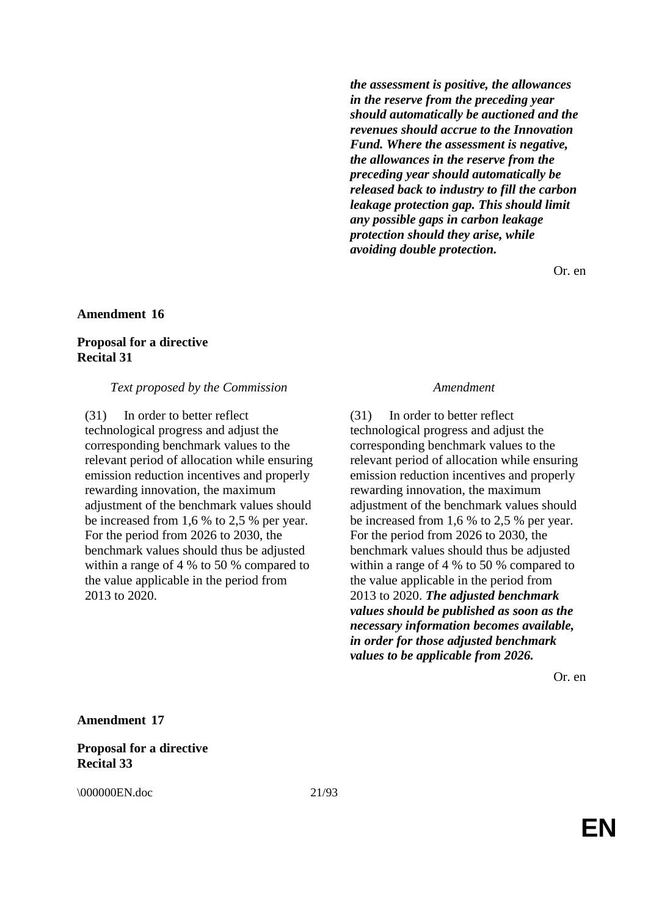*the assessment is positive, the allowances in the reserve from the preceding year should automatically be auctioned and the revenues should accrue to the Innovation Fund. Where the assessment is negative, the allowances in the reserve from the preceding year should automatically be released back to industry to fill the carbon leakage protection gap. This should limit any possible gaps in carbon leakage protection should they arise, while avoiding double protection.*

Or. en

### **Amendment 16**

# **Proposal for a directive Recital 31**

#### *Text proposed by the Commission Amendment*

(31) In order to better reflect technological progress and adjust the corresponding benchmark values to the relevant period of allocation while ensuring emission reduction incentives and properly rewarding innovation, the maximum adjustment of the benchmark values should be increased from 1,6 % to 2,5 % per year. For the period from 2026 to 2030, the benchmark values should thus be adjusted within a range of 4 % to 50 % compared to the value applicable in the period from 2013 to 2020.

(31) In order to better reflect technological progress and adjust the corresponding benchmark values to the relevant period of allocation while ensuring emission reduction incentives and properly rewarding innovation, the maximum adjustment of the benchmark values should be increased from 1,6 % to 2,5 % per year. For the period from 2026 to 2030, the benchmark values should thus be adjusted within a range of 4 % to 50 % compared to the value applicable in the period from 2013 to 2020. *The adjusted benchmark values should be published as soon as the necessary information becomes available, in order for those adjusted benchmark values to be applicable from 2026.*

Or. en

#### **Amendment 17**

**Proposal for a directive Recital 33**

\000000EN.doc 21/93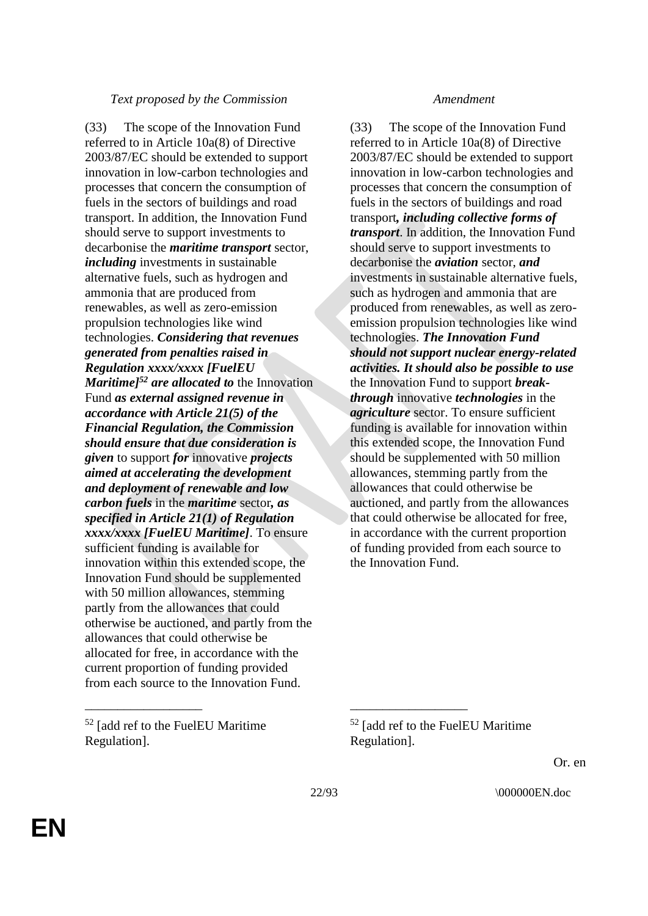# *Text proposed by the Commission Amendment*

(33) The scope of the Innovation Fund referred to in Article 10a(8) of Directive 2003/87/EC should be extended to support innovation in low-carbon technologies and processes that concern the consumption of fuels in the sectors of buildings and road transport. In addition, the Innovation Fund should serve to support investments to decarbonise the *maritime transport* sector, *including* investments in sustainable alternative fuels, such as hydrogen and ammonia that are produced from renewables, as well as zero-emission propulsion technologies like wind technologies. *Considering that revenues generated from penalties raised in Regulation xxxx/xxxx [FuelEU Maritime]<sup>52</sup> are allocated to* the Innovation Fund *as external assigned revenue in accordance with Article 21(5) of the Financial Regulation, the Commission should ensure that due consideration is given* to support *for* innovative *projects aimed at accelerating the development and deployment of renewable and low carbon fuels* in the *maritime* sector*, as specified in Article 21(1) of Regulation xxxx/xxxx [FuelEU Maritime]*. To ensure sufficient funding is available for innovation within this extended scope, the Innovation Fund should be supplemented with 50 million allowances, stemming partly from the allowances that could otherwise be auctioned, and partly from the allowances that could otherwise be allocated for free, in accordance with the current proportion of funding provided from each source to the Innovation Fund.

<sup>52</sup> [add ref to the FuelEU Maritime Regulation].

(33) The scope of the Innovation Fund referred to in Article 10a(8) of Directive 2003/87/EC should be extended to support innovation in low-carbon technologies and processes that concern the consumption of fuels in the sectors of buildings and road transport*, including collective forms of transport*. In addition, the Innovation Fund should serve to support investments to decarbonise the *aviation* sector, *and* investments in sustainable alternative fuels, such as hydrogen and ammonia that are produced from renewables, as well as zeroemission propulsion technologies like wind technologies. *The Innovation Fund should not support nuclear energy-related activities. It should also be possible to use* the Innovation Fund to support *breakthrough* innovative *technologies* in the *agriculture* sector. To ensure sufficient funding is available for innovation within this extended scope, the Innovation Fund should be supplemented with 50 million allowances, stemming partly from the allowances that could otherwise be auctioned, and partly from the allowances that could otherwise be allocated for free, in accordance with the current proportion of funding provided from each source to the Innovation Fund.

<sup>52</sup> [add ref to the FuelEU Maritime Regulation].

Or. en

\_\_\_\_\_\_\_\_\_\_\_\_\_\_\_\_\_\_ \_\_\_\_\_\_\_\_\_\_\_\_\_\_\_\_\_\_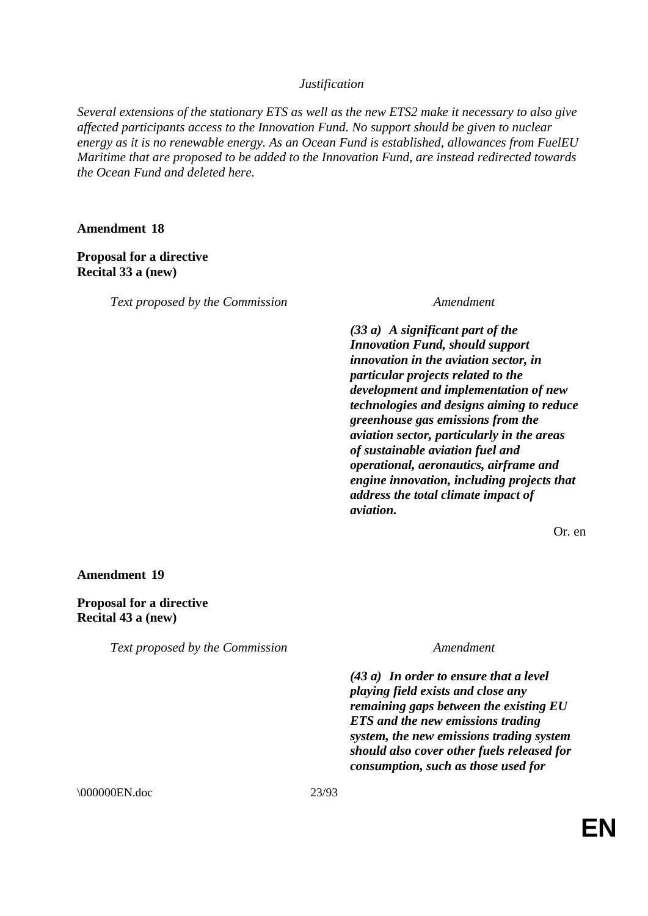# *Justification*

*Several extensions of the stationary ETS as well as the new ETS2 make it necessary to also give affected participants access to the Innovation Fund. No support should be given to nuclear energy as it is no renewable energy. As an Ocean Fund is established, allowances from FuelEU Maritime that are proposed to be added to the Innovation Fund, are instead redirected towards the Ocean Fund and deleted here.*

# **Amendment 18**

# **Proposal for a directive Recital 33 a (new)**

*Text proposed by the Commission Amendment*

*(33 a) A significant part of the Innovation Fund, should support innovation in the aviation sector, in particular projects related to the development and implementation of new technologies and designs aiming to reduce greenhouse gas emissions from the aviation sector, particularly in the areas of sustainable aviation fuel and operational, aeronautics, airframe and engine innovation, including projects that address the total climate impact of aviation.*

Or. en

### **Amendment 19**

**Proposal for a directive Recital 43 a (new)**

*Text proposed by the Commission Amendment*

*(43 a) In order to ensure that a level playing field exists and close any remaining gaps between the existing EU ETS and the new emissions trading system, the new emissions trading system should also cover other fuels released for consumption, such as those used for* 

\000000EN.doc 23/93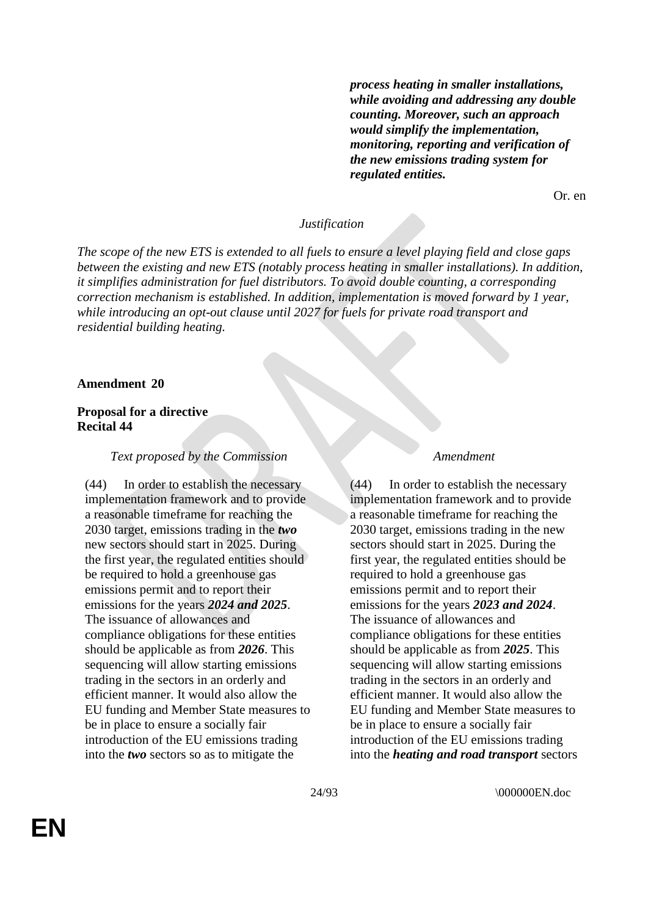*process heating in smaller installations, while avoiding and addressing any double counting. Moreover, such an approach would simplify the implementation, monitoring, reporting and verification of the new emissions trading system for regulated entities.*

Or. en

# *Justification*

*The scope of the new ETS is extended to all fuels to ensure a level playing field and close gaps between the existing and new ETS (notably process heating in smaller installations). In addition, it simplifies administration for fuel distributors. To avoid double counting, a corresponding correction mechanism is established. In addition, implementation is moved forward by 1 year, while introducing an opt-out clause until 2027 for fuels for private road transport and residential building heating.*

#### **Amendment 20**

# **Proposal for a directive Recital 44**

#### *Text proposed by the Commission Amendment*

(44) In order to establish the necessary implementation framework and to provide a reasonable timeframe for reaching the 2030 target, emissions trading in the *two* new sectors should start in 2025. During the first year, the regulated entities should be required to hold a greenhouse gas emissions permit and to report their emissions for the years *2024 and 2025*. The issuance of allowances and compliance obligations for these entities should be applicable as from *2026*. This sequencing will allow starting emissions trading in the sectors in an orderly and efficient manner. It would also allow the EU funding and Member State measures to be in place to ensure a socially fair introduction of the EU emissions trading into the *two* sectors so as to mitigate the

(44) In order to establish the necessary implementation framework and to provide a reasonable timeframe for reaching the 2030 target, emissions trading in the new sectors should start in 2025. During the first year, the regulated entities should be required to hold a greenhouse gas emissions permit and to report their emissions for the years *2023 and 2024*. The issuance of allowances and compliance obligations for these entities should be applicable as from *2025*. This sequencing will allow starting emissions trading in the sectors in an orderly and efficient manner. It would also allow the EU funding and Member State measures to be in place to ensure a socially fair introduction of the EU emissions trading into the *heating and road transport* sectors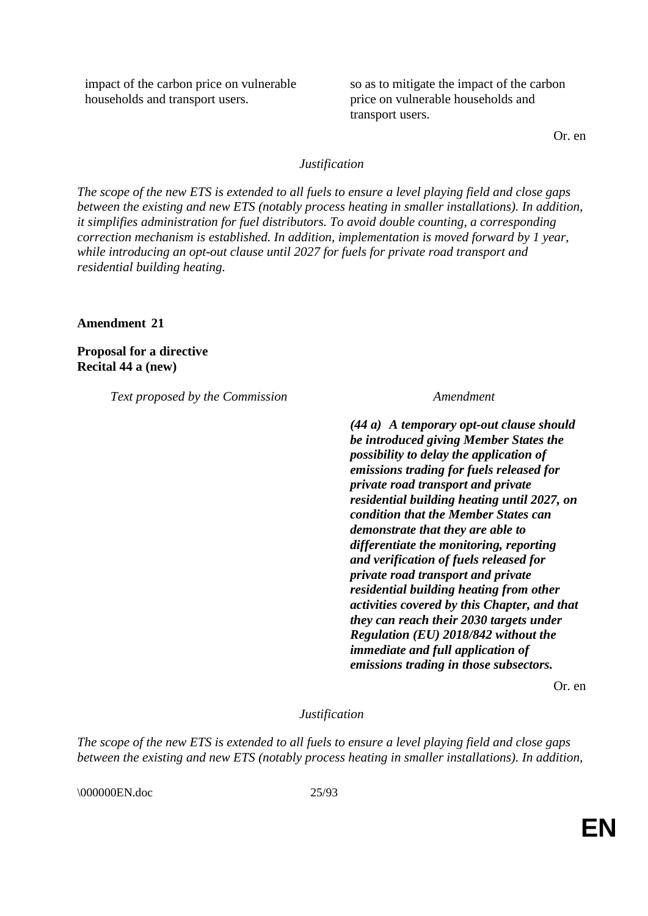impact of the carbon price on vulnerable households and transport users.

so as to mitigate the impact of the carbon price on vulnerable households and transport users.

Or. en

# *Justification*

*The scope of the new ETS is extended to all fuels to ensure a level playing field and close gaps between the existing and new ETS (notably process heating in smaller installations). In addition, it simplifies administration for fuel distributors. To avoid double counting, a corresponding correction mechanism is established. In addition, implementation is moved forward by 1 year, while introducing an opt-out clause until 2027 for fuels for private road transport and residential building heating.*

**Amendment 21**

**Proposal for a directive Recital 44 a (new)**

*Text proposed by the Commission Amendment*

*(44 a) A temporary opt-out clause should be introduced giving Member States the possibility to delay the application of emissions trading for fuels released for private road transport and private residential building heating until 2027, on condition that the Member States can demonstrate that they are able to differentiate the monitoring, reporting and verification of fuels released for private road transport and private residential building heating from other activities covered by this Chapter, and that they can reach their 2030 targets under Regulation (EU) 2018/842 without the immediate and full application of emissions trading in those subsectors.*

Or. en

# *Justification*

*The scope of the new ETS is extended to all fuels to ensure a level playing field and close gaps between the existing and new ETS (notably process heating in smaller installations). In addition,* 

\\ 000000EN.doc 25/93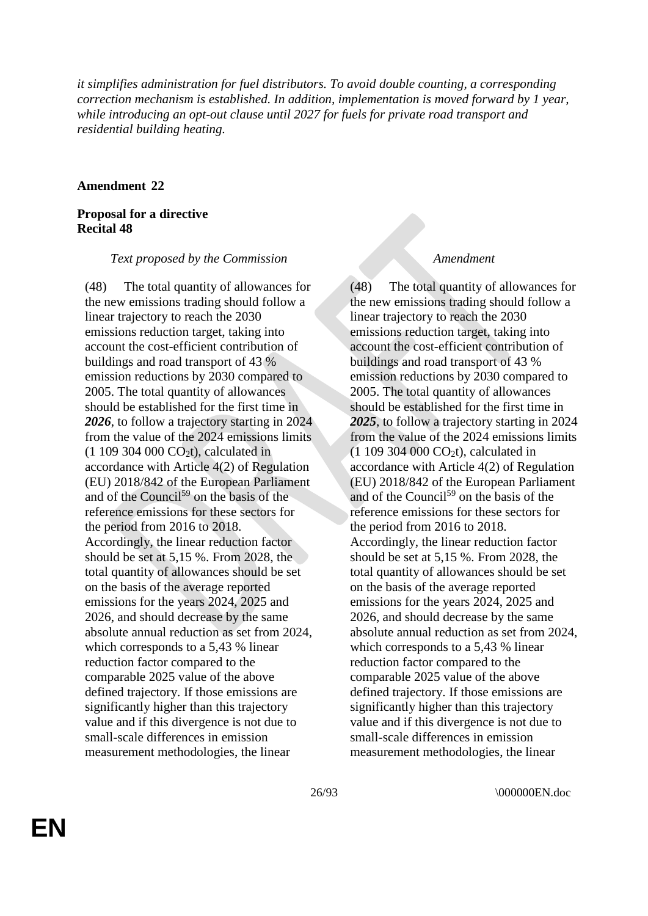*it simplifies administration for fuel distributors. To avoid double counting, a corresponding correction mechanism is established. In addition, implementation is moved forward by 1 year, while introducing an opt-out clause until 2027 for fuels for private road transport and residential building heating.*

# **Amendment 22**

# **Proposal for a directive Recital 48**

# *Text proposed by the Commission Amendment*

(48) The total quantity of allowances for the new emissions trading should follow a linear trajectory to reach the 2030 emissions reduction target, taking into account the cost-efficient contribution of buildings and road transport of 43 % emission reductions by 2030 compared to 2005. The total quantity of allowances should be established for the first time in *2026*, to follow a trajectory starting in 2024 from the value of the 2024 emissions limits  $(1 109 304 000 CO<sub>2</sub>t)$ , calculated in accordance with Article 4(2) of Regulation (EU) 2018/842 of the European Parliament and of the Council<sup>59</sup> on the basis of the reference emissions for these sectors for the period from 2016 to 2018. Accordingly, the linear reduction factor should be set at 5,15 %. From 2028, the total quantity of allowances should be set on the basis of the average reported emissions for the years 2024, 2025 and 2026, and should decrease by the same absolute annual reduction as set from 2024, which corresponds to a 5,43 % linear reduction factor compared to the comparable 2025 value of the above defined trajectory. If those emissions are significantly higher than this trajectory value and if this divergence is not due to small-scale differences in emission measurement methodologies, the linear

(48) The total quantity of allowances for the new emissions trading should follow a linear trajectory to reach the 2030 emissions reduction target, taking into account the cost-efficient contribution of buildings and road transport of 43 % emission reductions by 2030 compared to 2005. The total quantity of allowances should be established for the first time in *2025*, to follow a trajectory starting in 2024 from the value of the 2024 emissions limits  $(1 109 304 000 CO<sub>2</sub>t)$ , calculated in accordance with Article 4(2) of Regulation (EU) 2018/842 of the European Parliament and of the Council<sup>59</sup> on the basis of the reference emissions for these sectors for the period from 2016 to 2018. Accordingly, the linear reduction factor should be set at 5,15 %. From 2028, the total quantity of allowances should be set on the basis of the average reported emissions for the years 2024, 2025 and 2026, and should decrease by the same absolute annual reduction as set from 2024, which corresponds to a 5,43 % linear reduction factor compared to the comparable 2025 value of the above defined trajectory. If those emissions are significantly higher than this trajectory value and if this divergence is not due to small-scale differences in emission measurement methodologies, the linear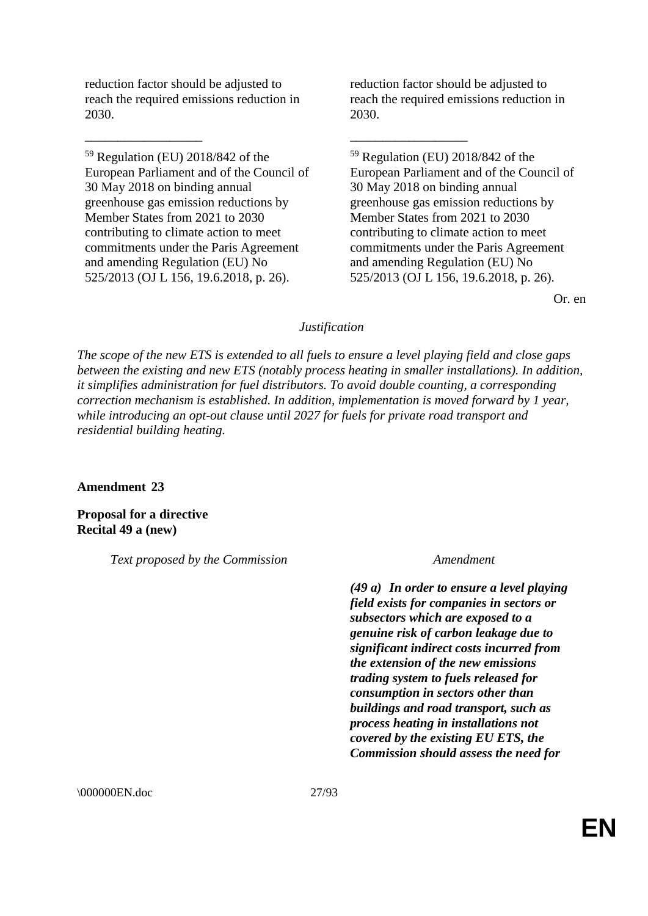reduction factor should be adjusted to reach the required emissions reduction in 2030.

\_\_\_\_\_\_\_\_\_\_\_\_\_\_\_\_\_\_ \_\_\_\_\_\_\_\_\_\_\_\_\_\_\_\_\_\_

<sup>59</sup> Regulation (EU) 2018/842 of the European Parliament and of the Council of 30 May 2018 on binding annual greenhouse gas emission reductions by Member States from 2021 to 2030 contributing to climate action to meet commitments under the Paris Agreement and amending Regulation (EU) No 525/2013 (OJ L 156, 19.6.2018, p. 26).

reduction factor should be adjusted to reach the required emissions reduction in 2030.

<sup>59</sup> Regulation (EU) 2018/842 of the European Parliament and of the Council of 30 May 2018 on binding annual greenhouse gas emission reductions by Member States from 2021 to 2030 contributing to climate action to meet commitments under the Paris Agreement and amending Regulation (EU) No 525/2013 (OJ L 156, 19.6.2018, p. 26).

Or. en

# *Justification*

*The scope of the new ETS is extended to all fuels to ensure a level playing field and close gaps between the existing and new ETS (notably process heating in smaller installations). In addition, it simplifies administration for fuel distributors. To avoid double counting, a corresponding correction mechanism is established. In addition, implementation is moved forward by 1 year, while introducing an opt-out clause until 2027 for fuels for private road transport and residential building heating.*

# **Amendment 23**

**Proposal for a directive Recital 49 a (new)**

*Text proposed by the Commission Amendment*

*(49 a) In order to ensure a level playing field exists for companies in sectors or subsectors which are exposed to a genuine risk of carbon leakage due to significant indirect costs incurred from the extension of the new emissions trading system to fuels released for consumption in sectors other than buildings and road transport, such as process heating in installations not covered by the existing EU ETS, the Commission should assess the need for* 

\000000EN.doc 27/93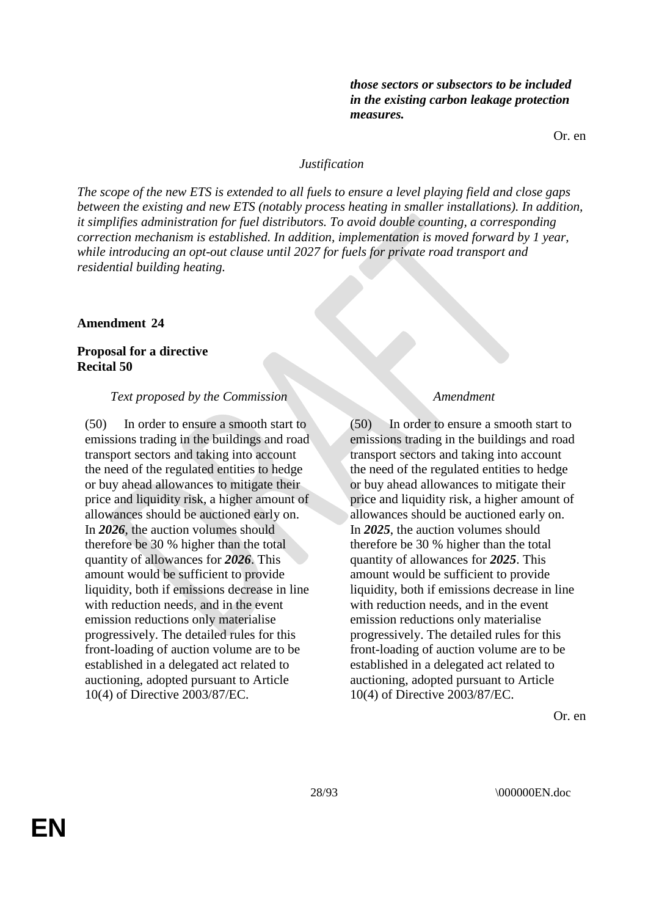*those sectors or subsectors to be included in the existing carbon leakage protection measures.*

Or. en

### *Justification*

*The scope of the new ETS is extended to all fuels to ensure a level playing field and close gaps between the existing and new ETS (notably process heating in smaller installations). In addition, it simplifies administration for fuel distributors. To avoid double counting, a corresponding correction mechanism is established. In addition, implementation is moved forward by 1 year, while introducing an opt-out clause until 2027 for fuels for private road transport and residential building heating.*

#### **Amendment 24**

# **Proposal for a directive Recital 50**

#### *Text proposed by the Commission Amendment*

(50) In order to ensure a smooth start to emissions trading in the buildings and road transport sectors and taking into account the need of the regulated entities to hedge or buy ahead allowances to mitigate their price and liquidity risk, a higher amount of allowances should be auctioned early on. In *2026*, the auction volumes should therefore be 30 % higher than the total quantity of allowances for *2026*. This amount would be sufficient to provide liquidity, both if emissions decrease in line with reduction needs, and in the event emission reductions only materialise progressively. The detailed rules for this front-loading of auction volume are to be established in a delegated act related to auctioning, adopted pursuant to Article 10(4) of Directive 2003/87/EC.

(50) In order to ensure a smooth start to emissions trading in the buildings and road transport sectors and taking into account the need of the regulated entities to hedge or buy ahead allowances to mitigate their price and liquidity risk, a higher amount of allowances should be auctioned early on. In *2025*, the auction volumes should therefore be 30 % higher than the total quantity of allowances for *2025*. This amount would be sufficient to provide liquidity, both if emissions decrease in line with reduction needs, and in the event emission reductions only materialise progressively. The detailed rules for this front-loading of auction volume are to be established in a delegated act related to auctioning, adopted pursuant to Article 10(4) of Directive 2003/87/EC.

Or. en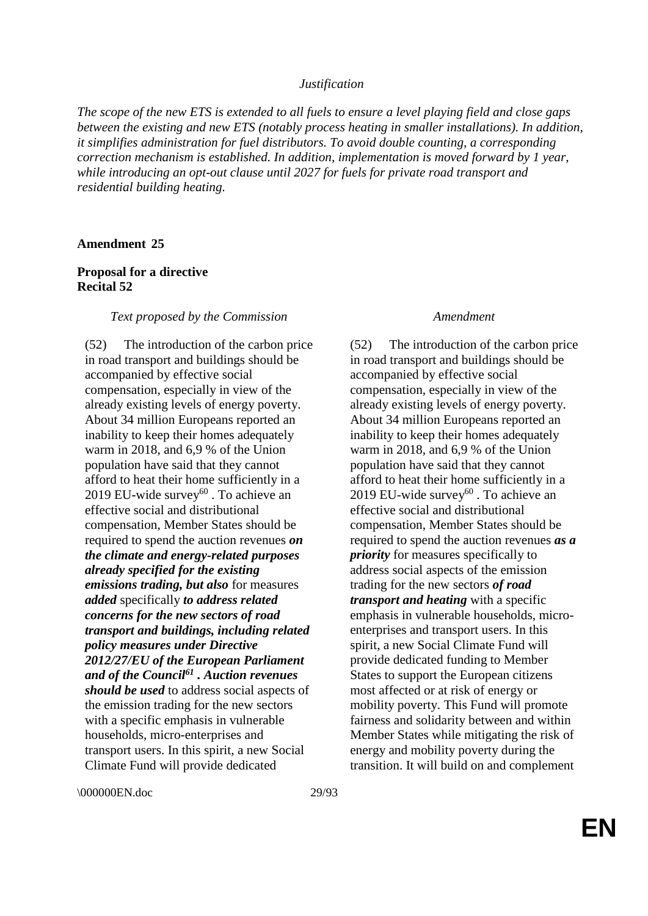### *Justification*

*The scope of the new ETS is extended to all fuels to ensure a level playing field and close gaps between the existing and new ETS (notably process heating in smaller installations). In addition, it simplifies administration for fuel distributors. To avoid double counting, a corresponding correction mechanism is established. In addition, implementation is moved forward by 1 year, while introducing an opt-out clause until 2027 for fuels for private road transport and residential building heating.*

#### **Amendment 25**

# **Proposal for a directive Recital 52**

#### *Text proposed by the Commission Amendment*

(52) The introduction of the carbon price in road transport and buildings should be accompanied by effective social compensation, especially in view of the already existing levels of energy poverty. About 34 million Europeans reported an inability to keep their homes adequately warm in 2018, and 6,9 % of the Union population have said that they cannot afford to heat their home sufficiently in a 2019 EU-wide survey<sup>60</sup>. To achieve an effective social and distributional compensation, Member States should be required to spend the auction revenues *on the climate and energy-related purposes already specified for the existing emissions trading, but also* for measures *added* specifically *to address related concerns for the new sectors of road transport and buildings, including related policy measures under Directive 2012/27/EU of the European Parliament and of the Council<sup>61</sup> . Auction revenues should be used* to address social aspects of the emission trading for the new sectors with a specific emphasis in vulnerable households, micro-enterprises and transport users. In this spirit, a new Social Climate Fund will provide dedicated

(52) The introduction of the carbon price in road transport and buildings should be accompanied by effective social compensation, especially in view of the already existing levels of energy poverty. About 34 million Europeans reported an inability to keep their homes adequately warm in 2018, and 6,9 % of the Union population have said that they cannot afford to heat their home sufficiently in a 2019 EU-wide survey $60$ . To achieve an effective social and distributional compensation, Member States should be required to spend the auction revenues *as a priority* for measures specifically to address social aspects of the emission trading for the new sectors *of road transport and heating* with a specific emphasis in vulnerable households, microenterprises and transport users. In this spirit, a new Social Climate Fund will provide dedicated funding to Member States to support the European citizens most affected or at risk of energy or mobility poverty. This Fund will promote fairness and solidarity between and within Member States while mitigating the risk of energy and mobility poverty during the transition. It will build on and complement

\\ 000000EN.doc 29/93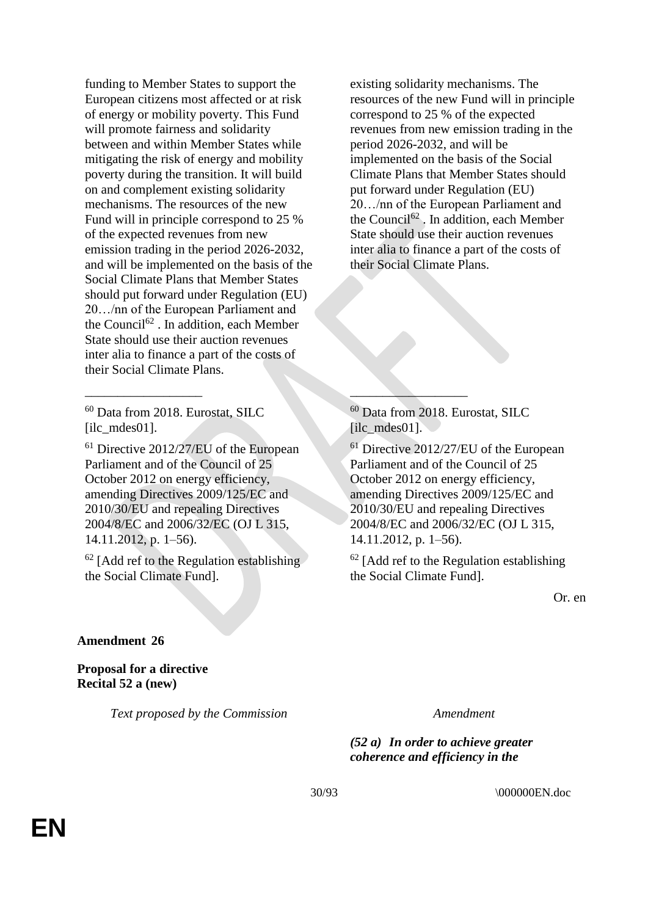funding to Member States to support the European citizens most affected or at risk of energy or mobility poverty. This Fund will promote fairness and solidarity between and within Member States while mitigating the risk of energy and mobility poverty during the transition. It will build on and complement existing solidarity mechanisms. The resources of the new Fund will in principle correspond to 25 % of the expected revenues from new emission trading in the period 2026-2032, and will be implemented on the basis of the Social Climate Plans that Member States should put forward under Regulation (EU) 20…/nn of the European Parliament and the Council<sup>62</sup>. In addition, each Member State should use their auction revenues inter alia to finance a part of the costs of their Social Climate Plans.

<sup>60</sup> Data from 2018. Eurostat, SILC [ilc\_mdes01].

<sup>61</sup> Directive 2012/27/EU of the European Parliament and of the Council of 25 October 2012 on energy efficiency, amending Directives 2009/125/EC and 2010/30/EU and repealing Directives 2004/8/EC and 2006/32/EC (OJ L 315, 14.11.2012, p. 1–56).

 $\qquad \qquad \qquad -$ 

 $62$  [Add ref to the Regulation establishing the Social Climate Fund].

existing solidarity mechanisms. The resources of the new Fund will in principle correspond to 25 % of the expected revenues from new emission trading in the period 2026-2032, and will be implemented on the basis of the Social Climate Plans that Member States should put forward under Regulation (EU) 20…/nn of the European Parliament and the Council<sup>62</sup>. In addition, each Member State should use their auction revenues inter alia to finance a part of the costs of their Social Climate Plans.

<sup>60</sup> Data from 2018. Eurostat, SILC [ilc\_mdes01].

<sup>61</sup> Directive 2012/27/EU of the European Parliament and of the Council of 25 October 2012 on energy efficiency, amending Directives 2009/125/EC and 2010/30/EU and repealing Directives 2004/8/EC and 2006/32/EC (OJ L 315, 14.11.2012, p. 1–56).

 $62$  [Add ref to the Regulation establishing the Social Climate Fund].

Or. en

# **Amendment 26**

**Proposal for a directive Recital 52 a (new)**

*Text proposed by the Commission Amendment*

*(52 a) In order to achieve greater coherence and efficiency in the*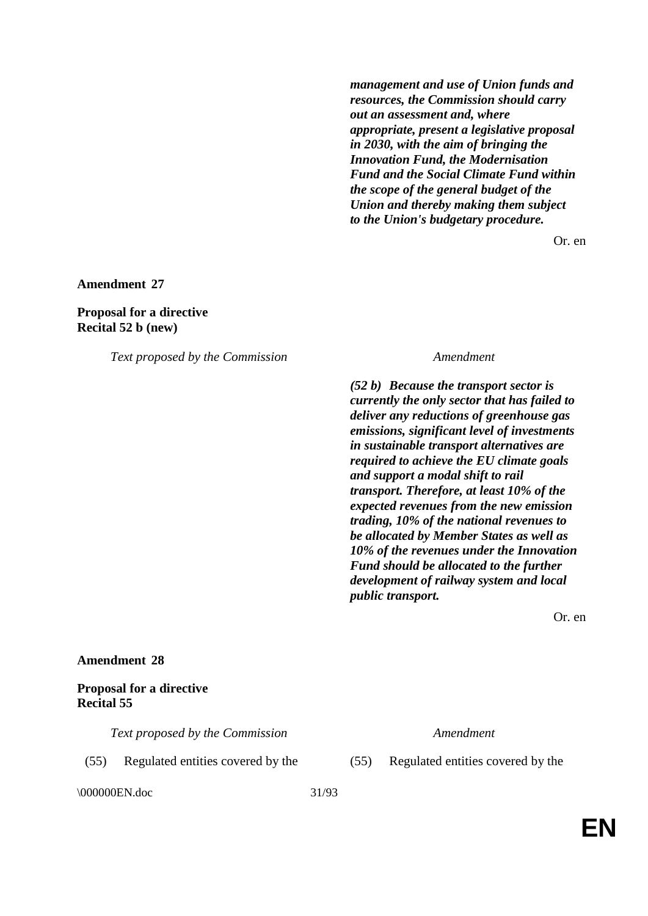*management and use of Union funds and resources, the Commission should carry out an assessment and, where appropriate, present a legislative proposal in 2030, with the aim of bringing the Innovation Fund, the Modernisation Fund and the Social Climate Fund within the scope of the general budget of the Union and thereby making them subject to the Union's budgetary procedure.*

Or. en

**Amendment 27**

# **Proposal for a directive Recital 52 b (new)**

*Text proposed by the Commission Amendment*

*(52 b) Because the transport sector is currently the only sector that has failed to deliver any reductions of greenhouse gas emissions, significant level of investments in sustainable transport alternatives are required to achieve the EU climate goals and support a modal shift to rail transport. Therefore, at least 10% of the expected revenues from the new emission trading, 10% of the national revenues to be allocated by Member States as well as 10% of the revenues under the Innovation Fund should be allocated to the further development of railway system and local public transport.*

Or. en

# **Amendment 28**

# **Proposal for a directive Recital 55**

*Text proposed by the Commission Amendment*

\000000EN.doc 31/93

(55) Regulated entities covered by the (55) Regulated entities covered by the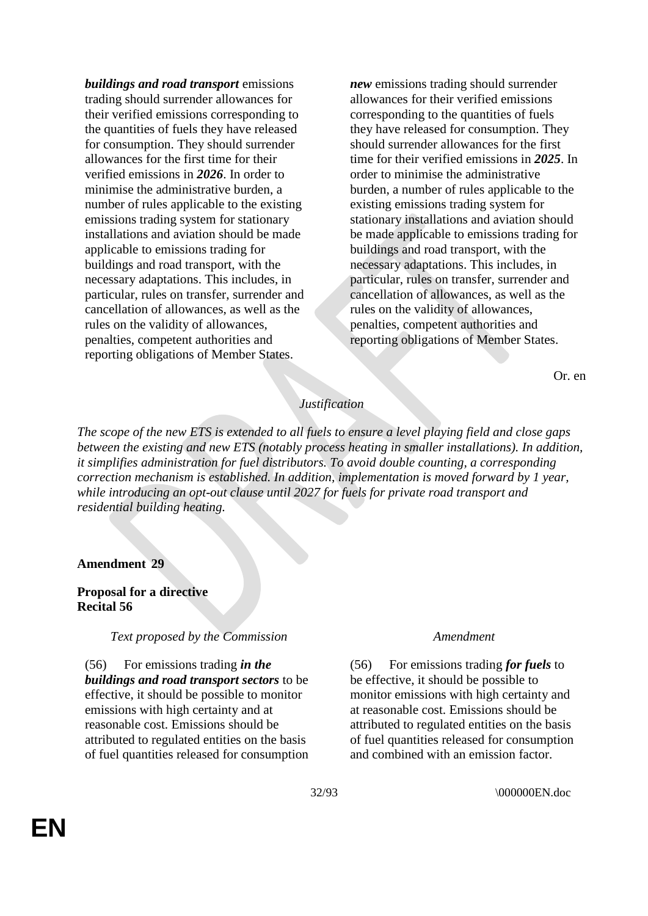*buildings and road transport* emissions trading should surrender allowances for their verified emissions corresponding to the quantities of fuels they have released for consumption. They should surrender allowances for the first time for their verified emissions in *2026*. In order to minimise the administrative burden, a number of rules applicable to the existing emissions trading system for stationary installations and aviation should be made applicable to emissions trading for buildings and road transport, with the necessary adaptations. This includes, in particular, rules on transfer, surrender and cancellation of allowances, as well as the rules on the validity of allowances, penalties, competent authorities and reporting obligations of Member States.

*new* emissions trading should surrender allowances for their verified emissions corresponding to the quantities of fuels they have released for consumption. They should surrender allowances for the first time for their verified emissions in *2025*. In order to minimise the administrative burden, a number of rules applicable to the existing emissions trading system for stationary installations and aviation should be made applicable to emissions trading for buildings and road transport, with the necessary adaptations. This includes, in particular, rules on transfer, surrender and cancellation of allowances, as well as the rules on the validity of allowances, penalties, competent authorities and reporting obligations of Member States.

Or. en

# *Justification*

*The scope of the new ETS is extended to all fuels to ensure a level playing field and close gaps between the existing and new ETS (notably process heating in smaller installations). In addition, it simplifies administration for fuel distributors. To avoid double counting, a corresponding correction mechanism is established. In addition, implementation is moved forward by 1 year, while introducing an opt-out clause until 2027 for fuels for private road transport and residential building heating.*

### **Amendment 29**

### **Proposal for a directive Recital 56**

*Text proposed by the Commission Amendment*

(56) For emissions trading *in the buildings and road transport sectors* to be effective, it should be possible to monitor emissions with high certainty and at reasonable cost. Emissions should be attributed to regulated entities on the basis of fuel quantities released for consumption

(56) For emissions trading *for fuels* to be effective, it should be possible to monitor emissions with high certainty and at reasonable cost. Emissions should be attributed to regulated entities on the basis of fuel quantities released for consumption and combined with an emission factor.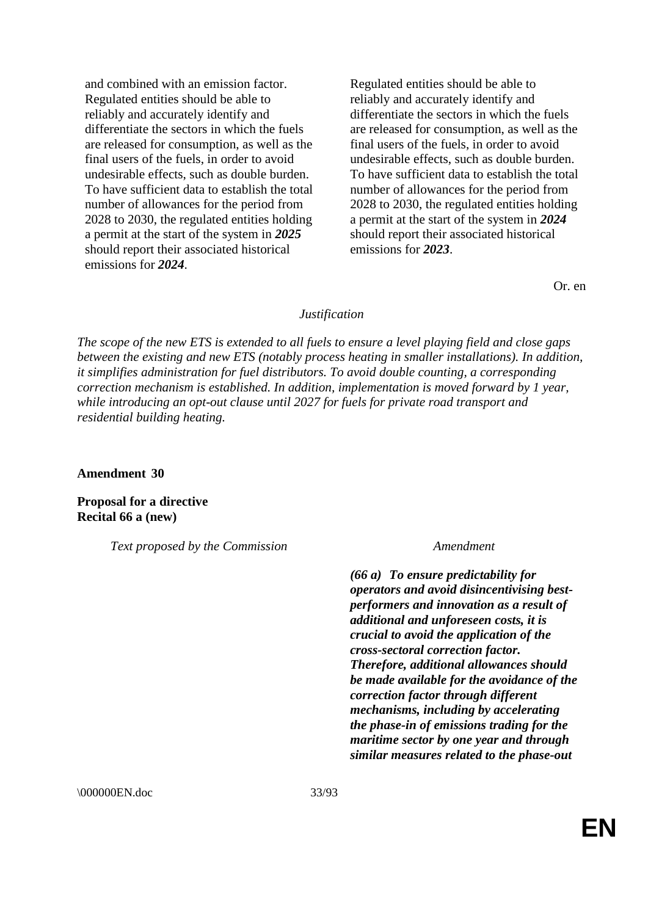and combined with an emission factor. Regulated entities should be able to reliably and accurately identify and differentiate the sectors in which the fuels are released for consumption, as well as the final users of the fuels, in order to avoid undesirable effects, such as double burden. To have sufficient data to establish the total number of allowances for the period from 2028 to 2030, the regulated entities holding a permit at the start of the system in *2025* should report their associated historical emissions for *2024*.

Regulated entities should be able to reliably and accurately identify and differentiate the sectors in which the fuels are released for consumption, as well as the final users of the fuels, in order to avoid undesirable effects, such as double burden. To have sufficient data to establish the total number of allowances for the period from 2028 to 2030, the regulated entities holding a permit at the start of the system in *2024* should report their associated historical emissions for *2023*.

Or. en

# *Justification*

*The scope of the new ETS is extended to all fuels to ensure a level playing field and close gaps between the existing and new ETS (notably process heating in smaller installations). In addition, it simplifies administration for fuel distributors. To avoid double counting, a corresponding correction mechanism is established. In addition, implementation is moved forward by 1 year, while introducing an opt-out clause until 2027 for fuels for private road transport and residential building heating.*

**Amendment 30**

**Proposal for a directive Recital 66 a (new)**

*Text proposed by the Commission Amendment*

*(66 a) To ensure predictability for operators and avoid disincentivising bestperformers and innovation as a result of additional and unforeseen costs, it is crucial to avoid the application of the cross-sectoral correction factor. Therefore, additional allowances should be made available for the avoidance of the correction factor through different mechanisms, including by accelerating the phase-in of emissions trading for the maritime sector by one year and through similar measures related to the phase-out* 

\000000EN.doc 33/93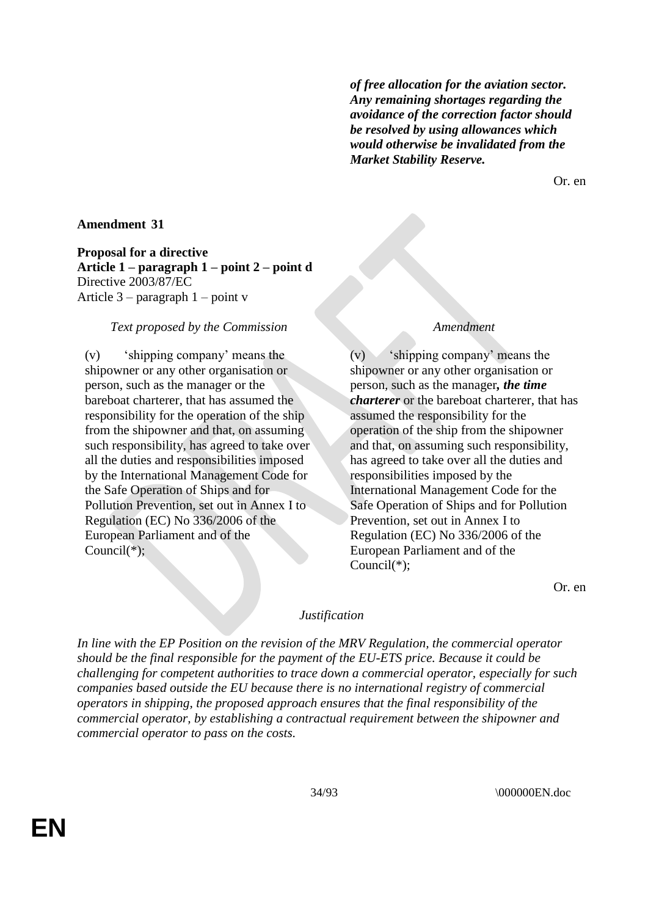*of free allocation for the aviation sector. Any remaining shortages regarding the avoidance of the correction factor should be resolved by using allowances which would otherwise be invalidated from the Market Stability Reserve.*

Or. en

# **Amendment 31**

**Proposal for a directive Article 1 – paragraph 1 – point 2 – point d** Directive 2003/87/EC Article 3 – paragraph 1 – point v

# *Text proposed by the Commission Amendment*

(v) 'shipping company' means the shipowner or any other organisation or person, such as the manager or the bareboat charterer, that has assumed the responsibility for the operation of the ship from the shipowner and that, on assuming such responsibility, has agreed to take over all the duties and responsibilities imposed by the International Management Code for the Safe Operation of Ships and for Pollution Prevention, set out in Annex I to Regulation (EC) No 336/2006 of the European Parliament and of the Council(\*);

(v) 'shipping company' means the shipowner or any other organisation or person, such as the manager*, the time charterer* or the bareboat charterer, that has assumed the responsibility for the operation of the ship from the shipowner and that, on assuming such responsibility, has agreed to take over all the duties and responsibilities imposed by the International Management Code for the Safe Operation of Ships and for Pollution Prevention, set out in Annex I to Regulation (EC) No 336/2006 of the European Parliament and of the Council(\*);

Or. en

#### *Justification*

*In line with the EP Position on the revision of the MRV Regulation, the commercial operator should be the final responsible for the payment of the EU-ETS price. Because it could be challenging for competent authorities to trace down a commercial operator, especially for such companies based outside the EU because there is no international registry of commercial operators in shipping, the proposed approach ensures that the final responsibility of the commercial operator, by establishing a contractual requirement between the shipowner and commercial operator to pass on the costs.*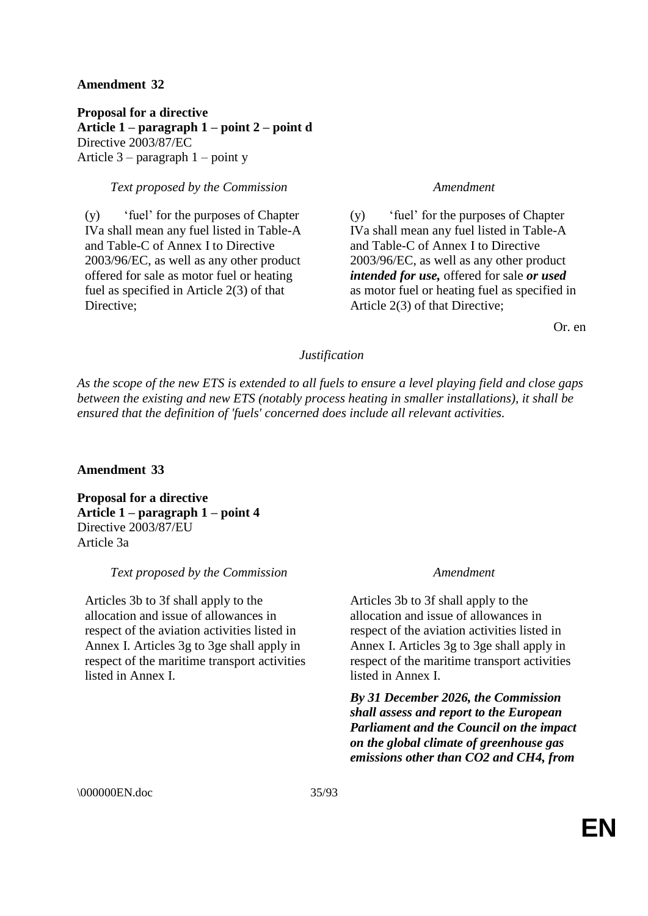# **Amendment 32**

**Proposal for a directive Article 1 – paragraph 1 – point 2 – point d** Directive 2003/87/EC Article 3 – paragraph 1 – point y

# *Text proposed by the Commission Amendment*

(y) 'fuel' for the purposes of Chapter IVa shall mean any fuel listed in Table-A and Table-C of Annex I to Directive 2003/96/EC, as well as any other product offered for sale as motor fuel or heating fuel as specified in Article 2(3) of that Directive;

(y) 'fuel' for the purposes of Chapter IVa shall mean any fuel listed in Table-A and Table-C of Annex I to Directive 2003/96/EC, as well as any other product *intended for use,* offered for sale *or used* as motor fuel or heating fuel as specified in Article 2(3) of that Directive;

Or. en

# *Justification*

*As the scope of the new ETS is extended to all fuels to ensure a level playing field and close gaps between the existing and new ETS (notably process heating in smaller installations), it shall be ensured that the definition of 'fuels' concerned does include all relevant activities.*

# **Amendment 33**

**Proposal for a directive Article 1 – paragraph 1 – point 4** Directive 2003/87/EU Article 3a

# *Text proposed by the Commission Amendment*

Articles 3b to 3f shall apply to the allocation and issue of allowances in respect of the aviation activities listed in Annex I. Articles 3g to 3ge shall apply in respect of the maritime transport activities listed in Annex I.

Articles 3b to 3f shall apply to the allocation and issue of allowances in respect of the aviation activities listed in Annex I. Articles 3g to 3ge shall apply in respect of the maritime transport activities listed in Annex I.

*By 31 December 2026, the Commission shall assess and report to the European Parliament and the Council on the impact on the global climate of greenhouse gas emissions other than CO2 and CH4, from*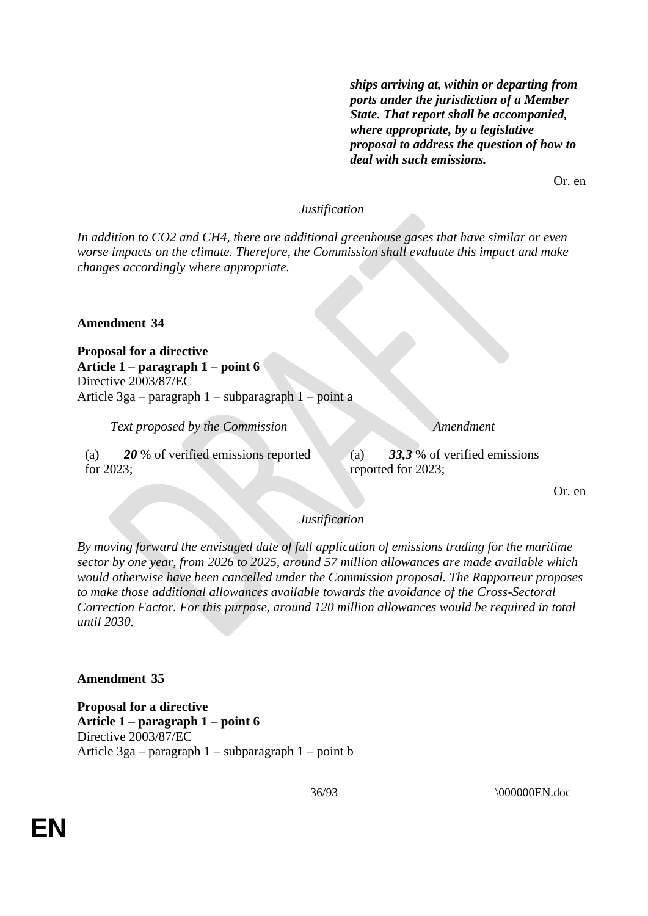*ships arriving at, within or departing from ports under the jurisdiction of a Member State. That report shall be accompanied, where appropriate, by a legislative proposal to address the question of how to deal with such emissions.*

Or. en

# *Justification*

*In addition to CO2 and CH4, there are additional greenhouse gases that have similar or even worse impacts on the climate. Therefore, the Commission shall evaluate this impact and make changes accordingly where appropriate.*

**Amendment 34**

**Proposal for a directive Article 1 – paragraph 1 – point 6** Directive 2003/87/EC Article 3ga – paragraph 1 – subparagraph 1 – point a

*Text proposed by the Commission Amendment*

(a) *20* % of verified emissions reported for 2023;

(a) *33,3* % of verified emissions reported for 2023;

Or. en

# *Justification*

*By moving forward the envisaged date of full application of emissions trading for the maritime sector by one year, from 2026 to 2025, around 57 million allowances are made available which would otherwise have been cancelled under the Commission proposal. The Rapporteur proposes to make those additional allowances available towards the avoidance of the Cross-Sectoral Correction Factor. For this purpose, around 120 million allowances would be required in total until 2030.*

### **Amendment 35**

**Proposal for a directive Article 1 – paragraph 1 – point 6** Directive 2003/87/EC Article 3ga – paragraph 1 – subparagraph 1 – point b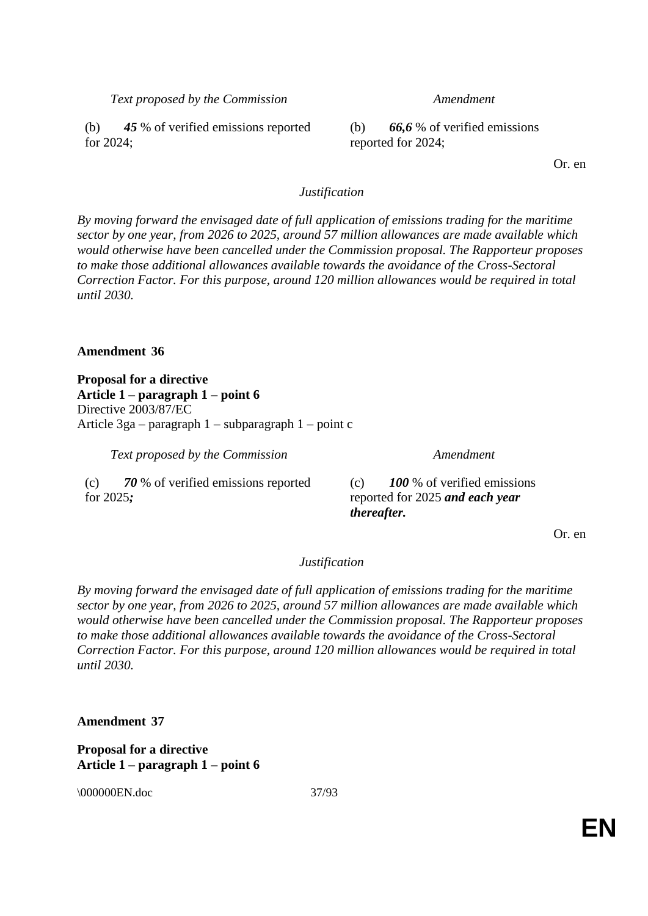*Text proposed by the Commission Amendment*

(b) *45* % of verified emissions reported for 2024;

(b) *66,6* % of verified emissions reported for 2024;

Or. en

## *Justification*

*By moving forward the envisaged date of full application of emissions trading for the maritime sector by one year, from 2026 to 2025, around 57 million allowances are made available which would otherwise have been cancelled under the Commission proposal. The Rapporteur proposes to make those additional allowances available towards the avoidance of the Cross-Sectoral Correction Factor. For this purpose, around 120 million allowances would be required in total until 2030.*

### **Amendment 36**

**Proposal for a directive Article 1 – paragraph 1 – point 6** Directive 2003/87/EC Article 3ga – paragraph 1 – subparagraph 1 – point c

*Text proposed by the Commission Amendment*

(c) *70* % of verified emissions reported for 2025*;*

(c) *100* % of verified emissions reported for 2025 *and each year thereafter.*

Or. en

### *Justification*

*By moving forward the envisaged date of full application of emissions trading for the maritime sector by one year, from 2026 to 2025, around 57 million allowances are made available which would otherwise have been cancelled under the Commission proposal. The Rapporteur proposes to make those additional allowances available towards the avoidance of the Cross-Sectoral Correction Factor. For this purpose, around 120 million allowances would be required in total until 2030.*

**Amendment 37**

**Proposal for a directive Article 1 – paragraph 1 – point 6**

\\ 000000EN.doc 37/93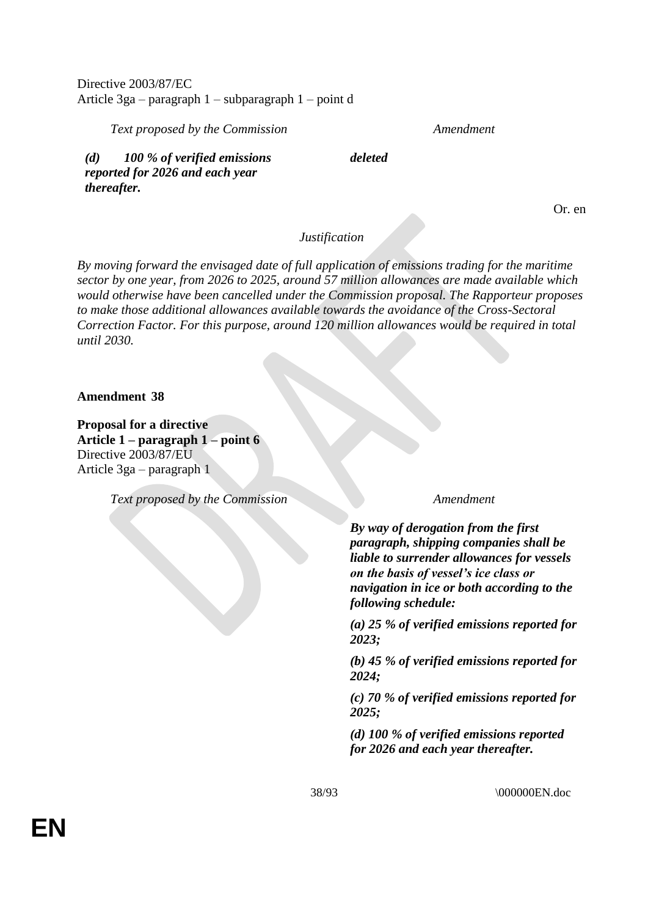Directive 2003/87/EC Article 3ga – paragraph 1 – subparagraph 1 – point d

*Text proposed by the Commission Amendment*

*(d) 100 % of verified emissions reported for 2026 and each year thereafter.*

*deleted*

Or. en

# *Justification*

*By moving forward the envisaged date of full application of emissions trading for the maritime sector by one year, from 2026 to 2025, around 57 million allowances are made available which would otherwise have been cancelled under the Commission proposal. The Rapporteur proposes to make those additional allowances available towards the avoidance of the Cross-Sectoral Correction Factor. For this purpose, around 120 million allowances would be required in total until 2030.*

**Amendment 38**

**Proposal for a directive Article 1 – paragraph 1 – point 6** Directive 2003/87/EU Article 3ga – paragraph 1

*Text proposed by the Commission Amendment*

*By way of derogation from the first paragraph, shipping companies shall be liable to surrender allowances for vessels on the basis of vessel's ice class or navigation in ice or both according to the following schedule:*

*(a) 25 % of verified emissions reported for 2023;*

*(b) 45 % of verified emissions reported for 2024;*

*(c) 70 % of verified emissions reported for 2025;*

*(d) 100 % of verified emissions reported for 2026 and each year thereafter.*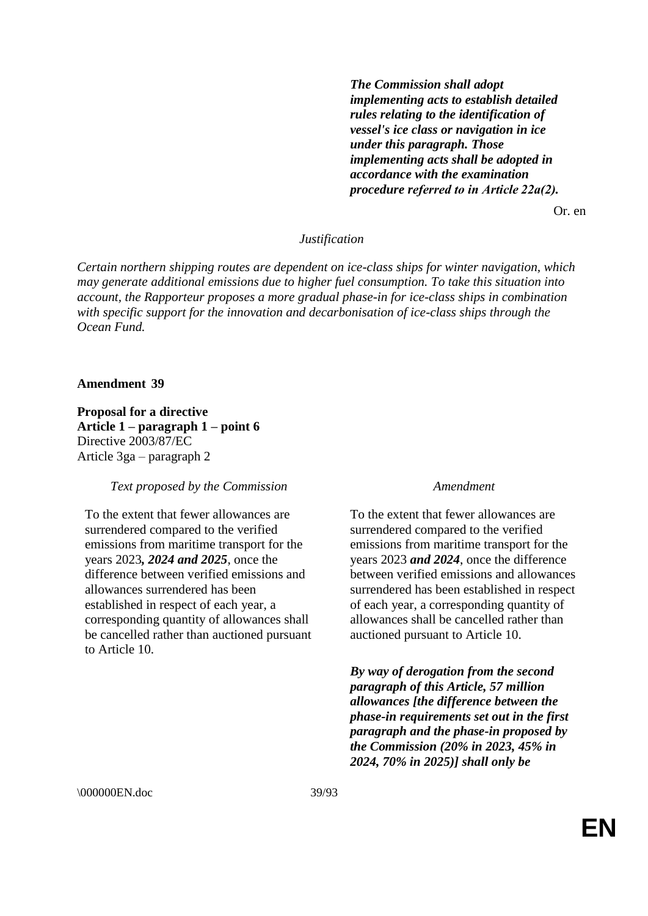*The Commission shall adopt implementing acts to establish detailed rules relating to the identification of vessel's ice class or navigation in ice under this paragraph. Those implementing acts shall be adopted in accordance with the examination procedure referred to in Article 22a(2).*

Or. en

## *Justification*

*Certain northern shipping routes are dependent on ice-class ships for winter navigation, which may generate additional emissions due to higher fuel consumption. To take this situation into account, the Rapporteur proposes a more gradual phase-in for ice-class ships in combination with specific support for the innovation and decarbonisation of ice-class ships through the Ocean Fund.*

#### **Amendment 39**

**Proposal for a directive Article 1 – paragraph 1 – point 6** Directive 2003/87/EC Article 3ga – paragraph 2

#### *Text proposed by the Commission Amendment*

To the extent that fewer allowances are surrendered compared to the verified emissions from maritime transport for the years 2023*, 2024 and 2025*, once the difference between verified emissions and allowances surrendered has been established in respect of each year, a corresponding quantity of allowances shall be cancelled rather than auctioned pursuant to Article 10.

To the extent that fewer allowances are surrendered compared to the verified emissions from maritime transport for the years 2023 *and 2024*, once the difference between verified emissions and allowances surrendered has been established in respect of each year, a corresponding quantity of allowances shall be cancelled rather than auctioned pursuant to Article 10.

*By way of derogation from the second paragraph of this Article, 57 million allowances [the difference between the phase-in requirements set out in the first paragraph and the phase-in proposed by the Commission (20% in 2023, 45% in 2024, 70% in 2025)] shall only be*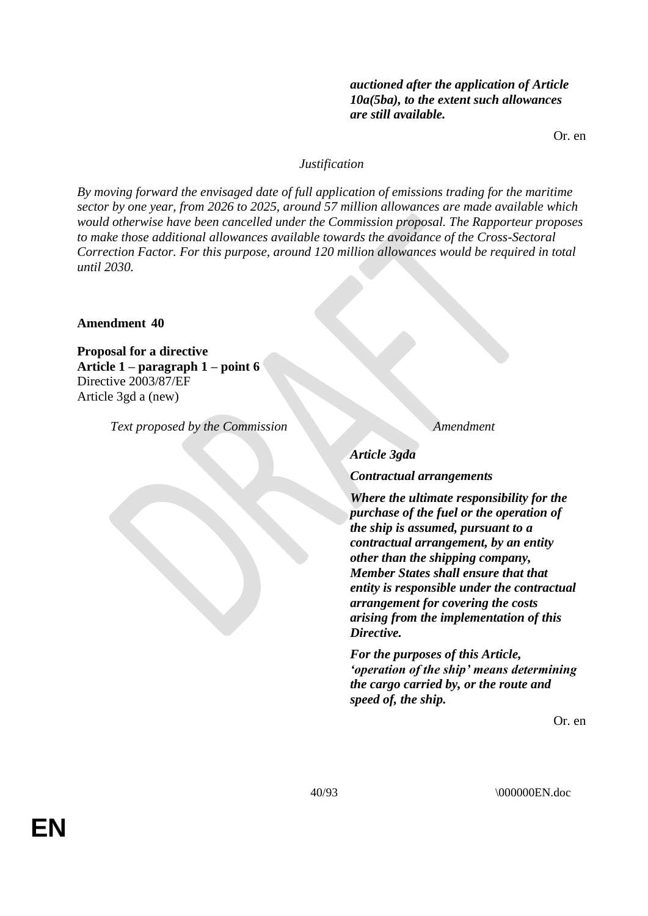# *auctioned after the application of Article 10a(5ba), to the extent such allowances are still available.*

Or. en

# *Justification*

*By moving forward the envisaged date of full application of emissions trading for the maritime sector by one year, from 2026 to 2025, around 57 million allowances are made available which would otherwise have been cancelled under the Commission proposal. The Rapporteur proposes to make those additional allowances available towards the avoidance of the Cross-Sectoral Correction Factor. For this purpose, around 120 million allowances would be required in total until 2030.*

# **Amendment 40**

**Proposal for a directive Article 1 – paragraph 1 – point 6** Directive 2003/87/EF Article 3gd a (new)

*Text proposed by the Commission Amendment*

*Article 3gda*

*Contractual arrangements*

*Where the ultimate responsibility for the purchase of the fuel or the operation of the ship is assumed, pursuant to a contractual arrangement, by an entity other than the shipping company, Member States shall ensure that that entity is responsible under the contractual arrangement for covering the costs arising from the implementation of this Directive.*

*For the purposes of this Article, 'operation of the ship' means determining the cargo carried by, or the route and speed of, the ship.*

Or. en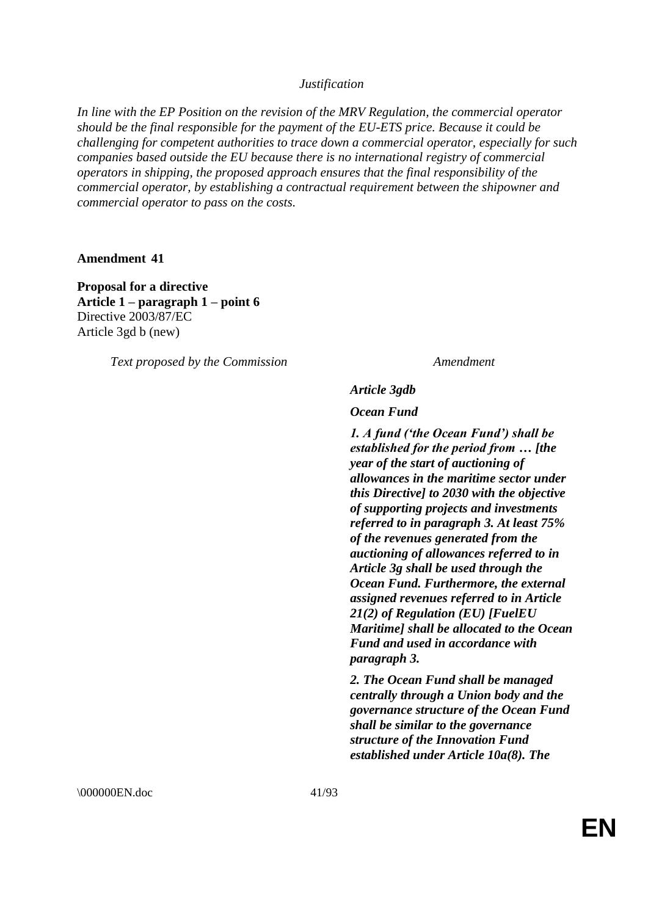*In line with the EP Position on the revision of the MRV Regulation, the commercial operator should be the final responsible for the payment of the EU-ETS price. Because it could be challenging for competent authorities to trace down a commercial operator, especially for such companies based outside the EU because there is no international registry of commercial operators in shipping, the proposed approach ensures that the final responsibility of the commercial operator, by establishing a contractual requirement between the shipowner and commercial operator to pass on the costs.*

**Amendment 41**

**Proposal for a directive Article 1 – paragraph 1 – point 6** Directive 2003/87/EC Article 3gd b (new)

*Text proposed by the Commission Amendment*

#### *Article 3gdb*

*Ocean Fund*

*1. A fund ('the Ocean Fund') shall be established for the period from … [the year of the start of auctioning of allowances in the maritime sector under this Directive] to 2030 with the objective of supporting projects and investments referred to in paragraph 3. At least 75% of the revenues generated from the auctioning of allowances referred to in Article 3g shall be used through the Ocean Fund. Furthermore, the external assigned revenues referred to in Article 21(2) of Regulation (EU) [FuelEU Maritime] shall be allocated to the Ocean Fund and used in accordance with paragraph 3.*

*2. The Ocean Fund shall be managed centrally through a Union body and the governance structure of the Ocean Fund shall be similar to the governance structure of the Innovation Fund established under Article 10a(8). The* 

\000000EN.doc 41/93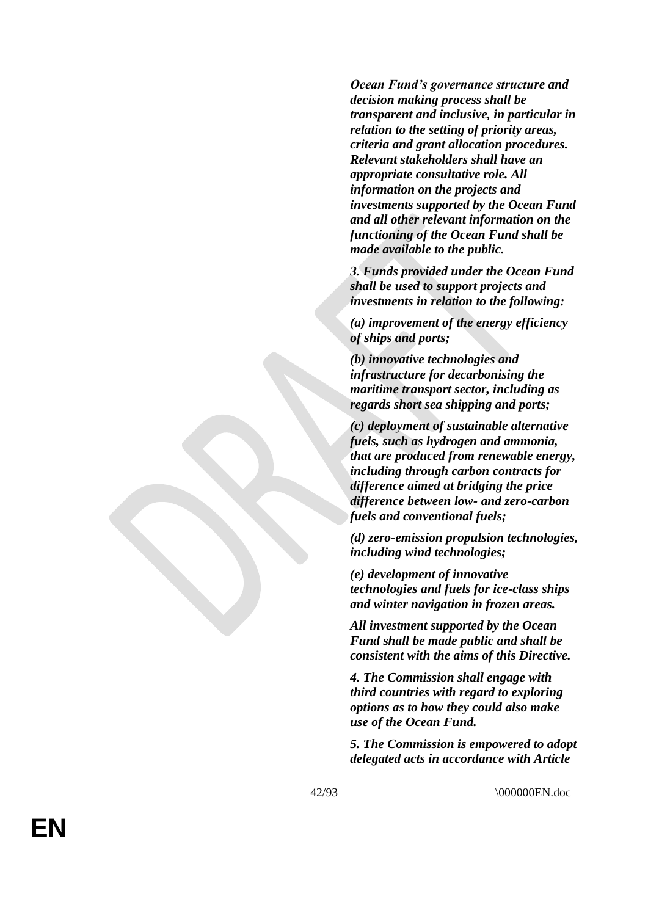*Ocean Fund's governance structure and decision making process shall be transparent and inclusive, in particular in relation to the setting of priority areas, criteria and grant allocation procedures. Relevant stakeholders shall have an appropriate consultative role. All information on the projects and investments supported by the Ocean Fund and all other relevant information on the functioning of the Ocean Fund shall be made available to the public.*

*3. Funds provided under the Ocean Fund shall be used to support projects and investments in relation to the following:*

*(a) improvement of the energy efficiency of ships and ports;*

*(b) innovative technologies and infrastructure for decarbonising the maritime transport sector, including as regards short sea shipping and ports;*

*(c) deployment of sustainable alternative fuels, such as hydrogen and ammonia, that are produced from renewable energy, including through carbon contracts for difference aimed at bridging the price difference between low - and zero -carbon fuels and conventional fuels ;*

*(d) zero -emission propulsion technologies, including wind technologies;*

*(e) development of innovative technologies and fuels for ice -class ships and winter navigation in frozen areas.*

*All investment supported by the Ocean Fund shall be made public and shall be consistent with the aims of this Directive.*

*4. The Commission shall engage with third countries with regard to exploring options as to how they could also make use of the Ocean Fund.*

*5. The Commission is empowered to adopt delegated acts in accordance with Article* 

\000000EN.doc

**EN**

42 /93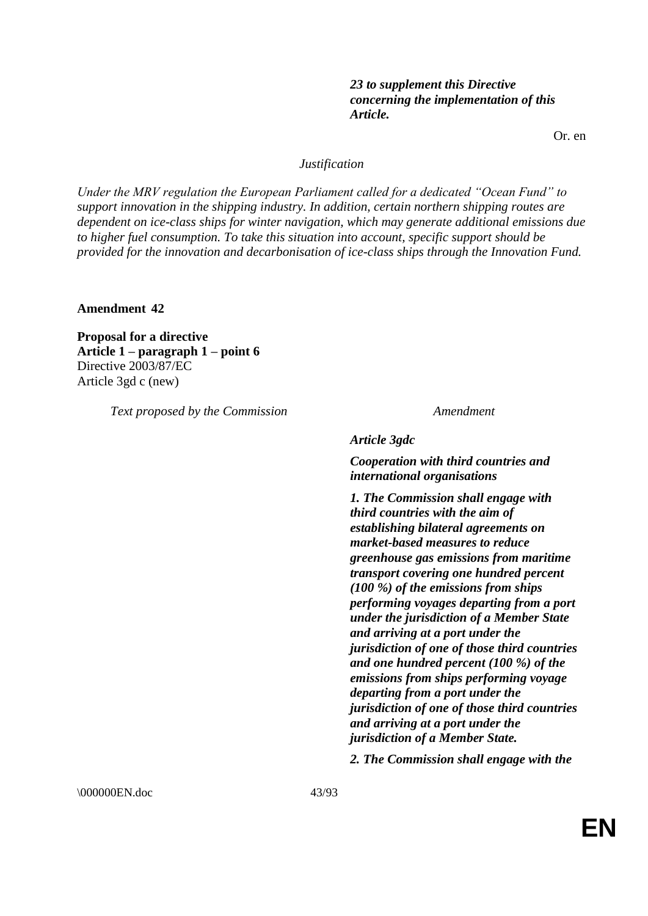# *23 to supplement this Directive concerning the implementation of this Article.*

Or. en

# *Justification*

*Under the MRV regulation the European Parliament called for a dedicated "Ocean Fund" to support innovation in the shipping industry. In addition, certain northern shipping routes are dependent on ice-class ships for winter navigation, which may generate additional emissions due to higher fuel consumption. To take this situation into account, specific support should be provided for the innovation and decarbonisation of ice-class ships through the Innovation Fund.*

**Amendment 42**

**Proposal for a directive Article 1 – paragraph 1 – point 6** Directive 2003/87/EC Article 3gd c (new)

*Text proposed by the Commission Amendment*

*Article 3gdc*

*Cooperation with third countries and international organisations*

*1. The Commission shall engage with third countries with the aim of establishing bilateral agreements on market-based measures to reduce greenhouse gas emissions from maritime transport covering one hundred percent (100 %) of the emissions from ships performing voyages departing from a port under the jurisdiction of a Member State and arriving at a port under the jurisdiction of one of those third countries and one hundred percent (100 %) of the emissions from ships performing voyage departing from a port under the jurisdiction of one of those third countries and arriving at a port under the jurisdiction of a Member State.*

*2. The Commission shall engage with the* 

\000000EN.doc 43/93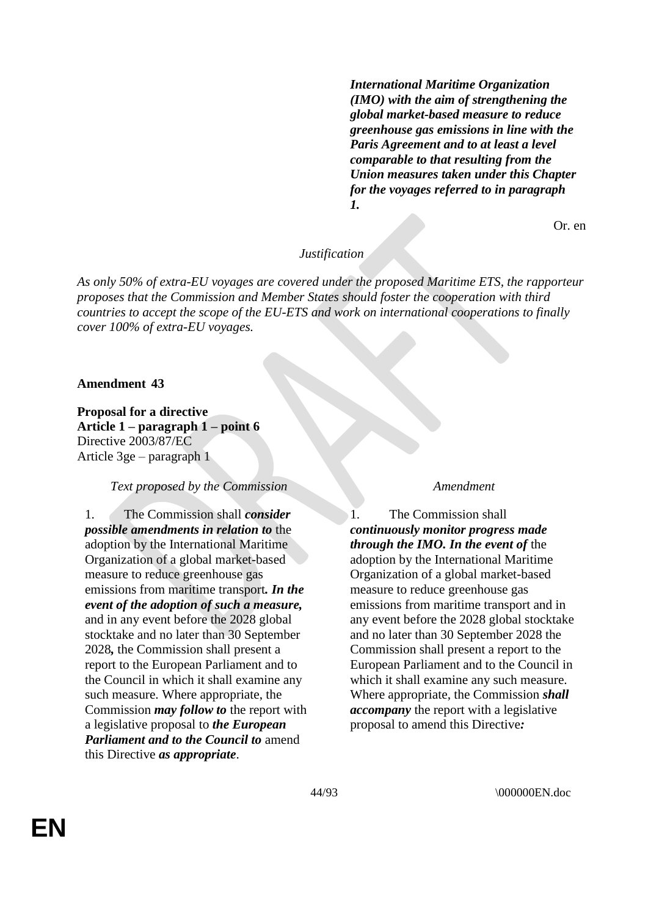*International Maritime Organization (IMO) with the aim of strengthening the global market-based measure to reduce greenhouse gas emissions in line with the Paris Agreement and to at least a level comparable to that resulting from the Union measures taken under this Chapter for the voyages referred to in paragraph 1.*

Or. en

## *Justification*

*As only 50% of extra-EU voyages are covered under the proposed Maritime ETS, the rapporteur proposes that the Commission and Member States should foster the cooperation with third countries to accept the scope of the EU-ETS and work on international cooperations to finally cover 100% of extra-EU voyages.*

### **Amendment 43**

**Proposal for a directive Article 1 – paragraph 1 – point 6** Directive 2003/87/EC Article 3ge – paragraph 1

## *Text proposed by the Commission Amendment*

1. The Commission shall *consider possible amendments in relation to* the adoption by the International Maritime Organization of a global market-based measure to reduce greenhouse gas emissions from maritime transport*. In the event of the adoption of such a measure,* and in any event before the 2028 global stocktake and no later than 30 September 2028*,* the Commission shall present a report to the European Parliament and to the Council in which it shall examine any such measure. Where appropriate, the Commission *may follow to* the report with a legislative proposal to *the European Parliament and to the Council to* amend this Directive *as appropriate*.

1. The Commission shall *continuously monitor progress made through the IMO. In the event of* the adoption by the International Maritime Organization of a global market-based measure to reduce greenhouse gas emissions from maritime transport and in any event before the 2028 global stocktake and no later than 30 September 2028 the Commission shall present a report to the European Parliament and to the Council in which it shall examine any such measure. Where appropriate, the Commission *shall accompany* the report with a legislative proposal to amend this Directive*:*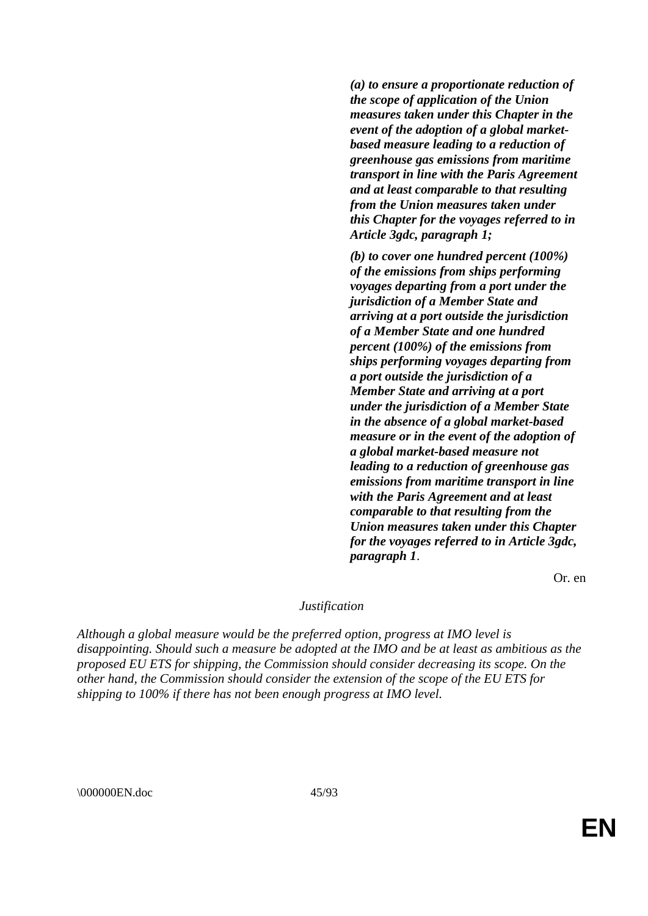*(a) to ensure a proportionate reduction of the scope of application of the Union measures taken under this Chapter in the event of the adoption of a global marketbased measure leading to a reduction of greenhouse gas emissions from maritime transport in line with the Paris Agreement and at least comparable to that resulting from the Union measures taken under this Chapter for the voyages referred to in Article 3gdc, paragraph 1;*

*(b) to cover one hundred percent (100%) of the emissions from ships performing voyages departing from a port under the jurisdiction of a Member State and arriving at a port outside the jurisdiction of a Member State and one hundred percent (100%) of the emissions from ships performing voyages departing from a port outside the jurisdiction of a Member State and arriving at a port under the jurisdiction of a Member State in the absence of a global market-based measure or in the event of the adoption of a global market-based measure not leading to a reduction of greenhouse gas emissions from maritime transport in line with the Paris Agreement and at least comparable to that resulting from the Union measures taken under this Chapter for the voyages referred to in Article 3gdc, paragraph 1*.

Or. en

#### *Justification*

*Although a global measure would be the preferred option, progress at IMO level is disappointing. Should such a measure be adopted at the IMO and be at least as ambitious as the proposed EU ETS for shipping, the Commission should consider decreasing its scope. On the other hand, the Commission should consider the extension of the scope of the EU ETS for shipping to 100% if there has not been enough progress at IMO level.*

\000000EN.doc 45/93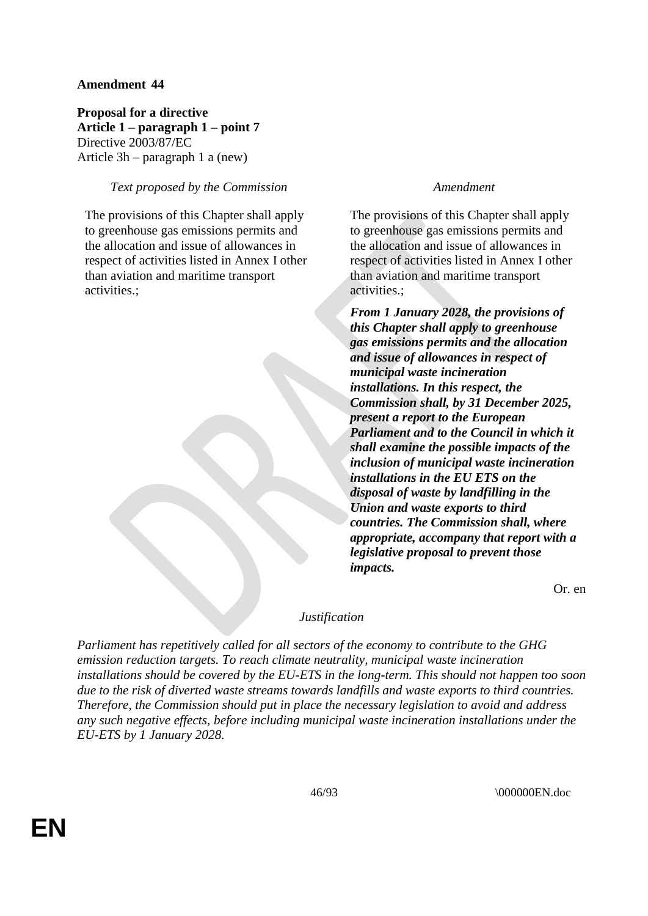**Proposal for a directive Article 1 – paragraph 1 – point 7** Directive 2003/87/EC Article 3h – paragraph 1 a (new)

# *Text proposed by the Commission Amendment*

The provisions of this Chapter shall apply to greenhouse gas emissions permits and the allocation and issue of allowances in respect of activities listed in Annex I other than aviation and maritime transport activities.;

The provisions of this Chapter shall apply to greenhouse gas emissions permits and the allocation and issue of allowances in respect of activities listed in Annex I other than aviation and maritime transport activities.;

*From 1 January 2028, the provisions of this Chapter shall apply to greenhouse gas emissions permits and the allocation and issue of allowances in respect of municipal waste incineration installations. In this respect, the Commission shall, by 31 December 2025, present a report to the European Parliament and to the Council in which it shall examine the possible impacts of the inclusion of municipal waste incineration installations in the EU ETS on the disposal of waste by landfilling in the Union and waste exports to third countries. The Commission shall, where appropriate, accompany that report with a legislative proposal to prevent those impacts.*

Or. en

# *Justification*

*Parliament has repetitively called for all sectors of the economy to contribute to the GHG emission reduction targets. To reach climate neutrality, municipal waste incineration installations should be covered by the EU-ETS in the long-term. This should not happen too soon due to the risk of diverted waste streams towards landfills and waste exports to third countries. Therefore, the Commission should put in place the necessary legislation to avoid and address any such negative effects, before including municipal waste incineration installations under the EU-ETS by 1 January 2028.*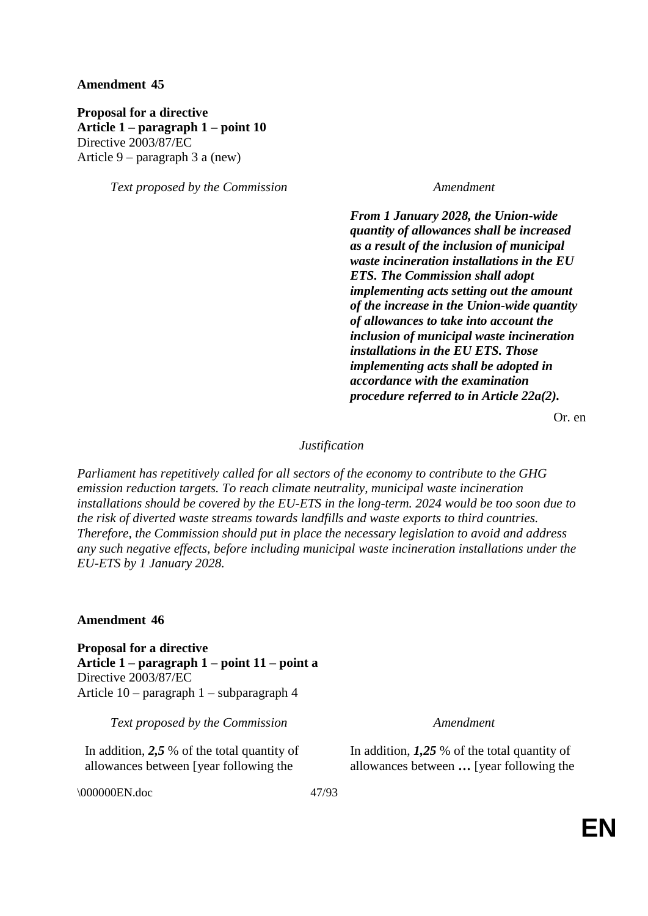**Proposal for a directive Article 1 – paragraph 1 – point 10** Directive 2003/87/EC Article 9 – paragraph 3 a (new)

*Text proposed by the Commission Amendment*

*From 1 January 2028, the Union-wide quantity of allowances shall be increased as a result of the inclusion of municipal waste incineration installations in the EU ETS. The Commission shall adopt implementing acts setting out the amount of the increase in the Union-wide quantity of allowances to take into account the inclusion of municipal waste incineration installations in the EU ETS. Those implementing acts shall be adopted in accordance with the examination procedure referred to in Article 22a(2).*

Or. en

## *Justification*

*Parliament has repetitively called for all sectors of the economy to contribute to the GHG emission reduction targets. To reach climate neutrality, municipal waste incineration installations should be covered by the EU-ETS in the long-term. 2024 would be too soon due to the risk of diverted waste streams towards landfills and waste exports to third countries. Therefore, the Commission should put in place the necessary legislation to avoid and address any such negative effects, before including municipal waste incineration installations under the EU-ETS by 1 January 2028.*

#### **Amendment 46**

**Proposal for a directive Article 1 – paragraph 1 – point 11 – point a** Directive 2003/87/EC Article 10 – paragraph 1 – subparagraph 4

*Text proposed by the Commission Amendment*

In addition, *2,5* % of the total quantity of allowances between [year following the

\000000EN.doc 47/93

In addition, *1,25* % of the total quantity of allowances between *…* [year following the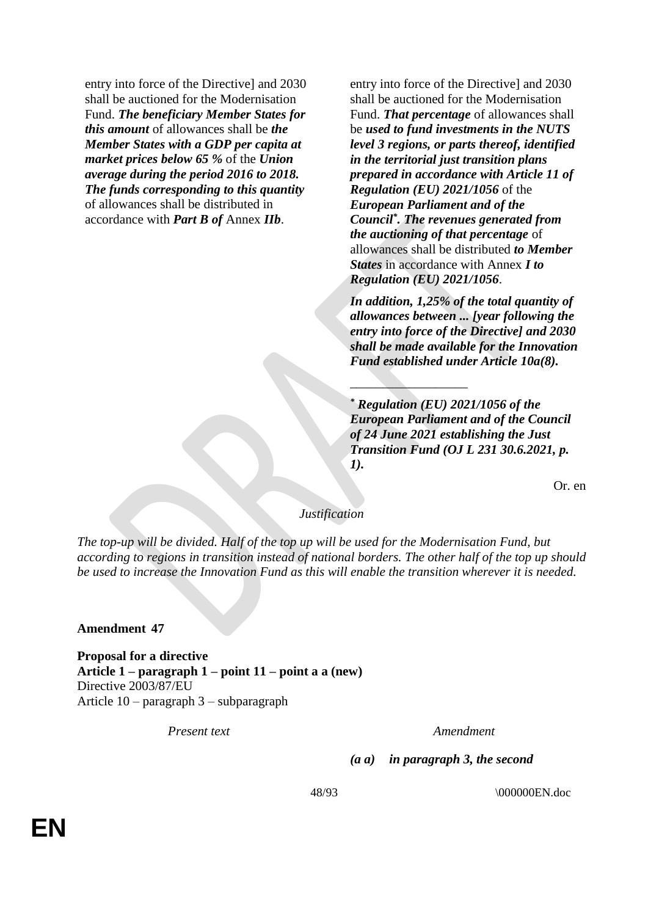entry into force of the Directive] and 2030 shall be auctioned for the Modernisation Fund. *The beneficiary Member States for this amount* of allowances shall be *the Member States with a GDP per capita at market prices below 65 %* of the *Union average during the period 2016 to 2018. The funds corresponding to this quantity* of allowances shall be distributed in accordance with *Part B of* Annex *IIb*.

entry into force of the Directive] and 2030 shall be auctioned for the Modernisation Fund. *That percentage* of allowances shall be *used to fund investments in the NUTS level 3 regions, or parts thereof, identified in the territorial just transition plans prepared in accordance with Article 11 of Regulation (EU) 2021/1056* of the *European Parliament and of the Council\* . The revenues generated from the auctioning of that percentage* of allowances shall be distributed *to Member States* in accordance with Annex *I to Regulation (EU) 2021/1056*.

*In addition, 1,25% of the total quantity of allowances between ... [year following the entry into force of the Directive] and 2030 shall be made available for the Innovation Fund established under Article 10a(8).*

*\* Regulation (EU) 2021/1056 of the European Parliament and of the Council of 24 June 2021 establishing the Just Transition Fund (OJ L 231 30.6.2021, p. 1).*

 $\frac{1}{2}$  ,  $\frac{1}{2}$  ,  $\frac{1}{2}$  ,  $\frac{1}{2}$  ,  $\frac{1}{2}$  ,  $\frac{1}{2}$  ,  $\frac{1}{2}$ 

Or. en

# *Justification*

*The top-up will be divided. Half of the top up will be used for the Modernisation Fund, but according to regions in transition instead of national borders. The other half of the top up should be used to increase the Innovation Fund as this will enable the transition wherever it is needed.*

### **Amendment 47**

**Proposal for a directive Article 1 – paragraph 1 – point 11 – point a a (new)** Directive 2003/87/EU Article 10 – paragraph 3 – subparagraph

*Present text Amendment*

*(a a) in paragraph 3, the second*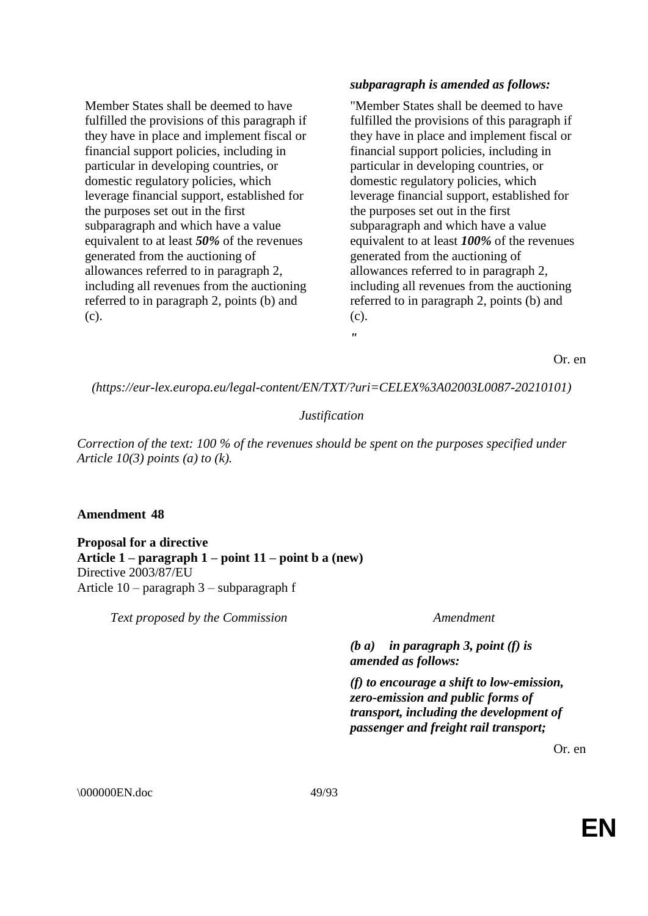Member States shall be deemed to have fulfilled the provisions of this paragraph if they have in place and implement fiscal or financial support policies, including in particular in developing countries, or domestic regulatory policies, which leverage financial support, established for the purposes set out in the first subparagraph and which have a value equivalent to at least *50%* of the revenues generated from the auctioning of allowances referred to in paragraph 2, including all revenues from the auctioning referred to in paragraph 2, points (b) and (c).

# *subparagraph is amended as follows:*

"Member States shall be deemed to have fulfilled the provisions of this paragraph if they have in place and implement fiscal or financial support policies, including in particular in developing countries, or domestic regulatory policies, which leverage financial support, established for the purposes set out in the first subparagraph and which have a value equivalent to at least *100%* of the revenues generated from the auctioning of allowances referred to in paragraph 2, including all revenues from the auctioning referred to in paragraph 2, points (b) and (c). *"*

Or. en

*(https://eur-lex.europa.eu/legal-content/EN/TXT/?uri=CELEX%3A02003L0087-20210101)*

# *Justification*

*Correction of the text: 100 % of the revenues should be spent on the purposes specified under Article 10(3) points (a) to (k).*

# **Amendment 48**

**Proposal for a directive Article 1 – paragraph 1 – point 11 – point b a (new)** Directive 2003/87/EU Article 10 – paragraph 3 – subparagraph f

*Text proposed by the Commission Amendment*

*(b a) in paragraph 3, point (f) is amended as follows:*

*(f) to encourage a shift to low-emission, zero-emission and public forms of transport, including the development of passenger and freight rail transport;*

Or. en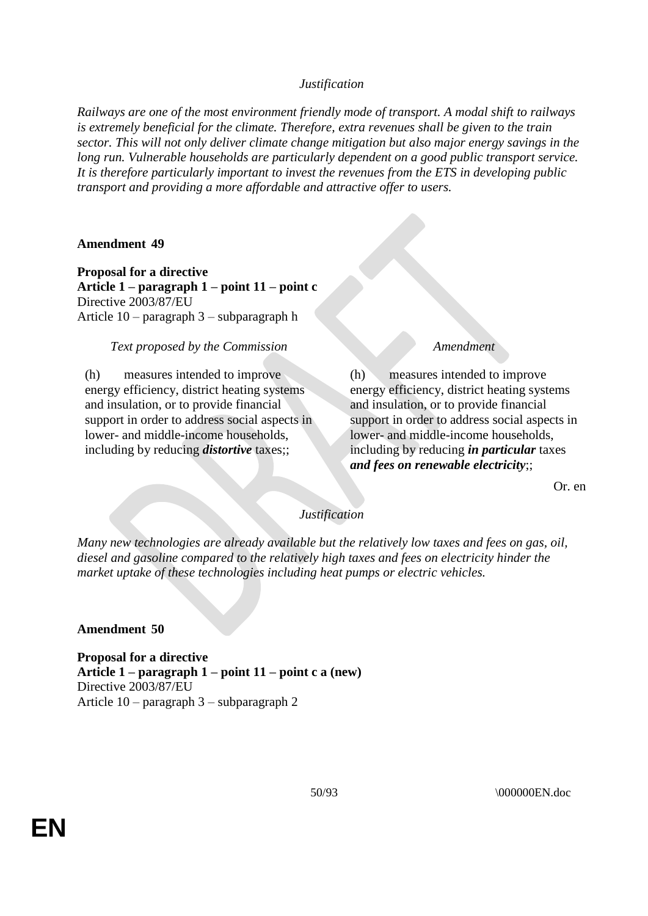*Railways are one of the most environment friendly mode of transport. A modal shift to railways is extremely beneficial for the climate. Therefore, extra revenues shall be given to the train sector. This will not only deliver climate change mitigation but also major energy savings in the long run. Vulnerable households are particularly dependent on a good public transport service. It is therefore particularly important to invest the revenues from the ETS in developing public transport and providing a more affordable and attractive offer to users.*

## **Amendment 49**

**Proposal for a directive Article 1 – paragraph 1 – point 11 – point c** Directive 2003/87/EU Article 10 – paragraph 3 – subparagraph h

## *Text proposed by the Commission Amendment*

(h) measures intended to improve energy efficiency, district heating systems and insulation, or to provide financial support in order to address social aspects in lower- and middle-income households, including by reducing *distortive* taxes;;

(h) measures intended to improve energy efficiency, district heating systems and insulation, or to provide financial support in order to address social aspects in lower- and middle-income households, including by reducing *in particular* taxes *and fees on renewable electricity*;;

Or. en

### *Justification*

*Many new technologies are already available but the relatively low taxes and fees on gas, oil, diesel and gasoline compared to the relatively high taxes and fees on electricity hinder the market uptake of these technologies including heat pumps or electric vehicles.*

# **Amendment 50**

**Proposal for a directive Article 1 – paragraph 1 – point 11 – point c a (new)** Directive 2003/87/EU Article 10 – paragraph 3 – subparagraph 2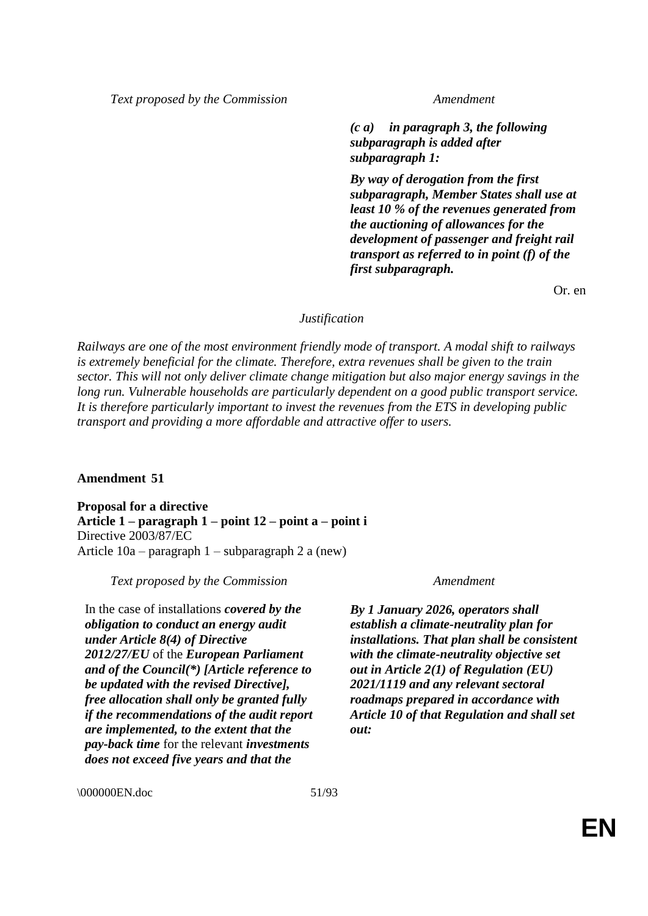*Text proposed by the Commission Amendment*

*(c a) in paragraph 3, the following subparagraph is added after subparagraph 1:*

*By way of derogation from the first subparagraph, Member States shall use at least 10 % of the revenues generated from the auctioning of allowances for the development of passenger and freight rail transport as referred to in point (f) of the first subparagraph.*

Or. en

## *Justification*

*Railways are one of the most environment friendly mode of transport. A modal shift to railways is extremely beneficial for the climate. Therefore, extra revenues shall be given to the train sector. This will not only deliver climate change mitigation but also major energy savings in the long run. Vulnerable households are particularly dependent on a good public transport service. It is therefore particularly important to invest the revenues from the ETS in developing public transport and providing a more affordable and attractive offer to users.*

# **Amendment 51**

**Proposal for a directive Article 1 – paragraph 1 – point 12 – point a – point i** Directive 2003/87/EC Article 10a – paragraph 1 – subparagraph 2 a (new)

### *Text proposed by the Commission Amendment*

In the case of installations *covered by the obligation to conduct an energy audit under Article 8(4) of Directive 2012/27/EU* of the *European Parliament and of the Council(\*) [Article reference to be updated with the revised Directive], free allocation shall only be granted fully if the recommendations of the audit report are implemented, to the extent that the pay-back time* for the relevant *investments does not exceed five years and that the* 

*By 1 January 2026, operators shall establish a climate-neutrality plan for installations. That plan shall be consistent with the climate-neutrality objective set out in Article 2(1) of Regulation (EU) 2021/1119 and any relevant sectoral roadmaps prepared in accordance with Article 10 of that Regulation and shall set out:*

\000000EN.doc 51/93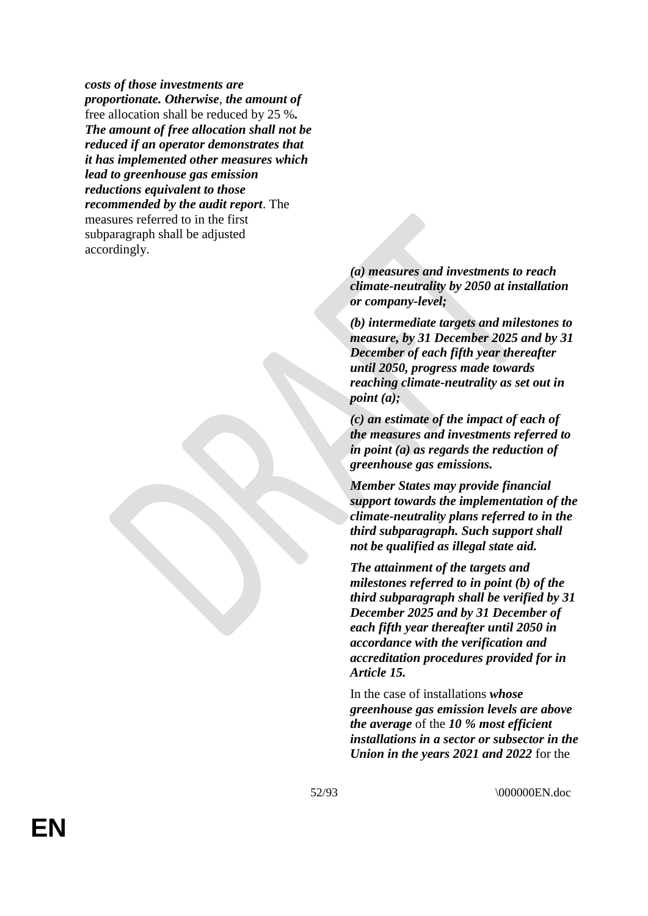*costs of those investments are proportionate. Otherwise*, *the amount of* free allocation shall be reduced by 25 %*. The amount of free allocation shall not be reduced if an operator demonstrates that it has implemented other measures which lead to greenhouse gas emission reductions equivalent to those recommended by the audit report*. The measures referred to in the first subparagraph shall be adjusted accordingly.

> *(a) measures and investments to reach climate-neutrality by 2050 at installation or company-level;*

*(b) intermediate targets and milestones to measure, by 31 December 2025 and by 31 December of each fifth year thereafter until 2050, progress made towards reaching climate-neutrality as set out in point (a);*

*(c) an estimate of the impact of each of the measures and investments referred to in point (a) as regards the reduction of greenhouse gas emissions.*

*Member States may provide financial support towards the implementation of the climate-neutrality plans referred to in the third subparagraph. Such support shall not be qualified as illegal state aid.*

*The attainment of the targets and milestones referred to in point (b) of the third subparagraph shall be verified by 31 December 2025 and by 31 December of each fifth year thereafter until 2050 in accordance with the verification and accreditation procedures provided for in Article 15.*

In the case of installations *whose greenhouse gas emission levels are above the average* of the *10 % most efficient installations in a sector or subsector in the Union in the years 2021 and 2022* for the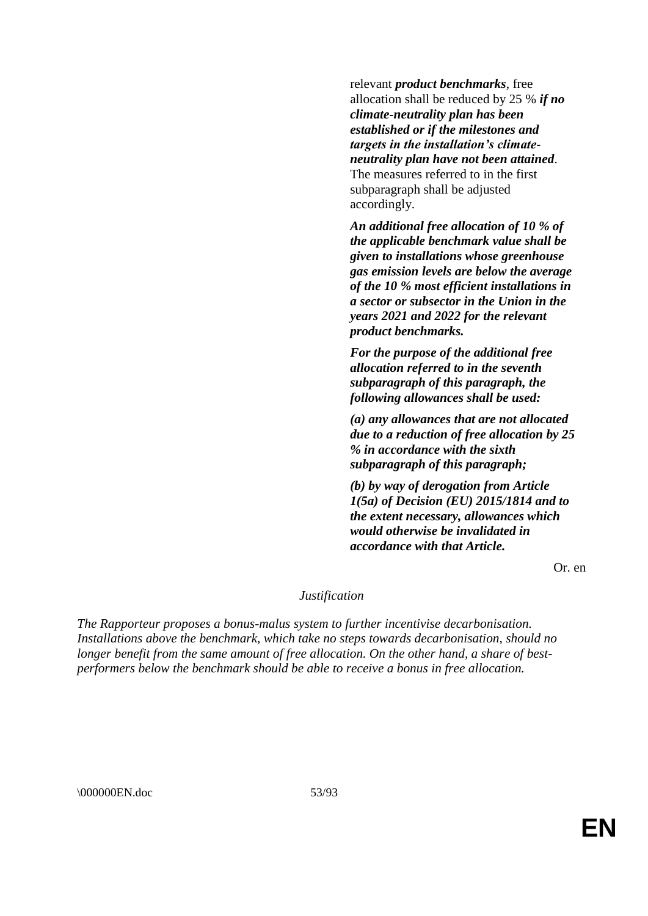relevant *product benchmarks*, free allocation shall be reduced by 25 % *if no climate-neutrality plan has been established or if the milestones and targets in the installation's climateneutrality plan have not been attained*. The measures referred to in the first subparagraph shall be adjusted accordingly.

*An additional free allocation of 10 % of the applicable benchmark value shall be given to installations whose greenhouse gas emission levels are below the average of the 10 % most efficient installations in a sector or subsector in the Union in the years 2021 and 2022 for the relevant product benchmarks.*

*For the purpose of the additional free allocation referred to in the seventh subparagraph of this paragraph, the following allowances shall be used:*

*(a) any allowances that are not allocated due to a reduction of free allocation by 25 % in accordance with the sixth subparagraph of this paragraph;*

*(b) by way of derogation from Article 1(5a) of Decision (EU) 2015/1814 and to the extent necessary, allowances which would otherwise be invalidated in accordance with that Article.*

Or. en

## *Justification*

*The Rapporteur proposes a bonus-malus system to further incentivise decarbonisation. Installations above the benchmark, which take no steps towards decarbonisation, should no longer benefit from the same amount of free allocation. On the other hand, a share of bestperformers below the benchmark should be able to receive a bonus in free allocation.*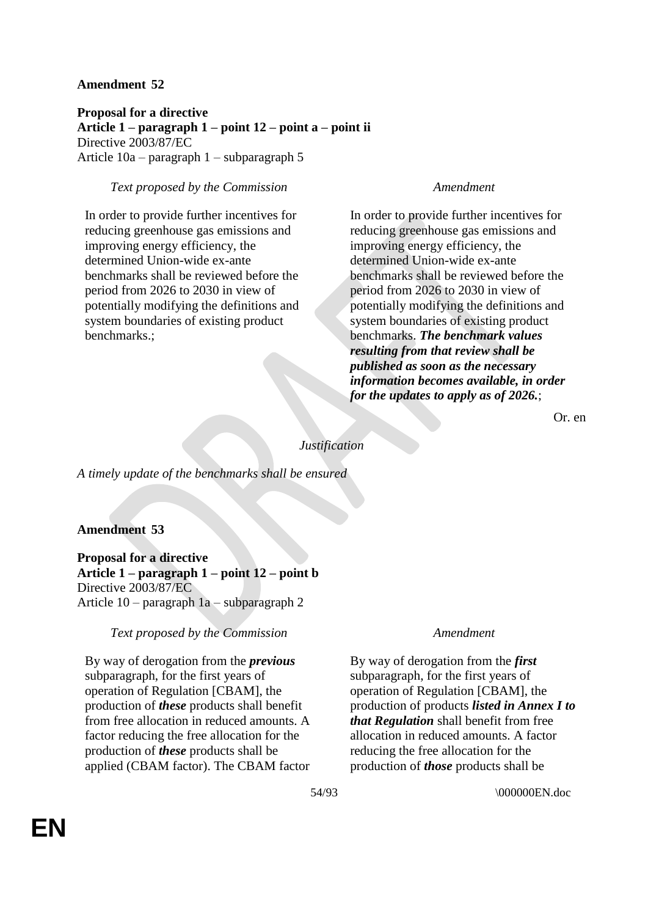**Proposal for a directive Article 1 – paragraph 1 – point 12 – point a – point ii** Directive 2003/87/EC Article 10a – paragraph 1 – subparagraph 5

## *Text proposed by the Commission Amendment*

In order to provide further incentives for reducing greenhouse gas emissions and improving energy efficiency, the determined Union-wide ex-ante benchmarks shall be reviewed before the period from 2026 to 2030 in view of potentially modifying the definitions and system boundaries of existing product benchmarks.;

In order to provide further incentives for reducing greenhouse gas emissions and improving energy efficiency, the determined Union-wide ex-ante benchmarks shall be reviewed before the period from 2026 to 2030 in view of potentially modifying the definitions and system boundaries of existing product benchmarks. *The benchmark values resulting from that review shall be published as soon as the necessary information becomes available, in order for the updates to apply as of 2026.*;

Or. en

*Justification*

*A timely update of the benchmarks shall be ensured*

# **Amendment 53**

**Proposal for a directive Article 1 – paragraph 1 – point 12 – point b** Directive 2003/87/EC Article 10 – paragraph 1a – subparagraph 2

# *Text proposed by the Commission Amendment*

By way of derogation from the *previous* subparagraph, for the first years of operation of Regulation [CBAM], the production of *these* products shall benefit from free allocation in reduced amounts. A factor reducing the free allocation for the production of *these* products shall be applied (CBAM factor). The CBAM factor

By way of derogation from the *first* subparagraph, for the first years of operation of Regulation [CBAM], the production of products *listed in Annex I to that Regulation* shall benefit from free allocation in reduced amounts. A factor reducing the free allocation for the production of *those* products shall be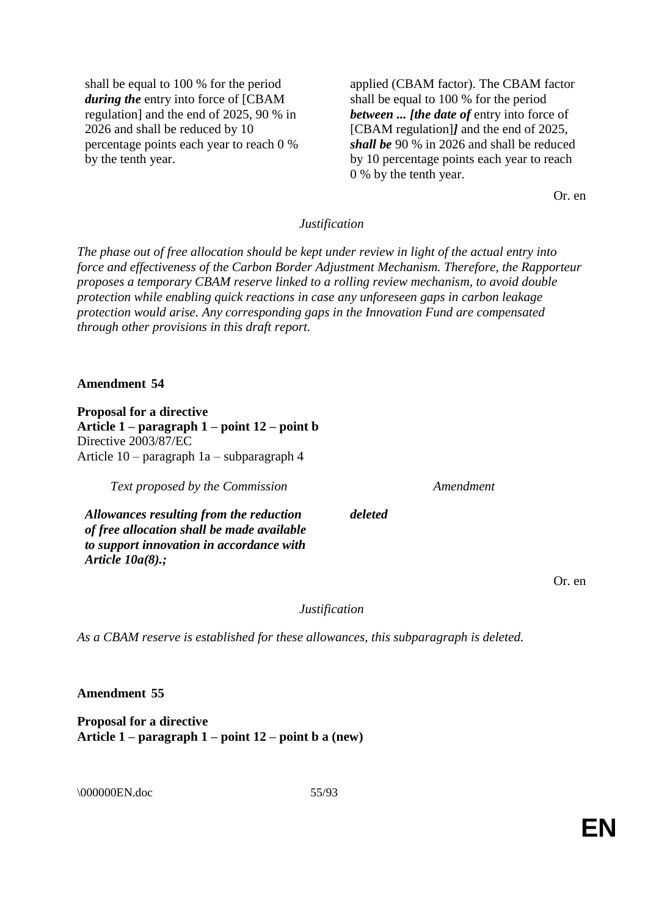shall be equal to 100 % for the period *during the* entry into force of [CBAM regulation] and the end of 2025, 90 % in 2026 and shall be reduced by 10 percentage points each year to reach 0 % by the tenth year.

applied (CBAM factor). The CBAM factor shall be equal to 100 % for the period *between ... [the date of* entry into force of [CBAM regulation]*]* and the end of 2025, *shall be* 90 % in 2026 and shall be reduced by 10 percentage points each year to reach 0 % by the tenth year.

Or. en

## *Justification*

*The phase out of free allocation should be kept under review in light of the actual entry into force and effectiveness of the Carbon Border Adjustment Mechanism. Therefore, the Rapporteur proposes a temporary CBAM reserve linked to a rolling review mechanism, to avoid double protection while enabling quick reactions in case any unforeseen gaps in carbon leakage protection would arise. Any corresponding gaps in the Innovation Fund are compensated through other provisions in this draft report.*

#### **Amendment 54**

**Proposal for a directive Article 1 – paragraph 1 – point 12 – point b** Directive 2003/87/EC Article 10 – paragraph 1a – subparagraph 4

*Text proposed by the Commission Amendment*

*Allowances resulting from the reduction of free allocation shall be made available to support innovation in accordance with Article 10a(8).;*

Or. en

*Justification*

*deleted*

*As a CBAM reserve is established for these allowances, this subparagraph is deleted.*

**Amendment 55**

**Proposal for a directive Article 1 – paragraph 1 – point 12 – point b a (new)**

\000000EN.doc 55/93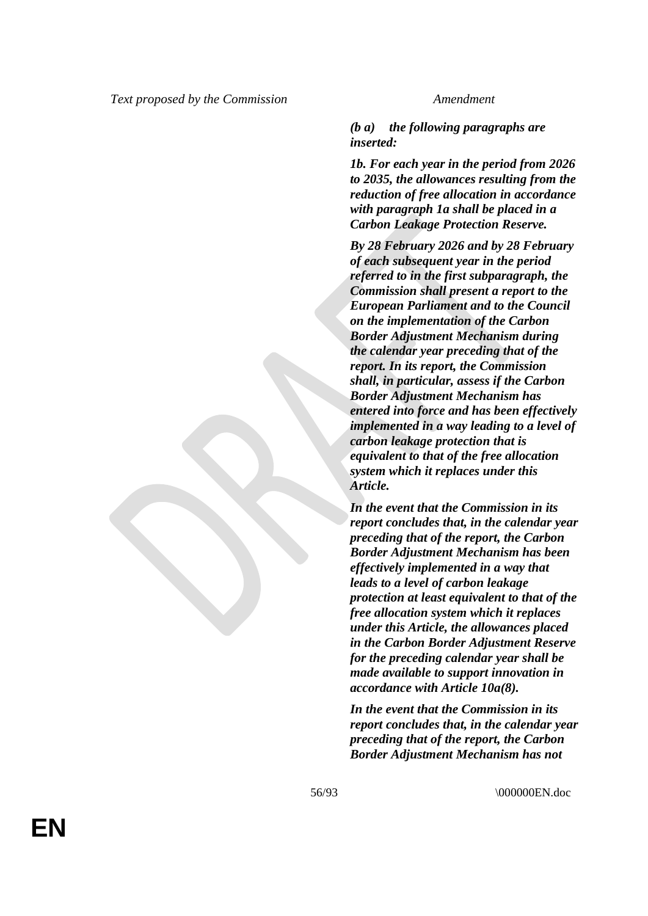## *(b a) the following paragraphs are inserted:*

*1b. For each year in the period from 2026 to 2035, the allowances resulting from the reduction of free allocation in accordance with paragraph 1a shall be placed in a Carbon Leakage Protection Reserve.*

*By 28 February 2026 and by 28 February of each subsequent year in the period referred to in the first subparagraph, the Commission shall present a report to the European Parliament and to the Council on the implementation of the Carbon Border Adjustment Mechanism during the calendar year preceding that of the report. In its report, the Commission shall, in particular, assess if the Carbon Border Adjustment Mechanism has entered into force and has been effectively implemented in a way leading to a level of carbon leakage protection that is equivalent to that of the free allocation system which it replaces under this Article.*

*In the event that the Commission in its report concludes that, in the calendar year preceding that of the report, the Carbon Border Adjustment Mechanism has been effectively implemented in a way that leads to a level of carbon leakage protection at least equivalent to that of the free allocation system which it replaces under this Article, the allowances placed in the Carbon Border Adjustment Reserve for the preceding calendar year shall be made available to support innovation in accordance with Article 10a(8).*

*In the event that the Commission in its report concludes that, in the calendar year preceding that of the report, the Carbon Border Adjustment Mechanism has not*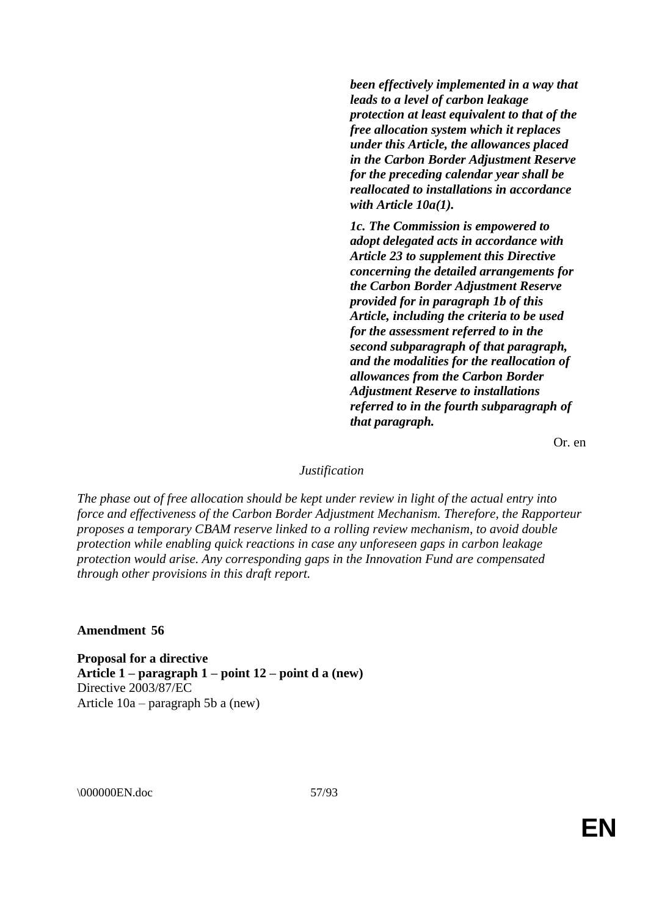*been effectively implemented in a way that leads to a level of carbon leakage protection at least equivalent to that of the free allocation system which it replaces under this Article, the allowances placed in the Carbon Border Adjustment Reserve for the preceding calendar year shall be reallocated to installations in accordance with Article 10a(1).*

*1c. The Commission is empowered to adopt delegated acts in accordance with Article 23 to supplement this Directive concerning the detailed arrangements for the Carbon Border Adjustment Reserve provided for in paragraph 1b of this Article, including the criteria to be used for the assessment referred to in the second subparagraph of that paragraph, and the modalities for the reallocation of allowances from the Carbon Border Adjustment Reserve to installations referred to in the fourth subparagraph of that paragraph.*

Or. en

## *Justification*

*The phase out of free allocation should be kept under review in light of the actual entry into force and effectiveness of the Carbon Border Adjustment Mechanism. Therefore, the Rapporteur proposes a temporary CBAM reserve linked to a rolling review mechanism, to avoid double protection while enabling quick reactions in case any unforeseen gaps in carbon leakage protection would arise. Any corresponding gaps in the Innovation Fund are compensated through other provisions in this draft report.*

#### **Amendment 56**

**Proposal for a directive Article 1 – paragraph 1 – point 12 – point d a (new)** Directive 2003/87/EC Article 10a – paragraph 5b a (new)

\000000EN.doc 57/93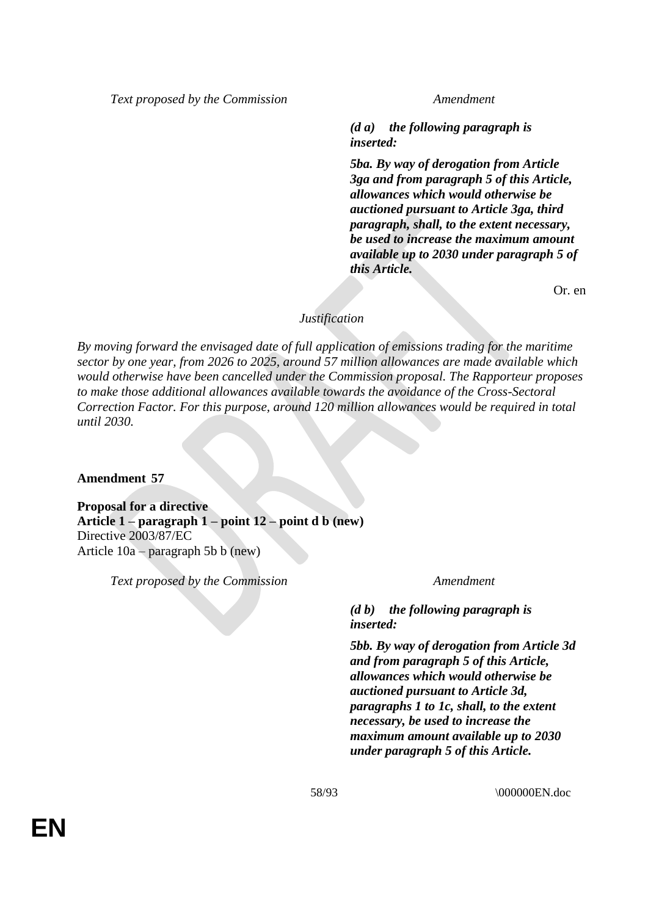*Text proposed by the Commission Amendment*

*(d a) the following paragraph is inserted:*

*5ba. By way of derogation from Article 3ga and from paragraph 5 of this Article, allowances which would otherwise be auctioned pursuant to Article 3ga, third paragraph, shall, to the extent necessary, be used to increase the maximum amount available up to 2030 under paragraph 5 of this Article.*

Or. en

## *Justification*

*By moving forward the envisaged date of full application of emissions trading for the maritime sector by one year, from 2026 to 2025, around 57 million allowances are made available which would otherwise have been cancelled under the Commission proposal. The Rapporteur proposes to make those additional allowances available towards the avoidance of the Cross-Sectoral Correction Factor. For this purpose, around 120 million allowances would be required in total until 2030.*

**Amendment 57**

**Proposal for a directive Article 1 – paragraph 1 – point 12 – point d b (new)** Directive 2003/87/EC Article 10a – paragraph 5b b (new)

*Text proposed by the Commission Amendment*

*(d b) the following paragraph is inserted:*

*5bb. By way of derogation from Article 3d and from paragraph 5 of this Article, allowances which would otherwise be auctioned pursuant to Article 3d, paragraphs 1 to 1c, shall, to the extent necessary, be used to increase the maximum amount available up to 2030 under paragraph 5 of this Article.*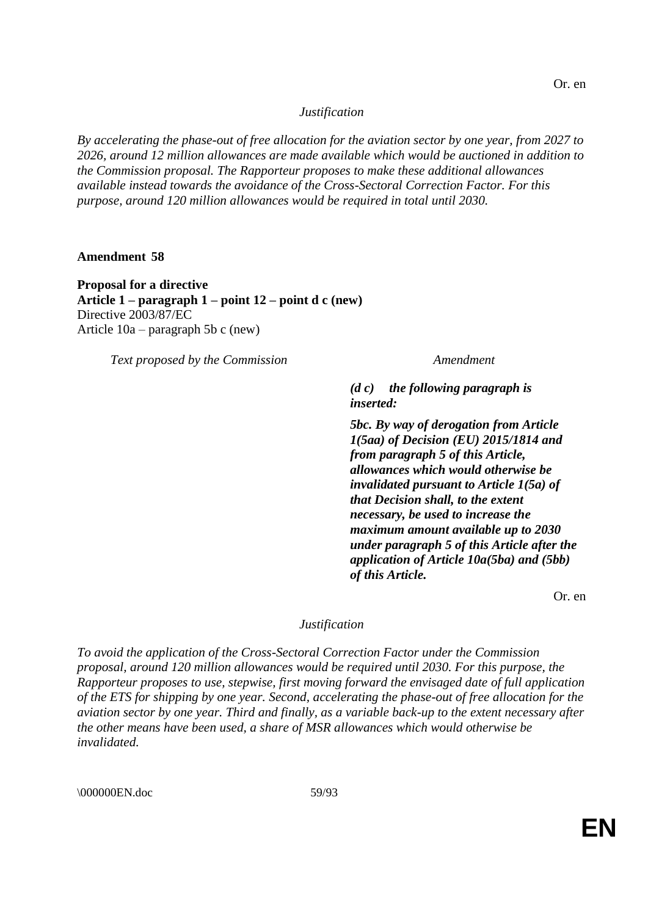*By accelerating the phase-out of free allocation for the aviation sector by one year, from 2027 to 2026, around 12 million allowances are made available which would be auctioned in addition to the Commission proposal. The Rapporteur proposes to make these additional allowances available instead towards the avoidance of the Cross-Sectoral Correction Factor. For this purpose, around 120 million allowances would be required in total until 2030.*

### **Amendment 58**

**Proposal for a directive Article 1 – paragraph 1 – point 12 – point d c (new)** Directive 2003/87/EC Article 10a – paragraph 5b c (new)

*Text proposed by the Commission Amendment*

*(d c) the following paragraph is inserted:*

*5bc. By way of derogation from Article 1(5aa) of Decision (EU) 2015/1814 and from paragraph 5 of this Article, allowances which would otherwise be invalidated pursuant to Article 1(5a) of that Decision shall, to the extent necessary, be used to increase the maximum amount available up to 2030 under paragraph 5 of this Article after the application of Article 10a(5ba) and (5bb) of this Article.*

Or. en

# *Justification*

*To avoid the application of the Cross-Sectoral Correction Factor under the Commission proposal, around 120 million allowances would be required until 2030. For this purpose, the Rapporteur proposes to use, stepwise, first moving forward the envisaged date of full application of the ETS for shipping by one year. Second, accelerating the phase-out of free allocation for the aviation sector by one year. Third and finally, as a variable back-up to the extent necessary after the other means have been used, a share of MSR allowances which would otherwise be invalidated.*

\000000EN.doc 59/93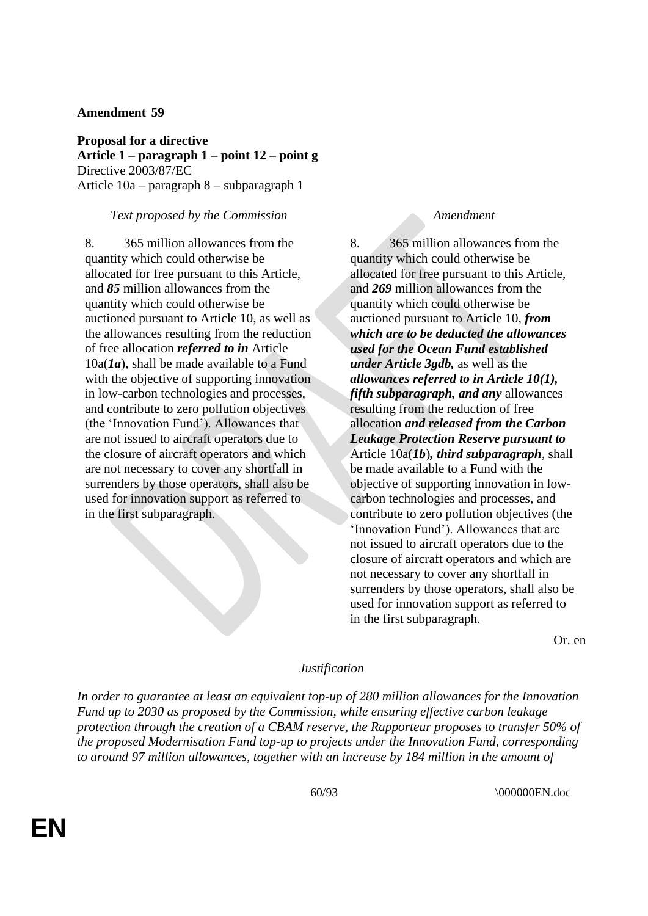**Proposal for a directive Article 1 – paragraph 1 – point 12 – point g** Directive 2003/87/EC Article 10a – paragraph 8 – subparagraph 1

## *Text proposed by the Commission Amendment*

8. 365 million allowances from the quantity which could otherwise be allocated for free pursuant to this Article, and *85* million allowances from the quantity which could otherwise be auctioned pursuant to Article 10, as well as the allowances resulting from the reduction of free allocation *referred to in* Article 10a(*1a*), shall be made available to a Fund with the objective of supporting innovation in low-carbon technologies and processes, and contribute to zero pollution objectives (the 'Innovation Fund'). Allowances that are not issued to aircraft operators due to the closure of aircraft operators and which are not necessary to cover any shortfall in surrenders by those operators, shall also be used for innovation support as referred to in the first subparagraph.

8. 365 million allowances from the quantity which could otherwise be allocated for free pursuant to this Article, and *269* million allowances from the quantity which could otherwise be auctioned pursuant to Article 10, *from which are to be deducted the allowances used for the Ocean Fund established under Article 3gdb,* as well as the *allowances referred to in Article 10(1), fifth subparagraph, and any* allowances resulting from the reduction of free allocation *and released from the Carbon Leakage Protection Reserve pursuant to* Article 10a(*1b*)*, third subparagraph*, shall be made available to a Fund with the objective of supporting innovation in lowcarbon technologies and processes, and contribute to zero pollution objectives (the 'Innovation Fund'). Allowances that are not issued to aircraft operators due to the closure of aircraft operators and which are not necessary to cover any shortfall in surrenders by those operators, shall also be used for innovation support as referred to in the first subparagraph.

Or. en

### *Justification*

*In order to guarantee at least an equivalent top-up of 280 million allowances for the Innovation Fund up to 2030 as proposed by the Commission, while ensuring effective carbon leakage protection through the creation of a CBAM reserve, the Rapporteur proposes to transfer 50% of the proposed Modernisation Fund top-up to projects under the Innovation Fund, corresponding to around 97 million allowances, together with an increase by 184 million in the amount of*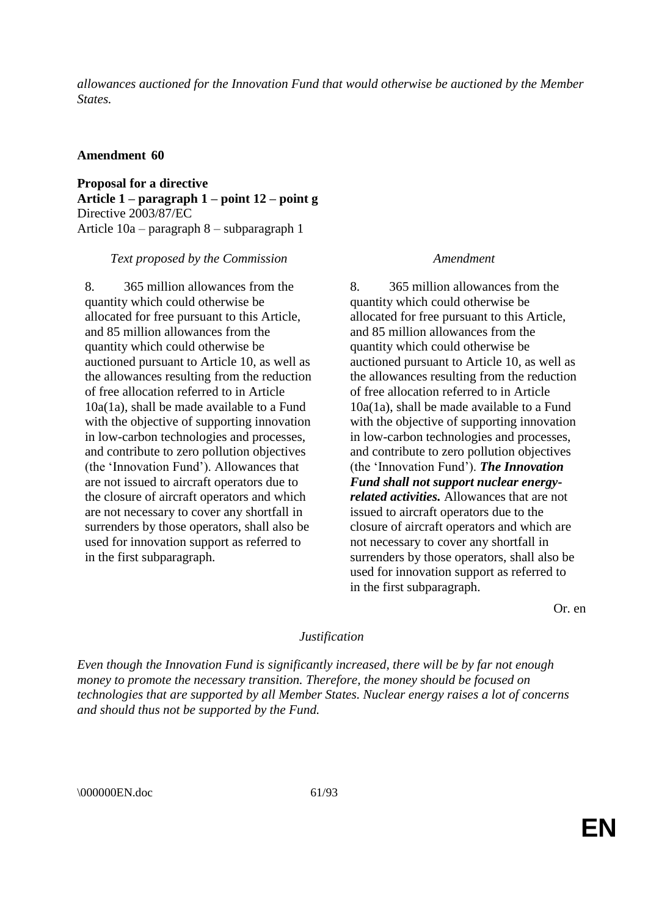*allowances auctioned for the Innovation Fund that would otherwise be auctioned by the Member States.*

## **Amendment 60**

**Proposal for a directive Article 1 – paragraph 1 – point 12 – point g** Directive 2003/87/EC Article 10a – paragraph 8 – subparagraph 1

*Text proposed by the Commission Amendment*

8. 365 million allowances from the quantity which could otherwise be allocated for free pursuant to this Article, and 85 million allowances from the quantity which could otherwise be auctioned pursuant to Article 10, as well as the allowances resulting from the reduction of free allocation referred to in Article 10a(1a), shall be made available to a Fund with the objective of supporting innovation in low-carbon technologies and processes, and contribute to zero pollution objectives (the 'Innovation Fund'). Allowances that are not issued to aircraft operators due to the closure of aircraft operators and which are not necessary to cover any shortfall in surrenders by those operators, shall also be used for innovation support as referred to in the first subparagraph.

8. 365 million allowances from the quantity which could otherwise be allocated for free pursuant to this Article, and 85 million allowances from the quantity which could otherwise be auctioned pursuant to Article 10, as well as the allowances resulting from the reduction of free allocation referred to in Article 10a(1a), shall be made available to a Fund with the objective of supporting innovation in low-carbon technologies and processes, and contribute to zero pollution objectives (the 'Innovation Fund'). *The Innovation Fund shall not support nuclear energyrelated activities.* Allowances that are not issued to aircraft operators due to the closure of aircraft operators and which are not necessary to cover any shortfall in surrenders by those operators, shall also be used for innovation support as referred to in the first subparagraph.

Or. en

# *Justification*

*Even though the Innovation Fund is significantly increased, there will be by far not enough money to promote the necessary transition. Therefore, the money should be focused on technologies that are supported by all Member States. Nuclear energy raises a lot of concerns and should thus not be supported by the Fund.*

\000000EN.doc 61/93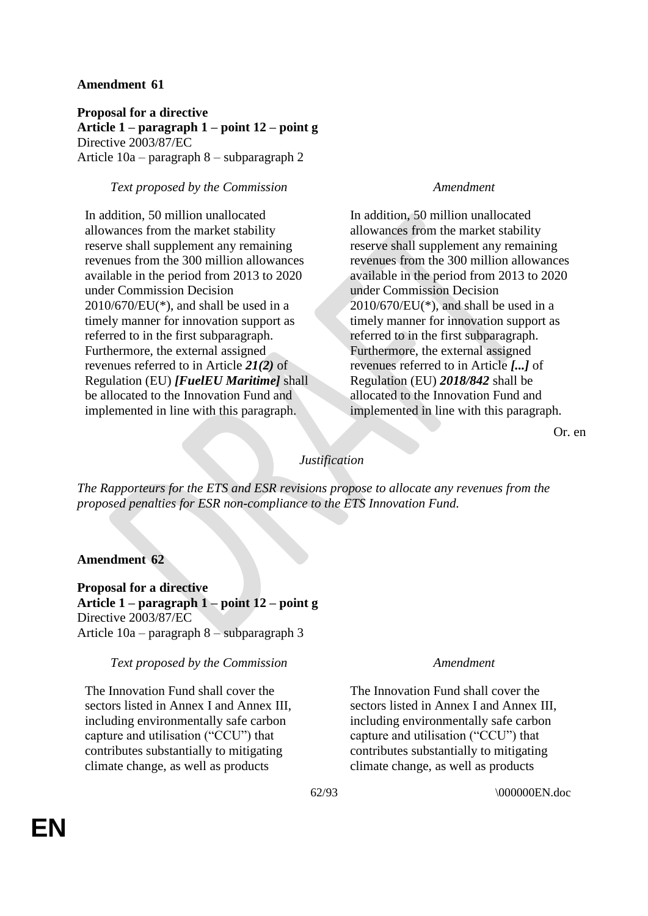**Proposal for a directive Article 1 – paragraph 1 – point 12 – point g** Directive 2003/87/EC Article 10a – paragraph 8 – subparagraph 2

# *Text proposed by the Commission Amendment*

In addition, 50 million unallocated allowances from the market stability reserve shall supplement any remaining revenues from the 300 million allowances available in the period from 2013 to 2020 under Commission Decision  $2010/670$ /EU(\*), and shall be used in a timely manner for innovation support as referred to in the first subparagraph. Furthermore, the external assigned revenues referred to in Article *21(2)* of Regulation (EU) *[FuelEU Maritime]* shall be allocated to the Innovation Fund and implemented in line with this paragraph.

In addition, 50 million unallocated allowances from the market stability reserve shall supplement any remaining revenues from the 300 million allowances available in the period from 2013 to 2020 under Commission Decision  $2010/670$ /EU(\*), and shall be used in a timely manner for innovation support as referred to in the first subparagraph. Furthermore, the external assigned revenues referred to in Article *[...]* of Regulation (EU) *2018/842* shall be allocated to the Innovation Fund and implemented in line with this paragraph.

Or. en

# *Justification*

*The Rapporteurs for the ETS and ESR revisions propose to allocate any revenues from the proposed penalties for ESR non-compliance to the ETS Innovation Fund.*

## **Amendment 62**

**Proposal for a directive Article 1 – paragraph 1 – point 12 – point g** Directive 2003/87/EC Article 10a – paragraph 8 – subparagraph 3

### *Text proposed by the Commission Amendment*

The Innovation Fund shall cover the sectors listed in Annex I and Annex III. including environmentally safe carbon capture and utilisation ("CCU") that contributes substantially to mitigating climate change, as well as products

The Innovation Fund shall cover the sectors listed in Annex I and Annex III, including environmentally safe carbon capture and utilisation ("CCU") that contributes substantially to mitigating climate change, as well as products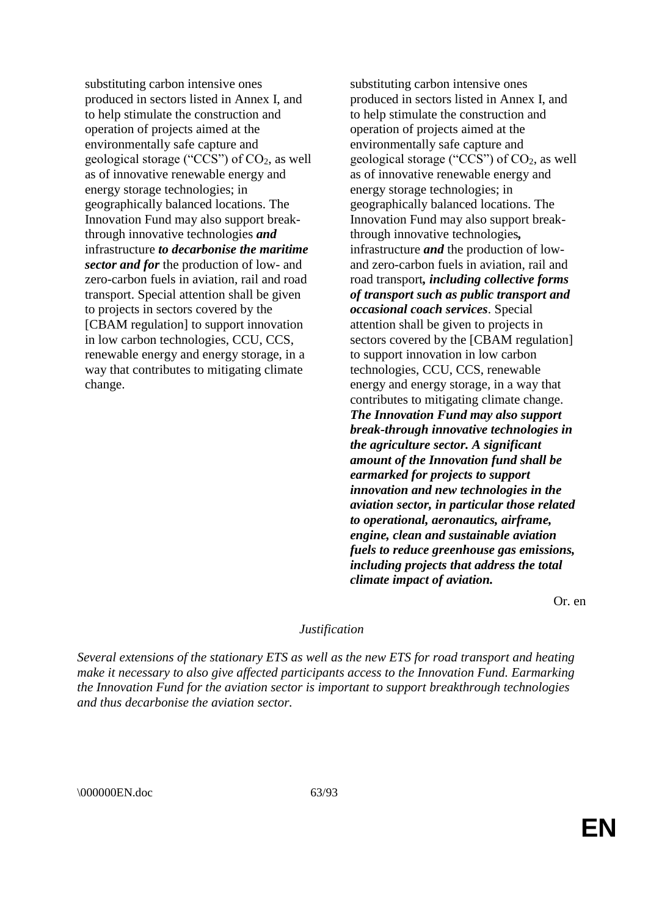substituting carbon intensive ones produced in sectors listed in Annex I, and to help stimulate the construction and operation of projects aimed at the environmentally safe capture and geological storage ("CCS") of  $CO<sub>2</sub>$ , as well as of innovative renewable energy and energy storage technologies; in geographically balanced locations. The Innovation Fund may also support breakthrough innovative technologies *and* infrastructure *to decarbonise the maritime sector and for* the production of low- and zero-carbon fuels in aviation, rail and road transport. Special attention shall be given to projects in sectors covered by the [CBAM regulation] to support innovation in low carbon technologies, CCU, CCS, renewable energy and energy storage, in a way that contributes to mitigating climate change.

substituting carbon intensive ones produced in sectors listed in Annex I, and to help stimulate the construction and operation of projects aimed at the environmentally safe capture and geological storage ("CCS") of  $CO<sub>2</sub>$ , as well as of innovative renewable energy and energy storage technologies; in geographically balanced locations. The Innovation Fund may also support breakthrough innovative technologies*,* infrastructure *and* the production of lowand zero-carbon fuels in aviation, rail and road transport*, including collective forms of transport such as public transport and occasional coach services*. Special attention shall be given to projects in sectors covered by the [CBAM regulation] to support innovation in low carbon technologies, CCU, CCS, renewable energy and energy storage, in a way that contributes to mitigating climate change. *The Innovation Fund may also support break-through innovative technologies in the agriculture sector. A significant amount of the Innovation fund shall be earmarked for projects to support innovation and new technologies in the aviation sector, in particular those related to operational, aeronautics, airframe, engine, clean and sustainable aviation fuels to reduce greenhouse gas emissions, including projects that address the total climate impact of aviation.*

Or. en

### *Justification*

*Several extensions of the stationary ETS as well as the new ETS for road transport and heating make it necessary to also give affected participants access to the Innovation Fund. Earmarking the Innovation Fund for the aviation sector is important to support breakthrough technologies and thus decarbonise the aviation sector.*

\\ 000000EN.doc 63/93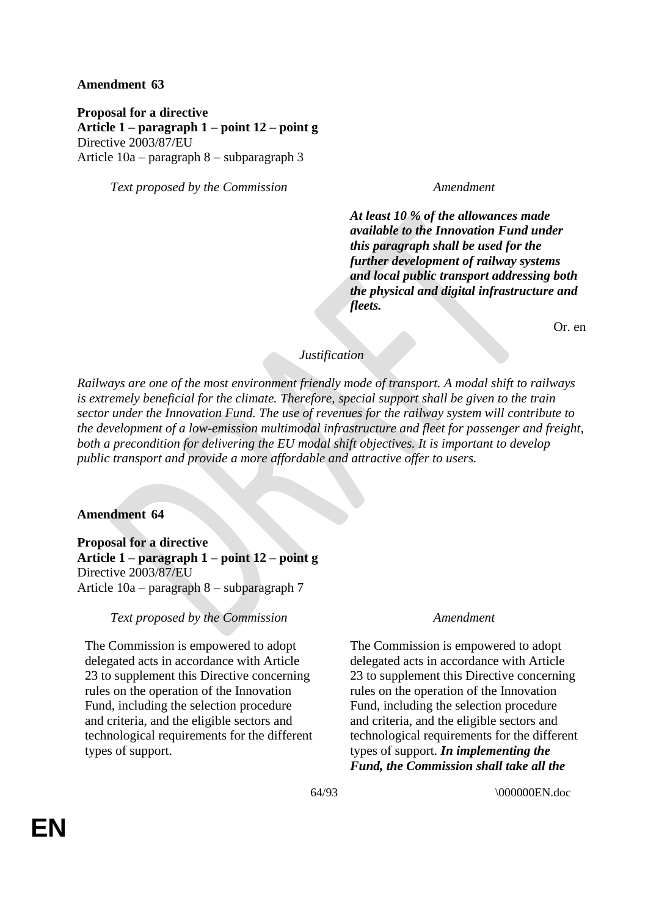**Proposal for a directive Article 1 – paragraph 1 – point 12 – point g** Directive 2003/87/EU Article 10a – paragraph 8 – subparagraph 3

*Text proposed by the Commission Amendment*

*At least 10 % of the allowances made available to the Innovation Fund under this paragraph shall be used for the further development of railway systems and local public transport addressing both the physical and digital infrastructure and fleets.*

Or. en

# *Justification*

*Railways are one of the most environment friendly mode of transport. A modal shift to railways is extremely beneficial for the climate. Therefore, special support shall be given to the train sector under the Innovation Fund. The use of revenues for the railway system will contribute to the development of a low-emission multimodal infrastructure and fleet for passenger and freight, both a precondition for delivering the EU modal shift objectives. It is important to develop public transport and provide a more affordable and attractive offer to users.*

# **Amendment 64**

**Proposal for a directive Article 1 – paragraph 1 – point 12 – point g** Directive 2003/87/EU Article 10a – paragraph 8 – subparagraph 7

# *Text proposed by the Commission Amendment*

The Commission is empowered to adopt delegated acts in accordance with Article 23 to supplement this Directive concerning rules on the operation of the Innovation Fund, including the selection procedure and criteria, and the eligible sectors and technological requirements for the different types of support.

The Commission is empowered to adopt delegated acts in accordance with Article 23 to supplement this Directive concerning rules on the operation of the Innovation Fund, including the selection procedure and criteria, and the eligible sectors and technological requirements for the different types of support. *In implementing the Fund, the Commission shall take all the*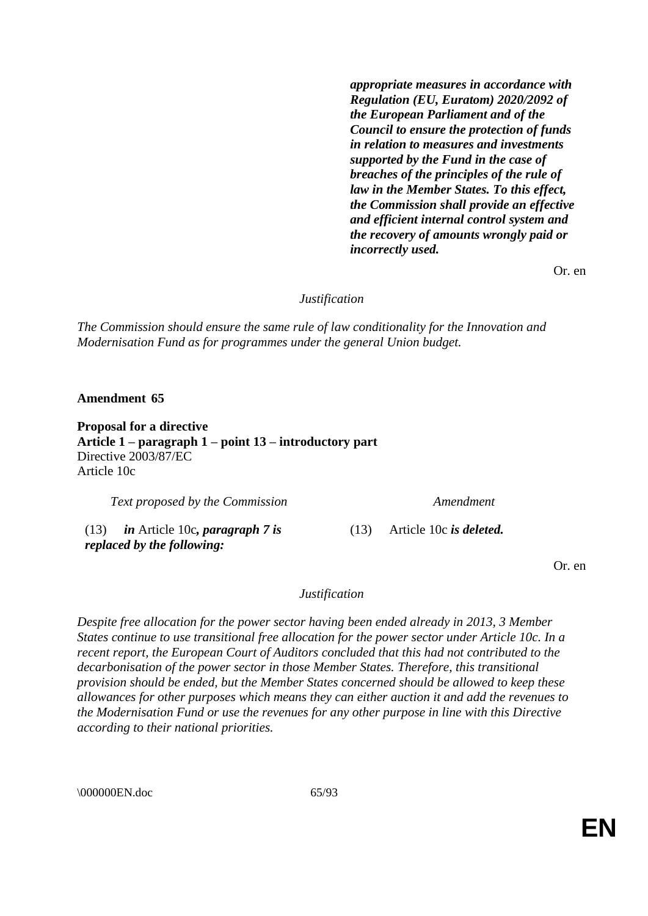*appropriate measures in accordance with Regulation (EU, Euratom) 2020/2092 of the European Parliament and of the Council to ensure the protection of funds in relation to measures and investments supported by the Fund in the case of breaches of the principles of the rule of law in the Member States. To this effect, the Commission shall provide an effective and efficient internal control system and the recovery of amounts wrongly paid or incorrectly used.*

Or. en

*Justification*

*The Commission should ensure the same rule of law conditionality for the Innovation and Modernisation Fund as for programmes under the general Union budget.*

**Amendment 65**

**Proposal for a directive Article 1 – paragraph 1 – point 13 – introductory part** Directive 2003/87/EC Article 10c

*Text proposed by the Commission Amendment*

(13) *in* Article 10c*, paragraph 7 is replaced by the following:*

(13) Article 10c *is deleted.*

Or. en

*Justification*

*Despite free allocation for the power sector having been ended already in 2013, 3 Member States continue to use transitional free allocation for the power sector under Article 10c. In a recent report, the European Court of Auditors concluded that this had not contributed to the decarbonisation of the power sector in those Member States. Therefore, this transitional provision should be ended, but the Member States concerned should be allowed to keep these allowances for other purposes which means they can either auction it and add the revenues to the Modernisation Fund or use the revenues for any other purpose in line with this Directive according to their national priorities.*

\\ 000000EN.doc 65/93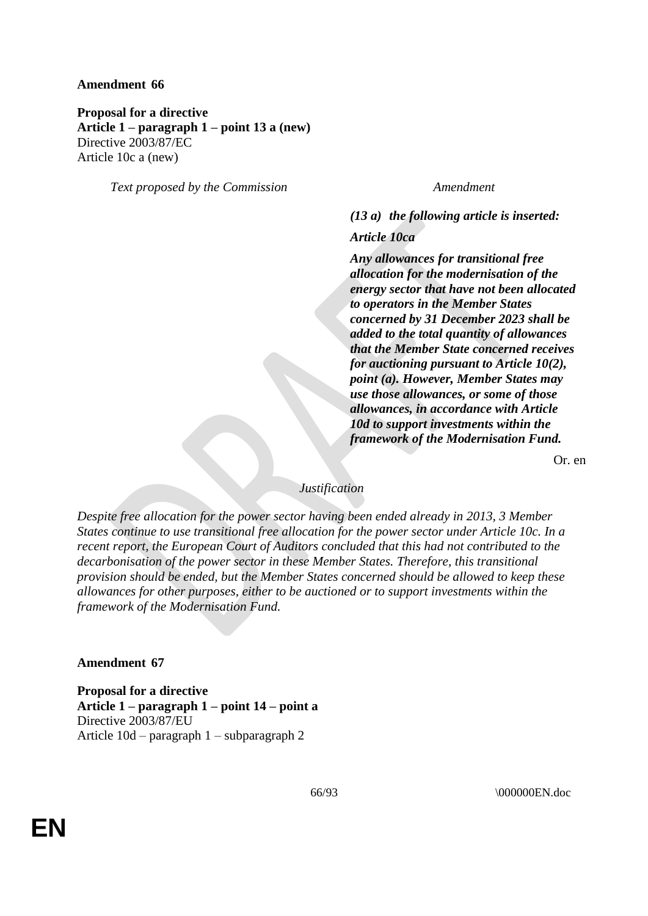**Proposal for a directive Article 1 – paragraph 1 – point 13 a (new)** Directive 2003/87/EC Article 10c a (new)

*Text proposed by the Commission Amendment*

*(13 a) the following article is inserted:*

*Article 10ca*

*Any allowances for transitional free allocation for the modernisation of the energy sector that have not been allocated to operators in the Member States concerned by 31 December 2023 shall be added to the total quantity of allowances that the Member State concerned receives for auctioning pursuant to Article 10(2), point (a). However, Member States may use those allowances, or some of those allowances, in accordance with Article 10d to support investments within the framework of the Modernisation Fund.*

Or. en

# *Justification*

*Despite free allocation for the power sector having been ended already in 2013, 3 Member States continue to use transitional free allocation for the power sector under Article 10c. In a recent report, the European Court of Auditors concluded that this had not contributed to the decarbonisation of the power sector in these Member States. Therefore, this transitional provision should be ended, but the Member States concerned should be allowed to keep these allowances for other purposes, either to be auctioned or to support investments within the framework of the Modernisation Fund.*

### **Amendment 67**

**Proposal for a directive Article 1 – paragraph 1 – point 14 – point a** Directive 2003/87/EU Article 10d – paragraph 1 – subparagraph 2

66/93 \000000EN.doc

**EN**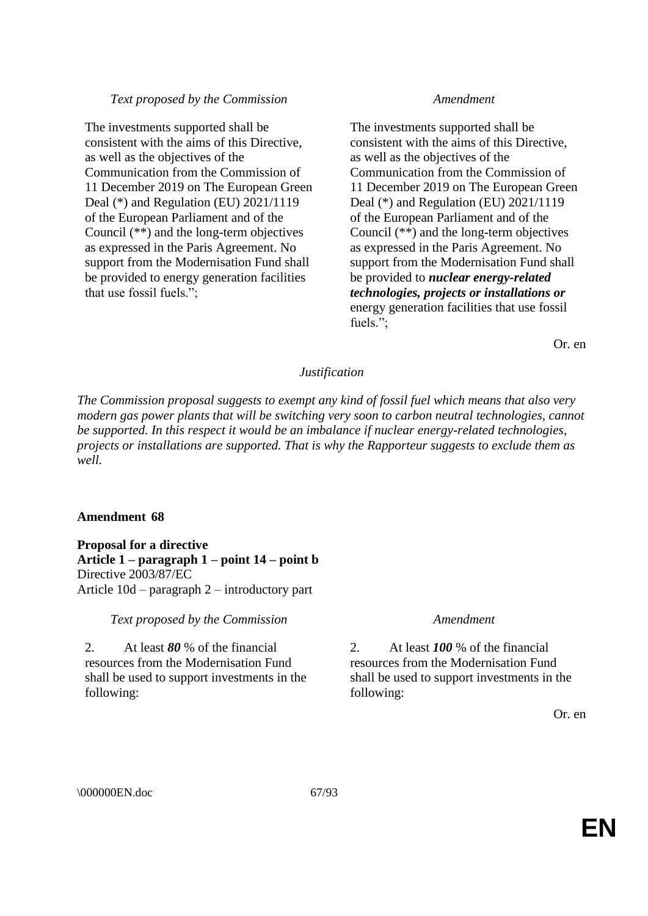# *Text proposed by the Commission Amendment*

The investments supported shall be consistent with the aims of this Directive, as well as the objectives of the Communication from the Commission of 11 December 2019 on The European Green Deal (\*) and Regulation (EU) 2021/1119 of the European Parliament and of the Council (\*\*) and the long-term objectives as expressed in the Paris Agreement. No support from the Modernisation Fund shall be provided to energy generation facilities that use fossil fuels.";

The investments supported shall be consistent with the aims of this Directive, as well as the objectives of the Communication from the Commission of 11 December 2019 on The European Green Deal (\*) and Regulation (EU) 2021/1119 of the European Parliament and of the Council (\*\*) and the long-term objectives as expressed in the Paris Agreement. No support from the Modernisation Fund shall be provided to *nuclear energy-related technologies, projects or installations or* energy generation facilities that use fossil fuels.";

Or. en

# *Justification*

*The Commission proposal suggests to exempt any kind of fossil fuel which means that also very modern gas power plants that will be switching very soon to carbon neutral technologies, cannot be supported. In this respect it would be an imbalance if nuclear energy-related technologies, projects or installations are supported. That is why the Rapporteur suggests to exclude them as well.*

# **Amendment 68**

**Proposal for a directive Article 1 – paragraph 1 – point 14 – point b** Directive 2003/87/EC Article 10d – paragraph 2 – introductory part

*Text proposed by the Commission Amendment*

2. At least *80* % of the financial resources from the Modernisation Fund shall be used to support investments in the following:

2. At least *100* % of the financial resources from the Modernisation Fund shall be used to support investments in the following:

Or. en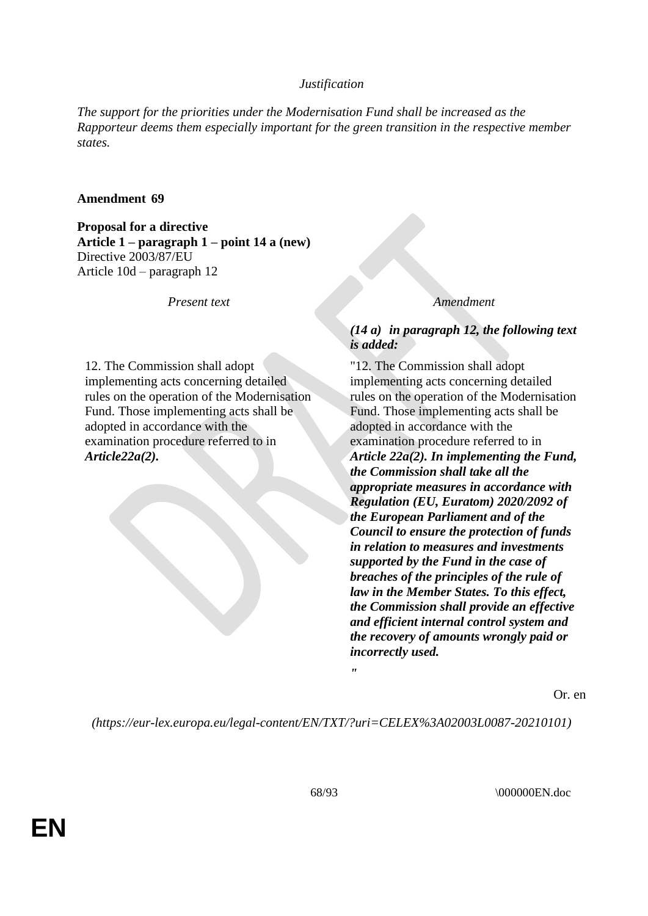*The support for the priorities under the Modernisation Fund shall be increased as the Rapporteur deems them especially important for the green transition in the respective member states.*

## **Amendment 69**

**Proposal for a directive Article 1 – paragraph 1 – point 14 a (new)** Directive 2003/87/EU Article 10d – paragraph 12

*Present text Amendment*

12. The Commission shall adopt implementing acts concerning detailed rules on the operation of the Modernisation Fund. Those implementing acts shall be adopted in accordance with the examination procedure referred to in *Article22a(2).*

# *(14 a) in paragraph 12, the following text is added:*

"12. The Commission shall adopt implementing acts concerning detailed rules on the operation of the Modernisation Fund. Those implementing acts shall be adopted in accordance with the examination procedure referred to in *Article 22a(2). In implementing the Fund, the Commission shall take all the appropriate measures in accordance with Regulation (EU, Euratom) 2020/2092 of the European Parliament and of the Council to ensure the protection of funds in relation to measures and investments supported by the Fund in the case of breaches of the principles of the rule of law in the Member States. To this effect, the Commission shall provide an effective and efficient internal control system and the recovery of amounts wrongly paid or incorrectly used.*

Or. en

*(https://eur-lex.europa.eu/legal-content/EN/TXT/?uri=CELEX%3A02003L0087-20210101)*

*"*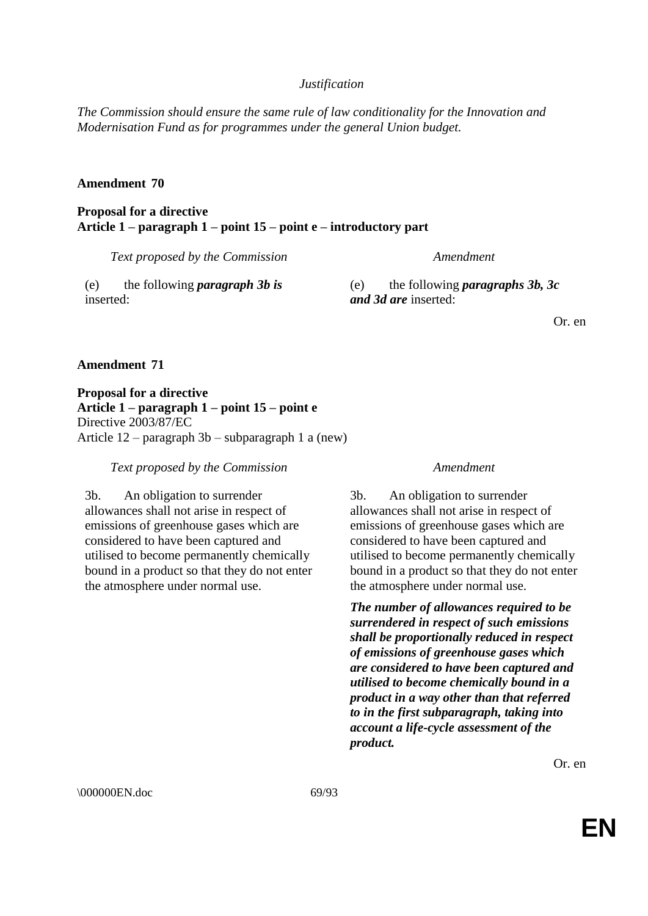*The Commission should ensure the same rule of law conditionality for the Innovation and Modernisation Fund as for programmes under the general Union budget.*

## **Amendment 70**

**Proposal for a directive Article 1 – paragraph 1 – point 15 – point e – introductory part**

*Text proposed by the Commission Amendment*

(e) the following *paragraph 3b is* inserted:

(e) the following *paragraphs 3b, 3c and 3d are* inserted:

Or. en

## **Amendment 71**

**Proposal for a directive Article 1 – paragraph 1 – point 15 – point e** Directive 2003/87/EC Article 12 – paragraph 3b – subparagraph 1 a (new)

*Text proposed by the Commission Amendment*

3b. An obligation to surrender allowances shall not arise in respect of emissions of greenhouse gases which are considered to have been captured and utilised to become permanently chemically bound in a product so that they do not enter the atmosphere under normal use.

3b. An obligation to surrender allowances shall not arise in respect of emissions of greenhouse gases which are considered to have been captured and utilised to become permanently chemically bound in a product so that they do not enter the atmosphere under normal use.

*The number of allowances required to be surrendered in respect of such emissions shall be proportionally reduced in respect of emissions of greenhouse gases which are considered to have been captured and utilised to become chemically bound in a product in a way other than that referred to in the first subparagraph, taking into account a life-cycle assessment of the product.*

Or. en

\000000EN.doc 69/93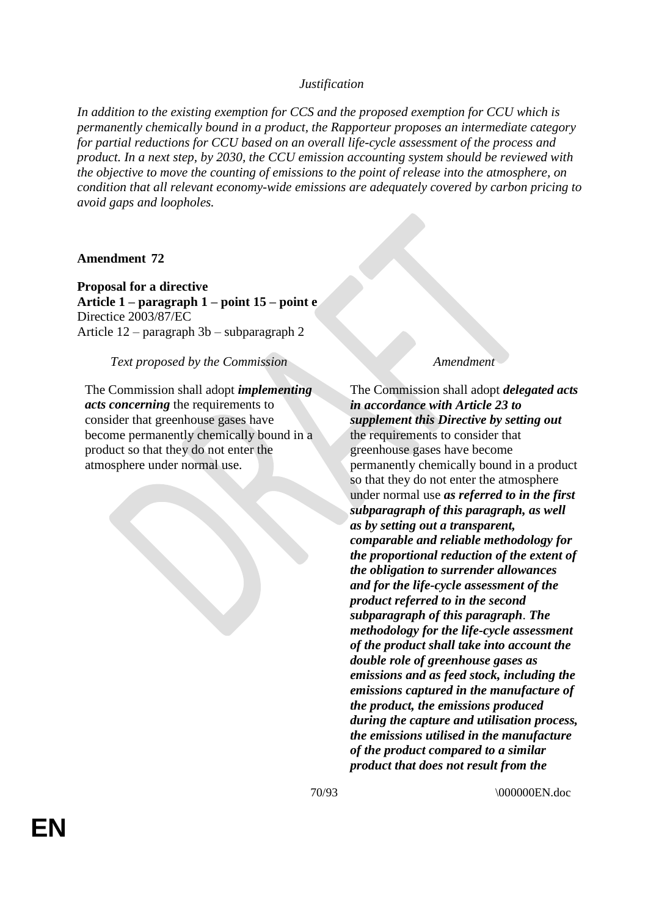*In addition to the existing exemption for CCS and the proposed exemption for CCU which is permanently chemically bound in a product, the Rapporteur proposes an intermediate category for partial reductions for CCU based on an overall life-cycle assessment of the process and product. In a next step, by 2030, the CCU emission accounting system should be reviewed with the objective to move the counting of emissions to the point of release into the atmosphere, on condition that all relevant economy-wide emissions are adequately covered by carbon pricing to avoid gaps and loopholes.*

# **Amendment 72**

**Proposal for a directive Article 1 – paragraph 1 – point 15 – point e** Directice 2003/87/EC Article 12 – paragraph 3b – subparagraph 2

## *Text proposed by the Commission Amendment*

The Commission shall adopt *implementing acts concerning* the requirements to consider that greenhouse gases have become permanently chemically bound in a product so that they do not enter the atmosphere under normal use.

The Commission shall adopt *delegated acts in accordance with Article 23 to supplement this Directive by setting out* the requirements to consider that greenhouse gases have become permanently chemically bound in a product so that they do not enter the atmosphere under normal use *as referred to in the first subparagraph of this paragraph, as well as by setting out a transparent, comparable and reliable methodology for the proportional reduction of the extent of the obligation to surrender allowances and for the life-cycle assessment of the product referred to in the second subparagraph of this paragraph*. *The methodology for the life-cycle assessment of the product shall take into account the double role of greenhouse gases as emissions and as feed stock, including the emissions captured in the manufacture of the product, the emissions produced during the capture and utilisation process, the emissions utilised in the manufacture of the product compared to a similar product that does not result from the*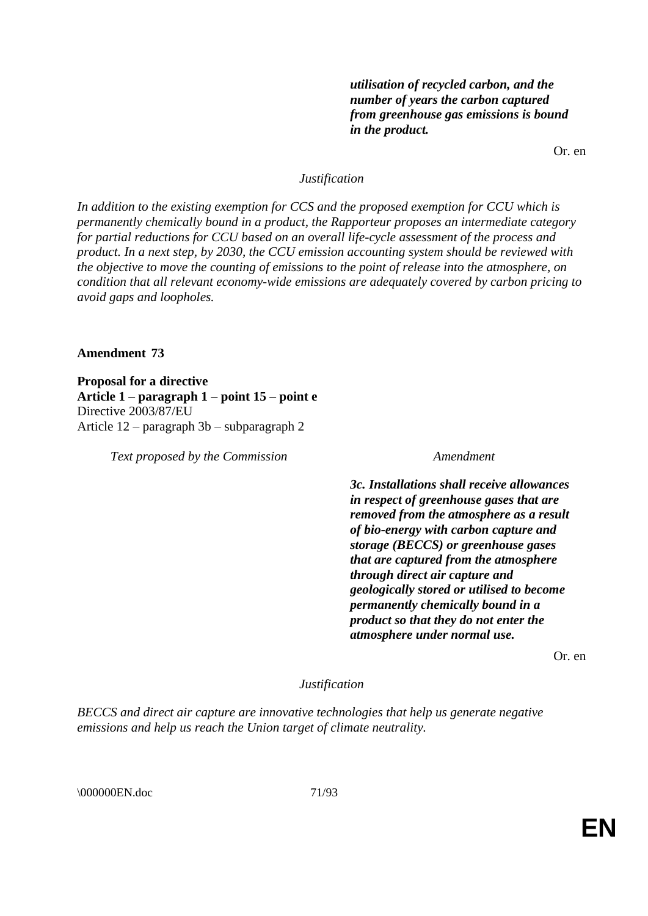*utilisation of recycled carbon, and the number of years the carbon captured from greenhouse gas emissions is bound in the product.*

Or. en

## *Justification*

*In addition to the existing exemption for CCS and the proposed exemption for CCU which is permanently chemically bound in a product, the Rapporteur proposes an intermediate category for partial reductions for CCU based on an overall life-cycle assessment of the process and product. In a next step, by 2030, the CCU emission accounting system should be reviewed with the objective to move the counting of emissions to the point of release into the atmosphere, on condition that all relevant economy-wide emissions are adequately covered by carbon pricing to avoid gaps and loopholes.*

### **Amendment 73**

**Proposal for a directive Article 1 – paragraph 1 – point 15 – point e** Directive 2003/87/EU Article 12 – paragraph 3b – subparagraph 2

*Text proposed by the Commission Amendment*

*3c. Installations shall receive allowances in respect of greenhouse gases that are removed from the atmosphere as a result of bio-energy with carbon capture and storage (BECCS) or greenhouse gases that are captured from the atmosphere through direct air capture and geologically stored or utilised to become permanently chemically bound in a product so that they do not enter the atmosphere under normal use.*

Or. en

*Justification*

*BECCS and direct air capture are innovative technologies that help us generate negative emissions and help us reach the Union target of climate neutrality.*

\000000EN.doc 71/93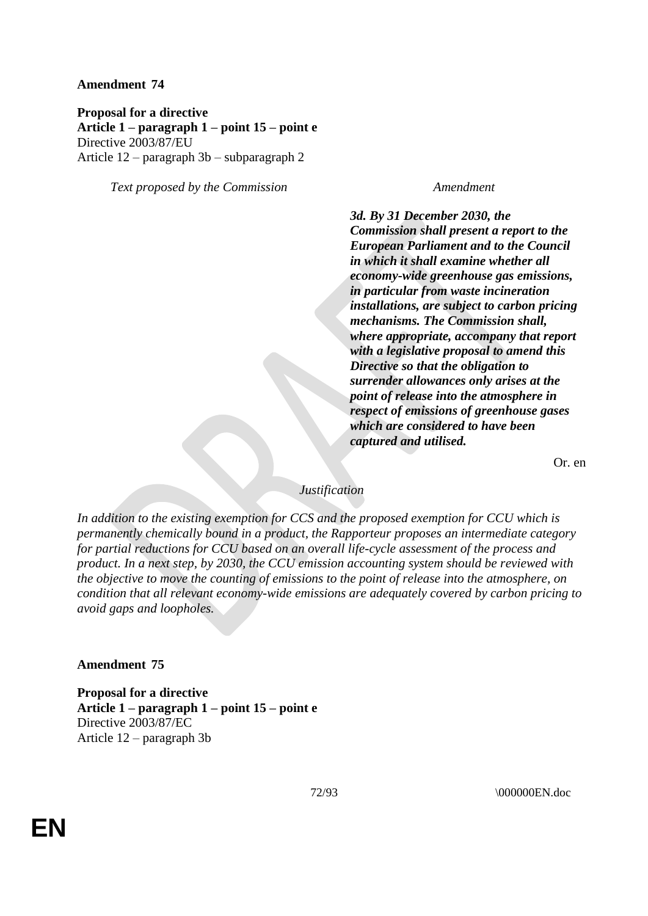**Proposal for a directive Article 1 – paragraph 1 – point 15 – point e** Directive 2003/87/EU Article 12 – paragraph 3b – subparagraph 2

*Text proposed by the Commission Amendment*

*3d. By 31 December 2030, the Commission shall present a report to the European Parliament and to the Council in which it shall examine whether all economy-wide greenhouse gas emissions, in particular from waste incineration installations, are subject to carbon pricing mechanisms. The Commission shall, where appropriate, accompany that report with a legislative proposal to amend this Directive so that the obligation to surrender allowances only arises at the point of release into the atmosphere in respect of emissions of greenhouse gases which are considered to have been captured and utilised.*

Or. en

## *Justification*

*In addition to the existing exemption for CCS and the proposed exemption for CCU which is permanently chemically bound in a product, the Rapporteur proposes an intermediate category for partial reductions for CCU based on an overall life-cycle assessment of the process and product. In a next step, by 2030, the CCU emission accounting system should be reviewed with the objective to move the counting of emissions to the point of release into the atmosphere, on condition that all relevant economy-wide emissions are adequately covered by carbon pricing to avoid gaps and loopholes.*

## **Amendment 75**

**Proposal for a directive Article 1 – paragraph 1 – point 15 – point e** Directive 2003/87/EC Article 12 – paragraph 3b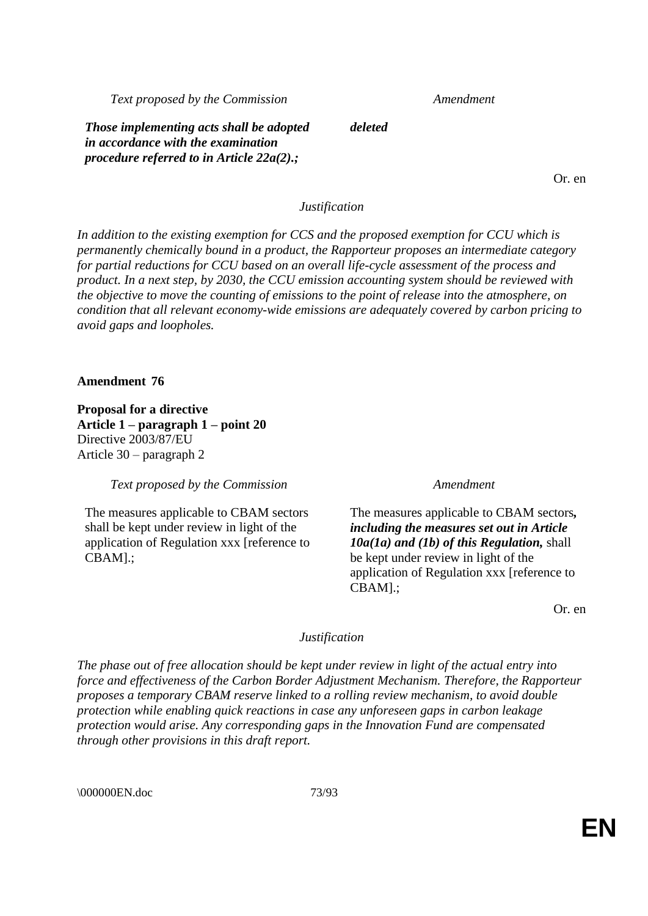*Text proposed by the Commission Amendment*

*Those implementing acts shall be adopted in accordance with the examination procedure referred to in Article 22a(2).;*

Or. en

### *Justification*

*deleted*

*In addition to the existing exemption for CCS and the proposed exemption for CCU which is permanently chemically bound in a product, the Rapporteur proposes an intermediate category for partial reductions for CCU based on an overall life-cycle assessment of the process and product. In a next step, by 2030, the CCU emission accounting system should be reviewed with the objective to move the counting of emissions to the point of release into the atmosphere, on condition that all relevant economy-wide emissions are adequately covered by carbon pricing to avoid gaps and loopholes.*

### **Amendment 76**

**Proposal for a directive Article 1 – paragraph 1 – point 20** Directive 2003/87/EU Article 30 – paragraph 2

*Text proposed by the Commission Amendment*

The measures applicable to CBAM sectors shall be kept under review in light of the application of Regulation xxx [reference to CBAM].;

The measures applicable to CBAM sectors*, including the measures set out in Article 10a(1a) and (1b) of this Regulation,* shall be kept under review in light of the application of Regulation xxx [reference to CBAM].;

Or. en

### *Justification*

*The phase out of free allocation should be kept under review in light of the actual entry into force and effectiveness of the Carbon Border Adjustment Mechanism. Therefore, the Rapporteur proposes a temporary CBAM reserve linked to a rolling review mechanism, to avoid double protection while enabling quick reactions in case any unforeseen gaps in carbon leakage protection would arise. Any corresponding gaps in the Innovation Fund are compensated through other provisions in this draft report.*

\000000EN.doc 73/93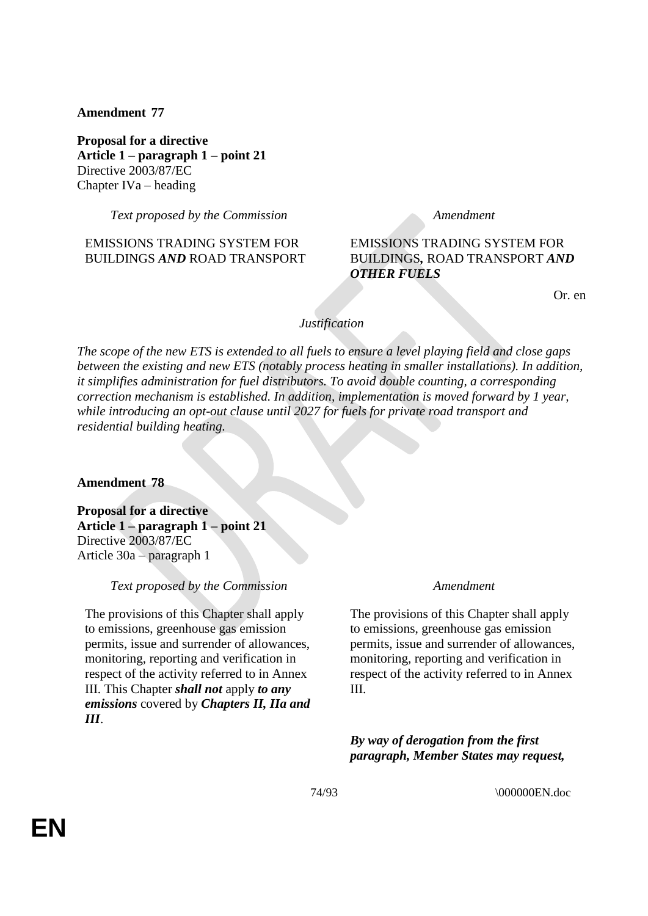# **Amendment 77**

**Proposal for a directive Article 1 – paragraph 1 – point 21** Directive 2003/87/EC Chapter IVa – heading

*Text proposed by the Commission Amendment*

# EMISSIONS TRADING SYSTEM FOR BUILDINGS *AND* ROAD TRANSPORT

# EMISSIONS TRADING SYSTEM FOR BUILDINGS*,* ROAD TRANSPORT *AND OTHER FUELS*

Or. en

# *Justification*

*The scope of the new ETS is extended to all fuels to ensure a level playing field and close gaps between the existing and new ETS (notably process heating in smaller installations). In addition, it simplifies administration for fuel distributors. To avoid double counting, a corresponding correction mechanism is established. In addition, implementation is moved forward by 1 year, while introducing an opt-out clause until 2027 for fuels for private road transport and residential building heating.*

### **Amendment 78**

**Proposal for a directive Article 1 – paragraph 1 – point 21** Directive 2003/87/EC Article 30a – paragraph 1

### *Text proposed by the Commission Amendment*

The provisions of this Chapter shall apply to emissions, greenhouse gas emission permits, issue and surrender of allowances, monitoring, reporting and verification in respect of the activity referred to in Annex III. This Chapter *shall not* apply *to any emissions* covered by *Chapters II, IIa and III*.

The provisions of this Chapter shall apply to emissions, greenhouse gas emission permits, issue and surrender of allowances, monitoring, reporting and verification in respect of the activity referred to in Annex III.

*By way of derogation from the first paragraph, Member States may request,*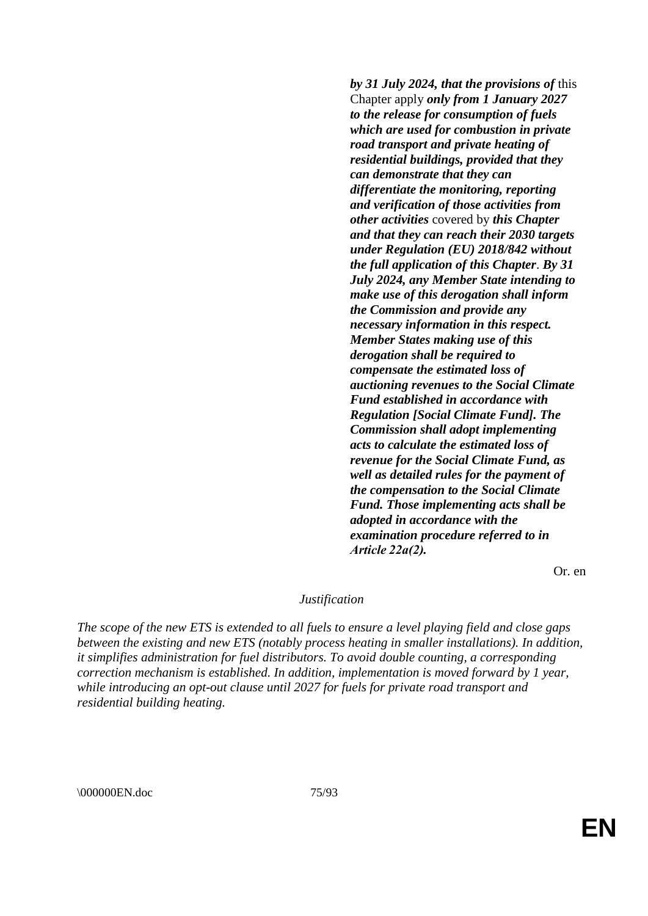*by 31 July 2024, that the provisions of* this Chapter apply *only from 1 January 2027 to the release for consumption of fuels which are used for combustion in private road transport and private heating of residential buildings, provided that they can demonstrate that they can differentiate the monitoring, reporting and verification of those activities from other activities* covered by *this Chapter and that they can reach their 2030 targets under Regulation (EU) 2018/842 without the full application of this Chapter*. *By 31 July 2024, any Member State intending to make use of this derogation shall inform the Commission and provide any necessary information in this respect. Member States making use of this derogation shall be required to compensate the estimated loss of auctioning revenues to the Social Climate Fund established in accordance with Regulation [Social Climate Fund]. The Commission shall adopt implementing acts to calculate the estimated loss of revenue for the Social Climate Fund, as well as detailed rules for the payment of the compensation to the Social Climate Fund. Those implementing acts shall be adopted in accordance with the examination procedure referred to in Article 22a(2).*

Or. en

### *Justification*

*The scope of the new ETS is extended to all fuels to ensure a level playing field and close gaps between the existing and new ETS (notably process heating in smaller installations). In addition, it simplifies administration for fuel distributors. To avoid double counting, a corresponding correction mechanism is established. In addition, implementation is moved forward by 1 year, while introducing an opt-out clause until 2027 for fuels for private road transport and residential building heating.*

\000000EN.doc 75/93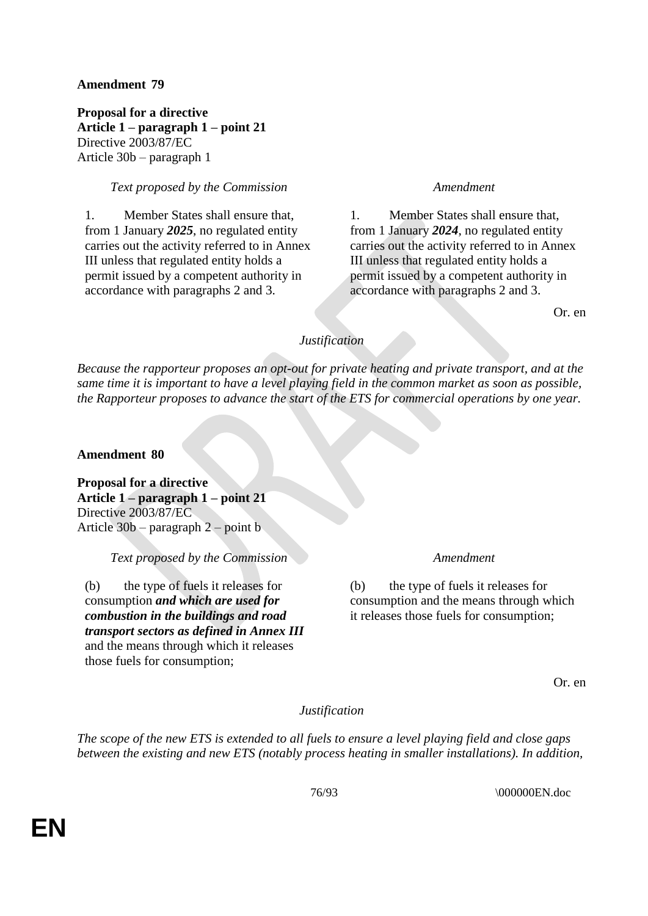# **Amendment 79**

**Proposal for a directive Article 1 – paragraph 1 – point 21** Directive 2003/87/EC Article 30b – paragraph 1

# *Text proposed by the Commission Amendment*

1. Member States shall ensure that, from 1 January *2025*, no regulated entity carries out the activity referred to in Annex III unless that regulated entity holds a permit issued by a competent authority in accordance with paragraphs 2 and 3.

1. Member States shall ensure that, from 1 January *2024*, no regulated entity carries out the activity referred to in Annex III unless that regulated entity holds a permit issued by a competent authority in accordance with paragraphs 2 and 3.

Or. en

# *Justification*

*Because the rapporteur proposes an opt-out for private heating and private transport, and at the same time it is important to have a level playing field in the common market as soon as possible, the Rapporteur proposes to advance the start of the ETS for commercial operations by one year.*

**Amendment 80**

**Proposal for a directive Article 1 – paragraph 1 – point 21** Directive 2003/87/EC Article 30b – paragraph 2 – point b

*Text proposed by the Commission Amendment*

(b) the type of fuels it releases for consumption *and which are used for combustion in the buildings and road transport sectors as defined in Annex III* and the means through which it releases those fuels for consumption;

(b) the type of fuels it releases for consumption and the means through which it releases those fuels for consumption;

Or. en

*Justification*

*The scope of the new ETS is extended to all fuels to ensure a level playing field and close gaps between the existing and new ETS (notably process heating in smaller installations). In addition,*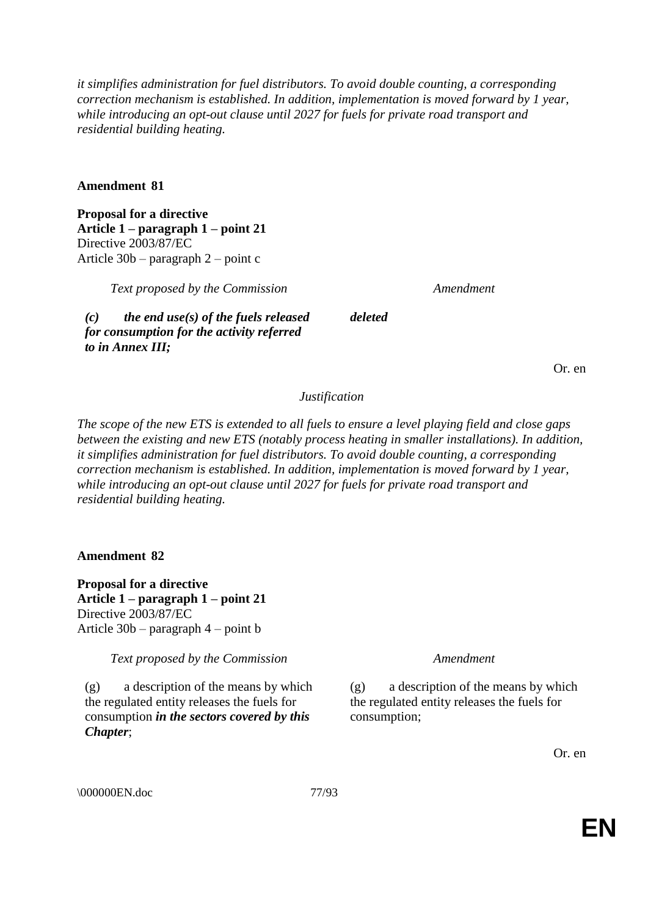*it simplifies administration for fuel distributors. To avoid double counting, a corresponding correction mechanism is established. In addition, implementation is moved forward by 1 year, while introducing an opt-out clause until 2027 for fuels for private road transport and residential building heating.*

# **Amendment 81**

**Proposal for a directive Article 1 – paragraph 1 – point 21** Directive 2003/87/EC Article 30b – paragraph 2 – point c

*Text proposed by the Commission Amendment*

*(c) the end use(s) of the fuels released for consumption for the activity referred to in Annex III;*

*deleted*

Or. en

### *Justification*

*The scope of the new ETS is extended to all fuels to ensure a level playing field and close gaps between the existing and new ETS (notably process heating in smaller installations). In addition, it simplifies administration for fuel distributors. To avoid double counting, a corresponding correction mechanism is established. In addition, implementation is moved forward by 1 year, while introducing an opt-out clause until 2027 for fuels for private road transport and residential building heating.*

**Amendment 82**

**Proposal for a directive Article 1 – paragraph 1 – point 21** Directive 2003/87/EC Article 30b – paragraph 4 – point b

*Text proposed by the Commission Amendment*

(g) a description of the means by which the regulated entity releases the fuels for consumption *in the sectors covered by this Chapter*;

(g) a description of the means by which the regulated entity releases the fuels for consumption;

Or. en

\000000EN.doc 77/93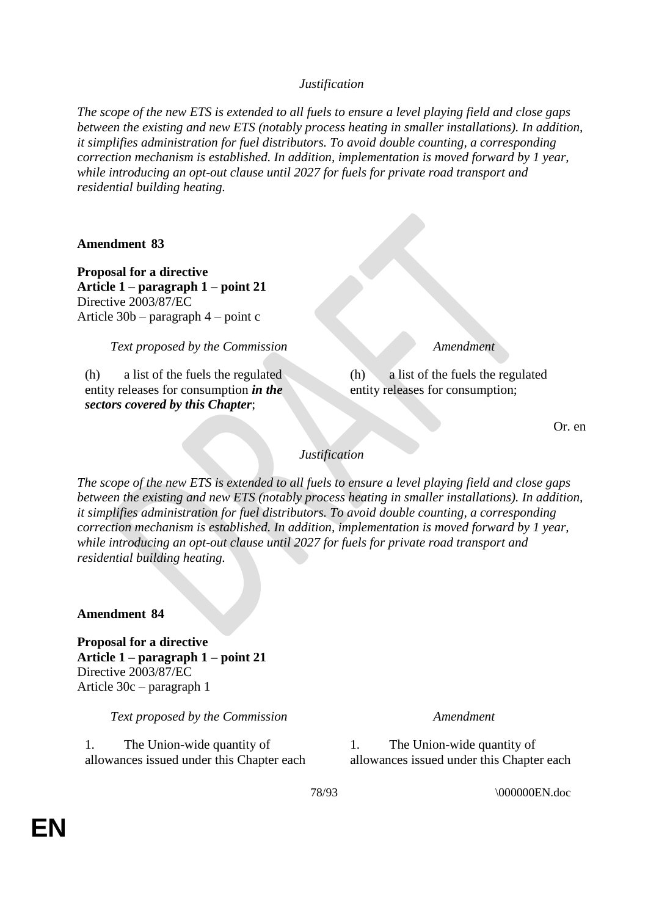*Justification*

*The scope of the new ETS is extended to all fuels to ensure a level playing field and close gaps between the existing and new ETS (notably process heating in smaller installations). In addition, it simplifies administration for fuel distributors. To avoid double counting, a corresponding correction mechanism is established. In addition, implementation is moved forward by 1 year, while introducing an opt-out clause until 2027 for fuels for private road transport and residential building heating.*

**Amendment 83**

**Proposal for a directive Article 1 – paragraph 1 – point 21** Directive 2003/87/EC Article 30b – paragraph 4 – point c

*Text proposed by the Commission Amendment*

(h) a list of the fuels the regulated entity releases for consumption *in the sectors covered by this Chapter*;

(h) a list of the fuels the regulated entity releases for consumption;

Or. en

*Justification*

*The scope of the new ETS is extended to all fuels to ensure a level playing field and close gaps between the existing and new ETS (notably process heating in smaller installations). In addition, it simplifies administration for fuel distributors. To avoid double counting, a corresponding correction mechanism is established. In addition, implementation is moved forward by 1 year, while introducing an opt-out clause until 2027 for fuels for private road transport and residential building heating.*

**Amendment 84**

**Proposal for a directive Article 1 – paragraph 1 – point 21** Directive 2003/87/EC Article 30c – paragraph 1

*Text proposed by the Commission Amendment*

1. The Union-wide quantity of allowances issued under this Chapter each

1. The Union-wide quantity of allowances issued under this Chapter each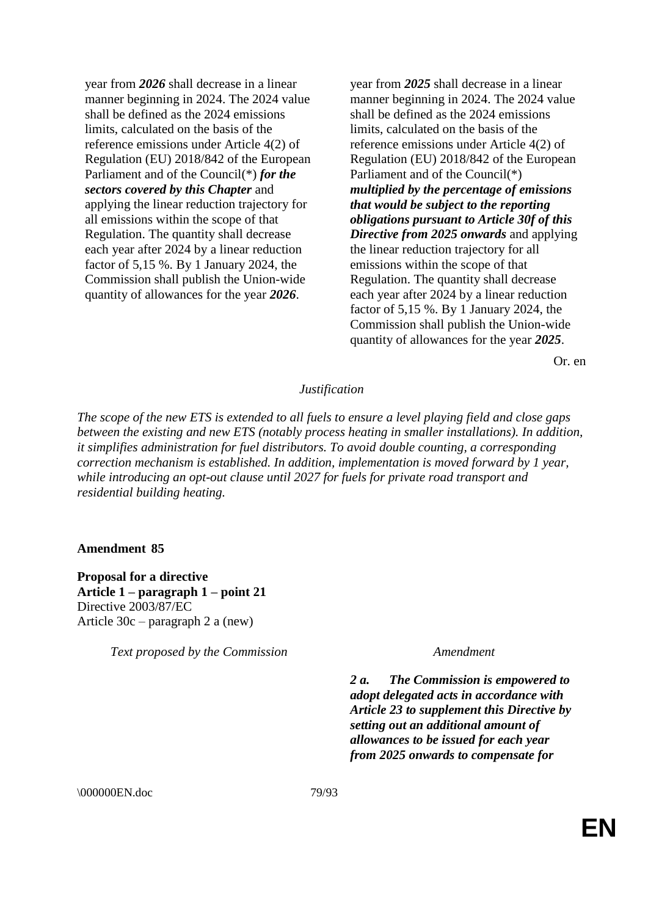year from *2026* shall decrease in a linear manner beginning in 2024. The 2024 value shall be defined as the 2024 emissions limits, calculated on the basis of the reference emissions under Article 4(2) of Regulation (EU) 2018/842 of the European Parliament and of the Council(\*) *for the sectors covered by this Chapter* and applying the linear reduction trajectory for all emissions within the scope of that Regulation. The quantity shall decrease each year after 2024 by a linear reduction factor of 5,15 %. By 1 January 2024, the Commission shall publish the Union-wide quantity of allowances for the year *2026*.

year from *2025* shall decrease in a linear manner beginning in 2024. The 2024 value shall be defined as the 2024 emissions limits, calculated on the basis of the reference emissions under Article 4(2) of Regulation (EU) 2018/842 of the European Parliament and of the Council(\*) *multiplied by the percentage of emissions that would be subject to the reporting obligations pursuant to Article 30f of this Directive from 2025 onwards* and applying the linear reduction trajectory for all emissions within the scope of that Regulation. The quantity shall decrease each year after 2024 by a linear reduction factor of 5,15 %. By 1 January 2024, the Commission shall publish the Union-wide quantity of allowances for the year *2025*.

Or. en

### *Justification*

*The scope of the new ETS is extended to all fuels to ensure a level playing field and close gaps between the existing and new ETS (notably process heating in smaller installations). In addition, it simplifies administration for fuel distributors. To avoid double counting, a corresponding correction mechanism is established. In addition, implementation is moved forward by 1 year, while introducing an opt-out clause until 2027 for fuels for private road transport and residential building heating.*

### **Amendment 85**

**Proposal for a directive Article 1 – paragraph 1 – point 21** Directive 2003/87/EC Article 30c – paragraph 2 a (new)

*Text proposed by the Commission Amendment*

*2 a. The Commission is empowered to adopt delegated acts in accordance with Article 23 to supplement this Directive by setting out an additional amount of allowances to be issued for each year from 2025 onwards to compensate for* 

\000000EN.doc 79/93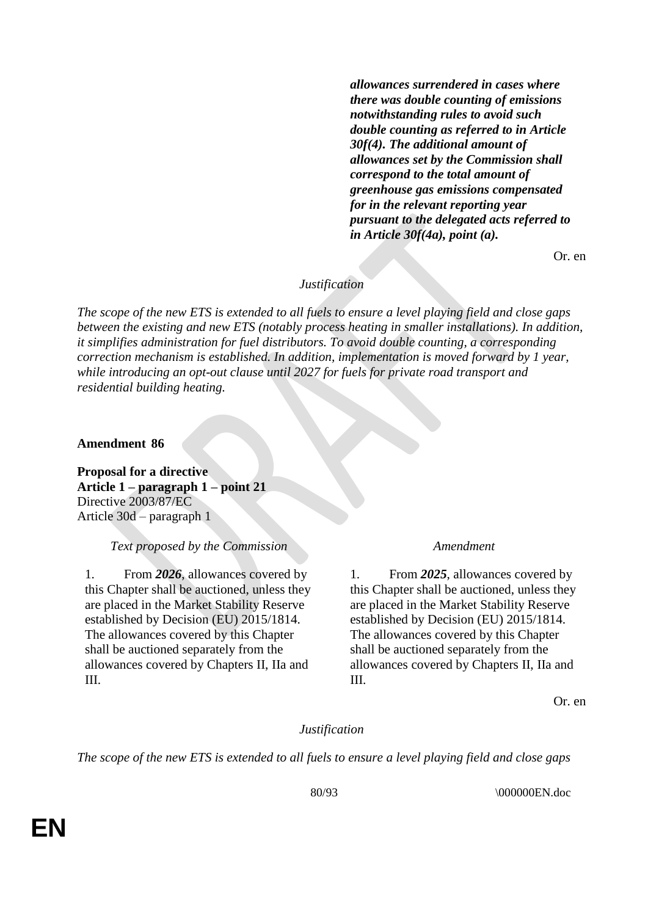*allowances surrendered in cases where there was double counting of emissions notwithstanding rules to avoid such double counting as referred to in Article 30f(4). The additional amount of allowances set by the Commission shall correspond to the total amount of greenhouse gas emissions compensated for in the relevant reporting year pursuant to the delegated acts referred to in Article 30f(4a), point (a).*

Or. en

# *Justification*

*The scope of the new ETS is extended to all fuels to ensure a level playing field and close gaps between the existing and new ETS (notably process heating in smaller installations). In addition, it simplifies administration for fuel distributors. To avoid double counting, a corresponding correction mechanism is established. In addition, implementation is moved forward by 1 year, while introducing an opt-out clause until 2027 for fuels for private road transport and residential building heating.*

**Amendment 86**

**Proposal for a directive Article 1 – paragraph 1 – point 21** Directive 2003/87/EC Article 30d – paragraph 1

### *Text proposed by the Commission Amendment*

1. From *2026*, allowances covered by this Chapter shall be auctioned, unless they are placed in the Market Stability Reserve established by Decision (EU) 2015/1814. The allowances covered by this Chapter shall be auctioned separately from the allowances covered by Chapters II, IIa and III.

1. From *2025*, allowances covered by this Chapter shall be auctioned, unless they are placed in the Market Stability Reserve established by Decision (EU) 2015/1814. The allowances covered by this Chapter shall be auctioned separately from the allowances covered by Chapters II, IIa and III.

Or. en

### *Justification*

*The scope of the new ETS is extended to all fuels to ensure a level playing field and close gaps*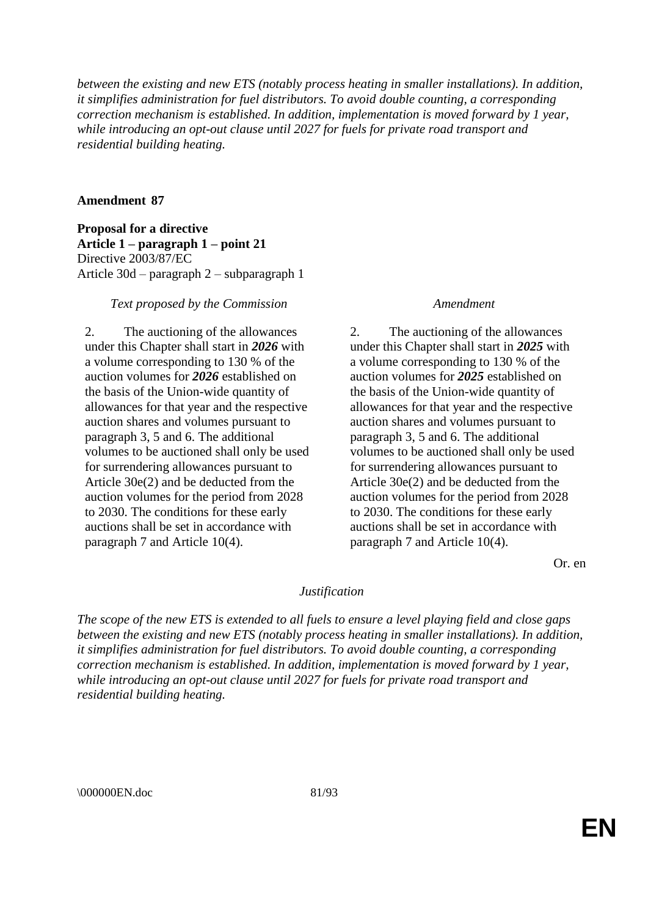*between the existing and new ETS (notably process heating in smaller installations). In addition, it simplifies administration for fuel distributors. To avoid double counting, a corresponding correction mechanism is established. In addition, implementation is moved forward by 1 year, while introducing an opt-out clause until 2027 for fuels for private road transport and residential building heating.*

# **Amendment 87**

**Proposal for a directive Article 1 – paragraph 1 – point 21** Directive 2003/87/EC Article 30d – paragraph 2 – subparagraph 1

### *Text proposed by the Commission Amendment*

2. The auctioning of the allowances under this Chapter shall start in *2026* with a volume corresponding to 130 % of the auction volumes for *2026* established on the basis of the Union-wide quantity of allowances for that year and the respective auction shares and volumes pursuant to paragraph 3, 5 and 6. The additional volumes to be auctioned shall only be used for surrendering allowances pursuant to Article 30e(2) and be deducted from the auction volumes for the period from 2028 to 2030. The conditions for these early auctions shall be set in accordance with paragraph 7 and Article 10(4).

2. The auctioning of the allowances under this Chapter shall start in *2025* with a volume corresponding to 130 % of the auction volumes for *2025* established on the basis of the Union-wide quantity of allowances for that year and the respective auction shares and volumes pursuant to paragraph 3, 5 and 6. The additional volumes to be auctioned shall only be used for surrendering allowances pursuant to Article 30e(2) and be deducted from the auction volumes for the period from 2028 to 2030. The conditions for these early auctions shall be set in accordance with paragraph 7 and Article 10(4).

Or. en

### *Justification*

*The scope of the new ETS is extended to all fuels to ensure a level playing field and close gaps between the existing and new ETS (notably process heating in smaller installations). In addition, it simplifies administration for fuel distributors. To avoid double counting, a corresponding correction mechanism is established. In addition, implementation is moved forward by 1 year, while introducing an opt-out clause until 2027 for fuels for private road transport and residential building heating.*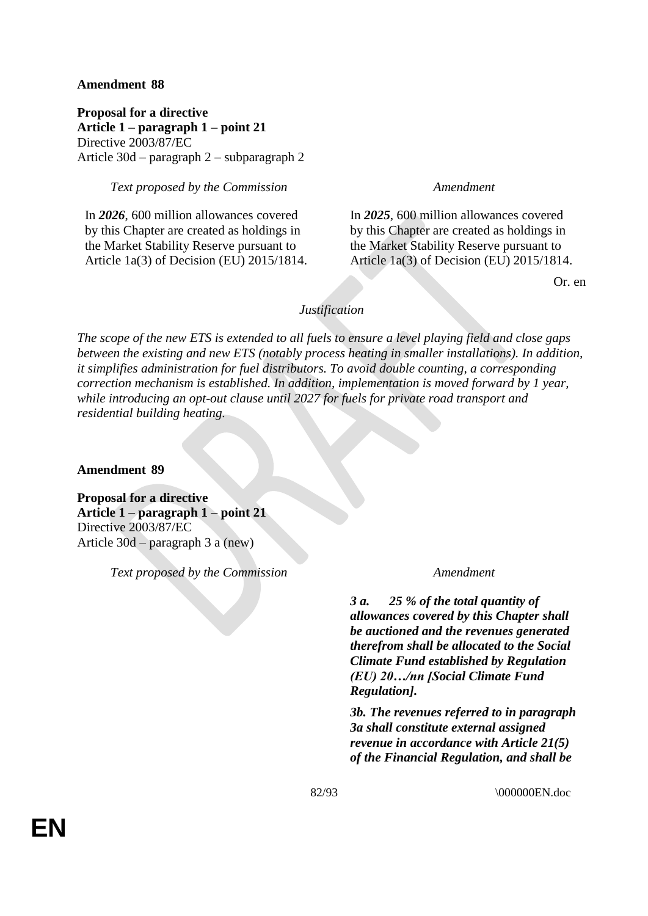# **Amendment 88**

**Proposal for a directive Article 1 – paragraph 1 – point 21** Directive 2003/87/EC Article 30d – paragraph 2 – subparagraph 2

# *Text proposed by the Commission Amendment*

In *2026*, 600 million allowances covered by this Chapter are created as holdings in the Market Stability Reserve pursuant to Article 1a(3) of Decision (EU) 2015/1814.

In *2025*, 600 million allowances covered by this Chapter are created as holdings in the Market Stability Reserve pursuant to Article 1a(3) of Decision (EU) 2015/1814.

Or. en

# *Justification*

*The scope of the new ETS is extended to all fuels to ensure a level playing field and close gaps between the existing and new ETS (notably process heating in smaller installations). In addition, it simplifies administration for fuel distributors. To avoid double counting, a corresponding correction mechanism is established. In addition, implementation is moved forward by 1 year, while introducing an opt-out clause until 2027 for fuels for private road transport and residential building heating.*

**Amendment 89**

**Proposal for a directive Article 1 – paragraph 1 – point 21** Directive 2003/87/EC Article 30d – paragraph 3 a (new)

*Text proposed by the Commission Amendment*

*3 a. 25 % of the total quantity of allowances covered by this Chapter shall be auctioned and the revenues generated therefrom shall be allocated to the Social Climate Fund established by Regulation (EU) 20…/nn [Social Climate Fund Regulation].*

*3b. The revenues referred to in paragraph 3a shall constitute external assigned revenue in accordance with Article 21(5) of the Financial Regulation, and shall be*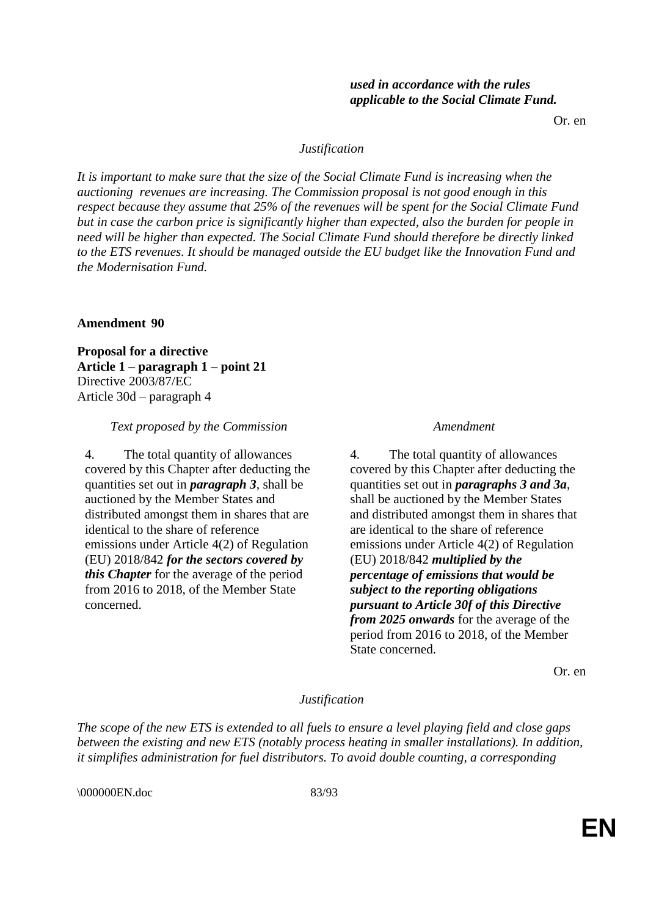*used in accordance with the rules applicable to the Social Climate Fund.*

Or. en

# *Justification*

*It is important to make sure that the size of the Social Climate Fund is increasing when the auctioning revenues are increasing. The Commission proposal is not good enough in this respect because they assume that 25% of the revenues will be spent for the Social Climate Fund but in case the carbon price is significantly higher than expected, also the burden for people in need will be higher than expected. The Social Climate Fund should therefore be directly linked to the ETS revenues. It should be managed outside the EU budget like the Innovation Fund and the Modernisation Fund.*

# **Amendment 90**

**Proposal for a directive Article 1 – paragraph 1 – point 21** Directive 2003/87/EC Article 30d – paragraph 4

### *Text proposed by the Commission Amendment*

4. The total quantity of allowances covered by this Chapter after deducting the quantities set out in *paragraph 3*, shall be auctioned by the Member States and distributed amongst them in shares that are identical to the share of reference emissions under Article 4(2) of Regulation (EU) 2018/842 *for the sectors covered by this Chapter* for the average of the period from 2016 to 2018, of the Member State concerned.

4. The total quantity of allowances covered by this Chapter after deducting the quantities set out in *paragraphs 3 and 3a*, shall be auctioned by the Member States and distributed amongst them in shares that are identical to the share of reference emissions under Article 4(2) of Regulation (EU) 2018/842 *multiplied by the percentage of emissions that would be subject to the reporting obligations pursuant to Article 30f of this Directive from 2025 onwards* for the average of the period from 2016 to 2018, of the Member State concerned.

Or. en

### *Justification*

*The scope of the new ETS is extended to all fuels to ensure a level playing field and close gaps between the existing and new ETS (notably process heating in smaller installations). In addition, it simplifies administration for fuel distributors. To avoid double counting, a corresponding* 

\000000EN.doc 83/93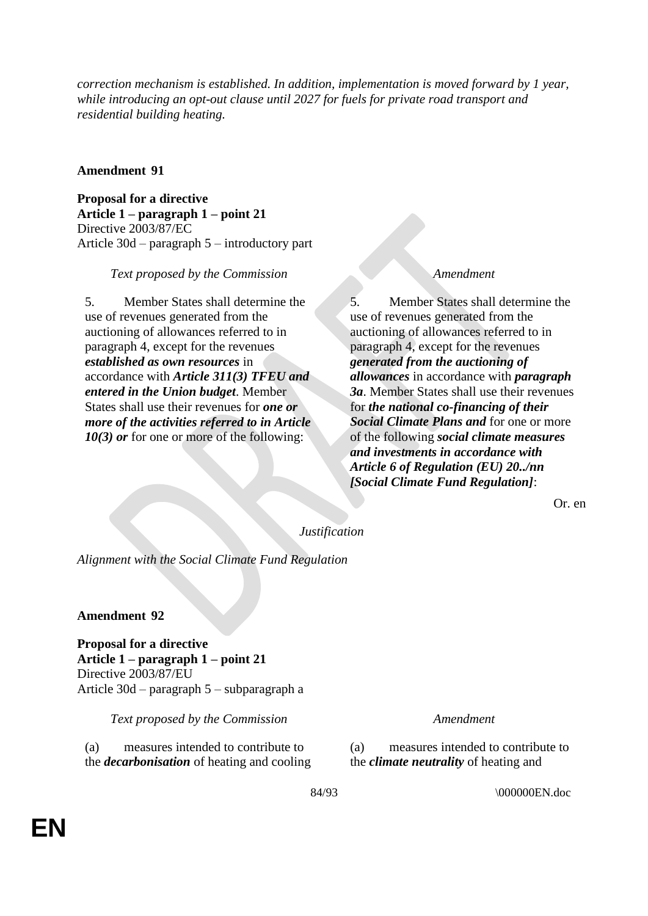*correction mechanism is established. In addition, implementation is moved forward by 1 year, while introducing an opt-out clause until 2027 for fuels for private road transport and residential building heating.*

# **Amendment 91**

**Proposal for a directive Article 1 – paragraph 1 – point 21** Directive 2003/87/EC Article 30d – paragraph 5 – introductory part

# *Text proposed by the Commission Amendment*

5. Member States shall determine the use of revenues generated from the auctioning of allowances referred to in paragraph 4, except for the revenues *established as own resources* in accordance with *Article 311(3) TFEU and entered in the Union budget*. Member States shall use their revenues for *one or more of the activities referred to in Article 10(3) or* for one or more of the following:

5. Member States shall determine the use of revenues generated from the auctioning of allowances referred to in paragraph 4, except for the revenues *generated from the auctioning of allowances* in accordance with *paragraph 3a*. Member States shall use their revenues for *the national co-financing of their Social Climate Plans and* for one or more of the following *social climate measures and investments in accordance with Article 6 of Regulation (EU) 20../nn [Social Climate Fund Regulation]*:

Or. en

*Justification*

*Alignment with the Social Climate Fund Regulation*

# **Amendment 92**

**Proposal for a directive Article 1 – paragraph 1 – point 21** Directive 2003/87/EU Article 30d – paragraph 5 – subparagraph a

*Text proposed by the Commission Amendment*

(a) measures intended to contribute to the *decarbonisation* of heating and cooling

(a) measures intended to contribute to the *climate neutrality* of heating and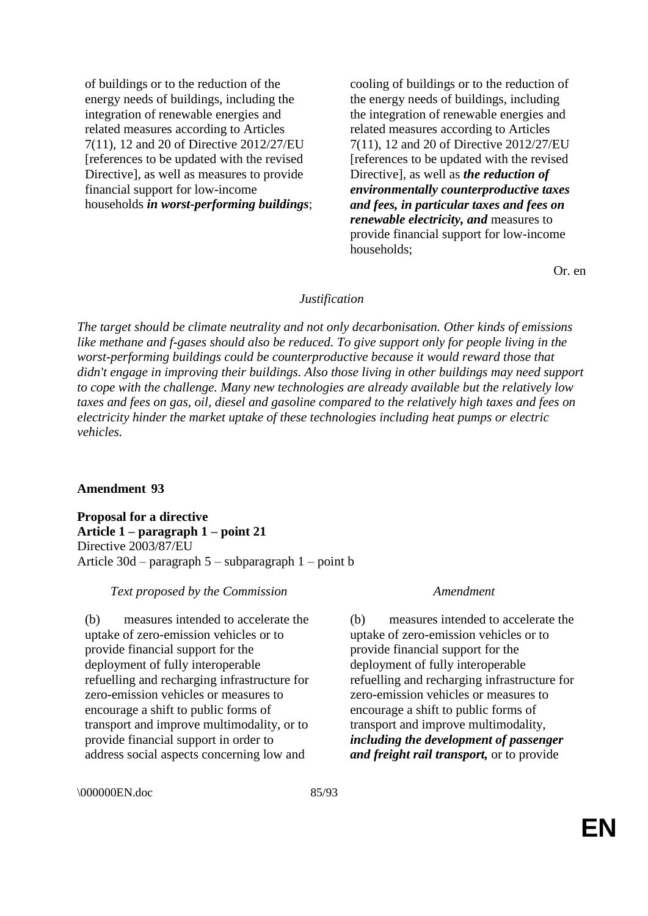of buildings or to the reduction of the energy needs of buildings, including the integration of renewable energies and related measures according to Articles 7(11), 12 and 20 of Directive 2012/27/EU [references to be updated with the revised Directive], as well as measures to provide financial support for low-income households *in worst-performing buildings*;

cooling of buildings or to the reduction of the energy needs of buildings, including the integration of renewable energies and related measures according to Articles 7(11), 12 and 20 of Directive 2012/27/EU [references to be updated with the revised Directive], as well as *the reduction of environmentally counterproductive taxes and fees, in particular taxes and fees on renewable electricity, and* measures to provide financial support for low-income households;

Or. en

### *Justification*

*The target should be climate neutrality and not only decarbonisation. Other kinds of emissions like methane and f-gases should also be reduced. To give support only for people living in the worst-performing buildings could be counterproductive because it would reward those that didn't engage in improving their buildings. Also those living in other buildings may need support to cope with the challenge. Many new technologies are already available but the relatively low taxes and fees on gas, oil, diesel and gasoline compared to the relatively high taxes and fees on electricity hinder the market uptake of these technologies including heat pumps or electric vehicles.*

### **Amendment 93**

**Proposal for a directive Article 1 – paragraph 1 – point 21** Directive 2003/87/EU Article 30d – paragraph 5 – subparagraph 1 – point b

### *Text proposed by the Commission Amendment*

(b) measures intended to accelerate the uptake of zero-emission vehicles or to provide financial support for the deployment of fully interoperable refuelling and recharging infrastructure for zero-emission vehicles or measures to encourage a shift to public forms of transport and improve multimodality, or to provide financial support in order to address social aspects concerning low and

(b) measures intended to accelerate the uptake of zero-emission vehicles or to provide financial support for the deployment of fully interoperable refuelling and recharging infrastructure for zero-emission vehicles or measures to encourage a shift to public forms of transport and improve multimodality, *including the development of passenger and freight rail transport,* or to provide

\000000EN.doc 85/93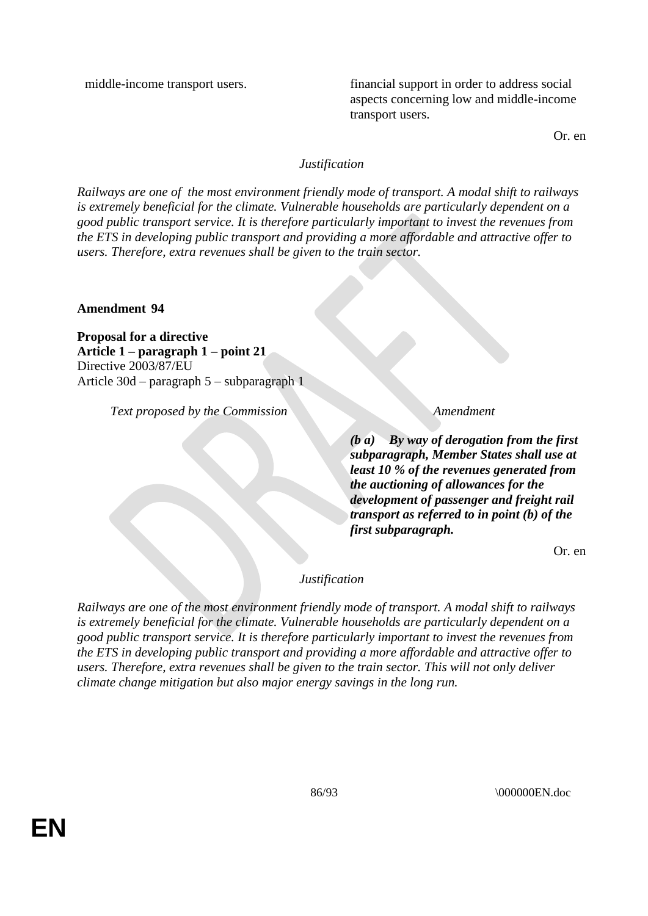middle-income transport users. financial support in order to address social aspects concerning low and middle-income transport users.

Or. en

# *Justification*

*Railways are one of the most environment friendly mode of transport. A modal shift to railways is extremely beneficial for the climate. Vulnerable households are particularly dependent on a good public transport service. It is therefore particularly important to invest the revenues from the ETS in developing public transport and providing a more affordable and attractive offer to users. Therefore, extra revenues shall be given to the train sector.*

**Amendment 94**

**Proposal for a directive Article 1 – paragraph 1 – point 21** Directive 2003/87/EU Article 30d – paragraph 5 – subparagraph 1

*Text proposed by the Commission Amendment*

*(b a) By way of derogation from the first subparagraph, Member States shall use at least 10 % of the revenues generated from the auctioning of allowances for the development of passenger and freight rail transport as referred to in point (b) of the first subparagraph.*

Or. en

# *Justification*

*Railways are one of the most environment friendly mode of transport. A modal shift to railways is extremely beneficial for the climate. Vulnerable households are particularly dependent on a good public transport service. It is therefore particularly important to invest the revenues from the ETS in developing public transport and providing a more affordable and attractive offer to users. Therefore, extra revenues shall be given to the train sector. This will not only deliver climate change mitigation but also major energy savings in the long run.*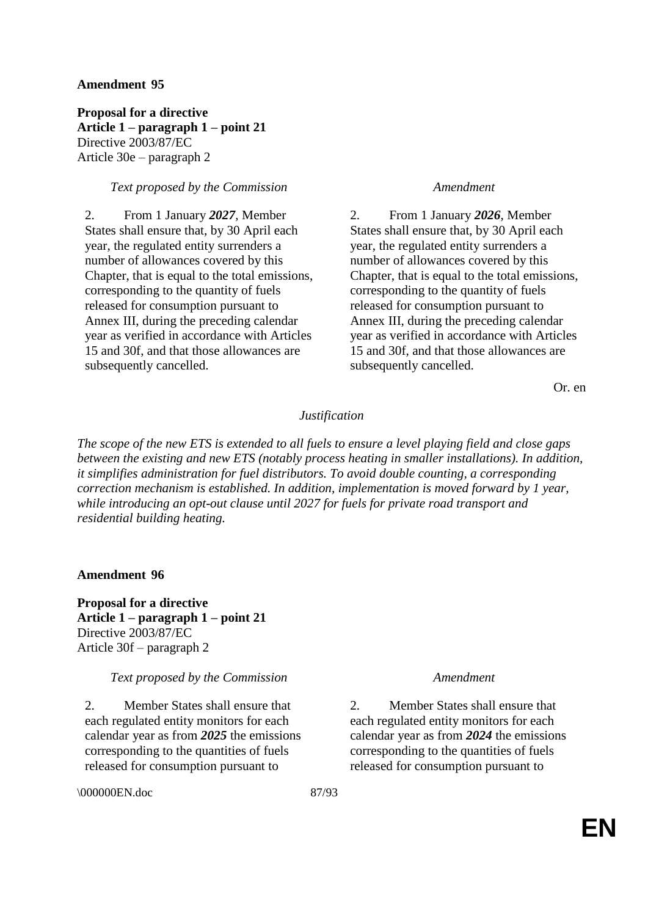# **Amendment 95**

**Proposal for a directive Article 1 – paragraph 1 – point 21** Directive 2003/87/EC Article 30e – paragraph 2

# *Text proposed by the Commission Amendment*

2. From 1 January *2027*, Member States shall ensure that, by 30 April each year, the regulated entity surrenders a number of allowances covered by this Chapter, that is equal to the total emissions, corresponding to the quantity of fuels released for consumption pursuant to Annex III, during the preceding calendar year as verified in accordance with Articles 15 and 30f, and that those allowances are subsequently cancelled.

2. From 1 January *2026*, Member States shall ensure that, by 30 April each year, the regulated entity surrenders a number of allowances covered by this Chapter, that is equal to the total emissions, corresponding to the quantity of fuels released for consumption pursuant to Annex III, during the preceding calendar year as verified in accordance with Articles 15 and 30f, and that those allowances are subsequently cancelled.

Or. en

# *Justification*

*The scope of the new ETS is extended to all fuels to ensure a level playing field and close gaps between the existing and new ETS (notably process heating in smaller installations). In addition, it simplifies administration for fuel distributors. To avoid double counting, a corresponding correction mechanism is established. In addition, implementation is moved forward by 1 year, while introducing an opt-out clause until 2027 for fuels for private road transport and residential building heating.*

**Amendment 96**

**Proposal for a directive Article 1 – paragraph 1 – point 21** Directive 2003/87/EC Article 30f – paragraph 2

### *Text proposed by the Commission Amendment*

2. Member States shall ensure that each regulated entity monitors for each calendar year as from *2025* the emissions corresponding to the quantities of fuels released for consumption pursuant to

\000000EN.doc 87/93

2. Member States shall ensure that each regulated entity monitors for each calendar year as from *2024* the emissions corresponding to the quantities of fuels released for consumption pursuant to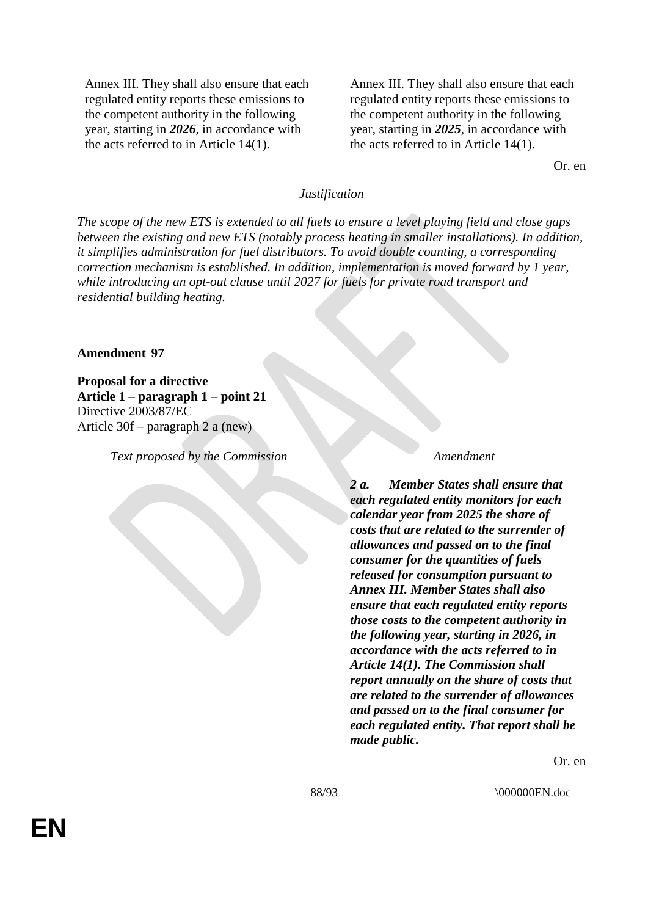Annex III. They shall also ensure that each regulated entity reports these emissions to the competent authority in the following year, starting in *2026*, in accordance with the acts referred to in Article 14(1).

Annex III. They shall also ensure that each regulated entity reports these emissions to the competent authority in the following year, starting in *2025*, in accordance with the acts referred to in Article 14(1).

Or. en

### *Justification*

*The scope of the new ETS is extended to all fuels to ensure a level playing field and close gaps between the existing and new ETS (notably process heating in smaller installations). In addition, it simplifies administration for fuel distributors. To avoid double counting, a corresponding correction mechanism is established. In addition, implementation is moved forward by 1 year, while introducing an opt-out clause until 2027 for fuels for private road transport and residential building heating.*

### **Amendment 97**

**Proposal for a directive Article 1 – paragraph 1 – point 21** Directive 2003/87/EC Article 30f – paragraph 2 a (new)

*Text proposed by the Commission Amendment*

*2 a. Member States shall ensure that each regulated entity monitors for each calendar year from 2025 the share of costs that are related to the surrender of allowances and passed on to the final consumer for the quantities of fuels released for consumption pursuant to Annex III. Member States shall also ensure that each regulated entity reports those costs to the competent authority in the following year, starting in 2026, in accordance with the acts referred to in Article 14(1). The Commission shall report annually on the share of costs that are related to the surrender of allowances and passed on to the final consumer for each regulated entity. That report shall be made public.*

Or. en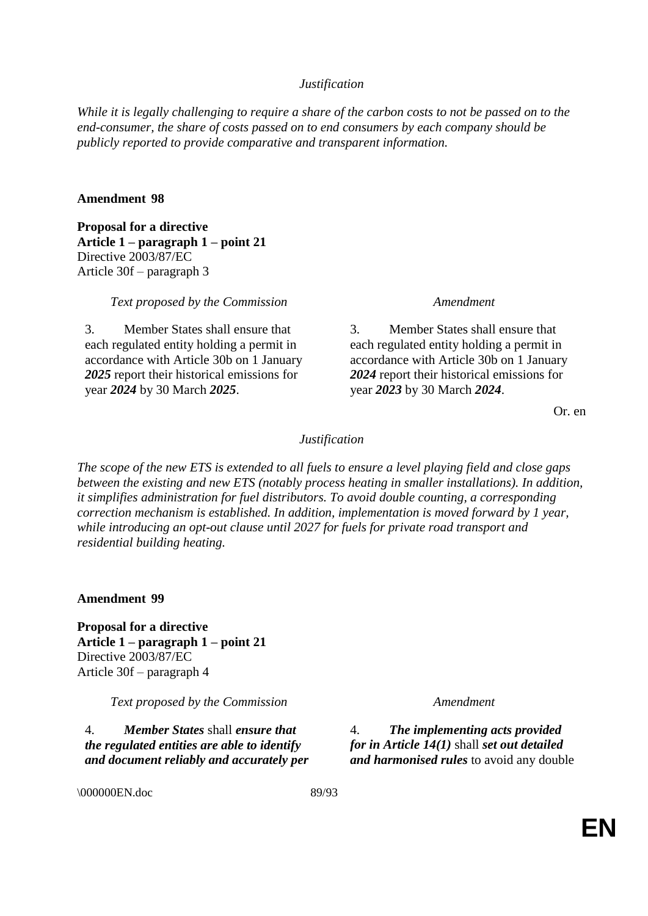# *Justification*

*While it is legally challenging to require a share of the carbon costs to not be passed on to the end-consumer, the share of costs passed on to end consumers by each company should be publicly reported to provide comparative and transparent information.*

### **Amendment 98**

**Proposal for a directive Article 1 – paragraph 1 – point 21** Directive 2003/87/EC Article 30f – paragraph 3

*Text proposed by the Commission Amendment*

3. Member States shall ensure that each regulated entity holding a permit in accordance with Article 30b on 1 January *2025* report their historical emissions for year *2024* by 30 March *2025*.

3. Member States shall ensure that each regulated entity holding a permit in accordance with Article 30b on 1 January *2024* report their historical emissions for year *2023* by 30 March *2024*.

Or. en

### *Justification*

*The scope of the new ETS is extended to all fuels to ensure a level playing field and close gaps between the existing and new ETS (notably process heating in smaller installations). In addition, it simplifies administration for fuel distributors. To avoid double counting, a corresponding correction mechanism is established. In addition, implementation is moved forward by 1 year, while introducing an opt-out clause until 2027 for fuels for private road transport and residential building heating.*

**Amendment 99**

**Proposal for a directive Article 1 – paragraph 1 – point 21** Directive 2003/87/EC Article 30f – paragraph 4

*Text proposed by the Commission Amendment*

4. *Member States* shall *ensure that the regulated entities are able to identify and document reliably and accurately per* 

4. *The implementing acts provided for in Article 14(1)* shall *set out detailed and harmonised rules* to avoid any double

\000000EN.doc 89/93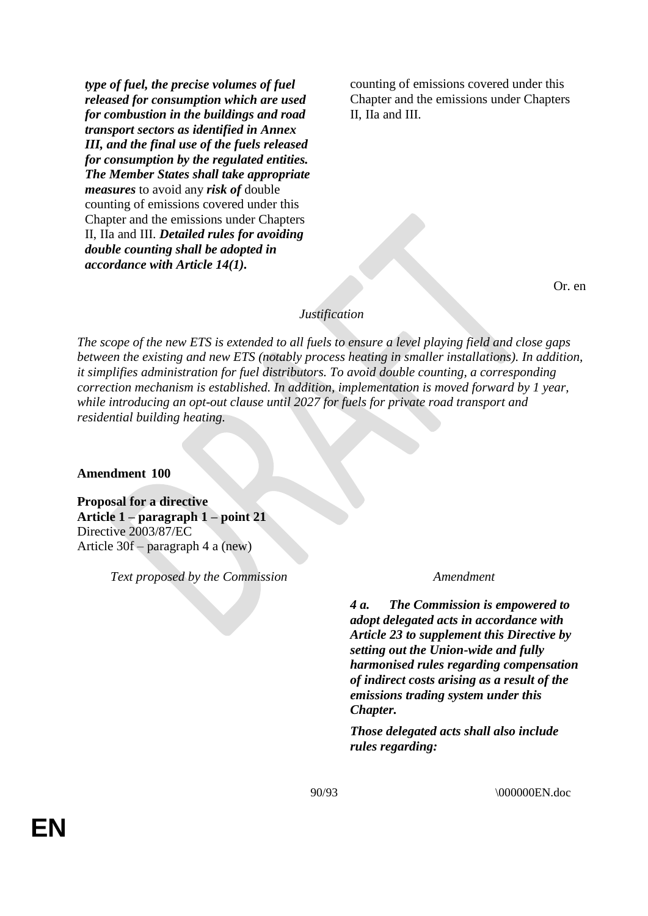*type of fuel, the precise volumes of fuel released for consumption which are used for combustion in the buildings and road transport sectors as identified in Annex III, and the final use of the fuels released for consumption by the regulated entities. The Member States shall take appropriate measures* to avoid any *risk of* double counting of emissions covered under this Chapter and the emissions under Chapters II, IIa and III. *Detailed rules for avoiding double counting shall be adopted in accordance with Article 14(1).*

counting of emissions covered under this Chapter and the emissions under Chapters II, IIa and III.

Or. en

### *Justification*

*The scope of the new ETS is extended to all fuels to ensure a level playing field and close gaps between the existing and new ETS (notably process heating in smaller installations). In addition, it simplifies administration for fuel distributors. To avoid double counting, a corresponding correction mechanism is established. In addition, implementation is moved forward by 1 year, while introducing an opt-out clause until 2027 for fuels for private road transport and residential building heating.*

**Amendment 100**

**Proposal for a directive Article 1 – paragraph 1 – point 21** Directive 2003/87/EC Article 30f – paragraph 4 a (new)

*Text proposed by the Commission Amendment*

*4 a. The Commission is empowered to adopt delegated acts in accordance with Article 23 to supplement this Directive by setting out the Union-wide and fully harmonised rules regarding compensation of indirect costs arising as a result of the emissions trading system under this Chapter.*

*Those delegated acts shall also include rules regarding:*

90/93 \000000EN.doc

**EN**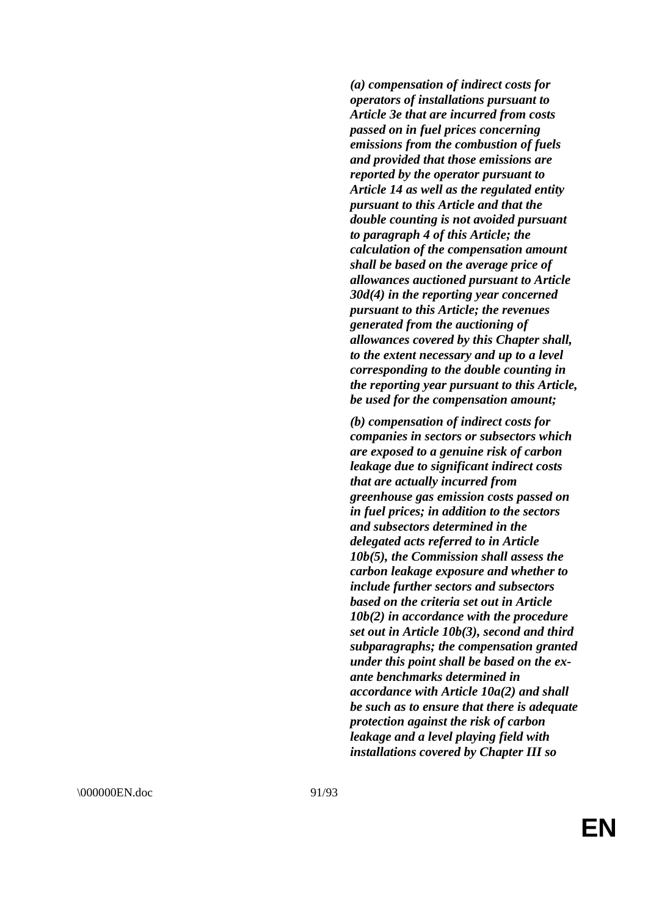*(a) compensation of indirect costs for operators of installations pursuant to Article 3e that are incurred from costs passed on in fuel prices concerning emissions from the combustion of fuels and provided that those emissions are reported by the operator pursuant to Article 14 as well as the regulated entity pursuant to this Article and that the double counting is not avoided pursuant to paragraph 4 of this Article; the calculation of the compensation amount shall be based on the average price of allowances auctioned pursuant to Article 30d(4) in the reporting year concerned pursuant to this Article; the revenues generated from the auctioning of allowances covered by this Chapter shall, to the extent necessary and up to a level corresponding to the double counting in the reporting year pursuant to this Article, be used for the compensation amount;*

*(b) compensation of indirect costs for companies in sectors or subsectors which are exposed to a genuine risk of carbon leakage due to significant indirect costs that are actually incurred from greenhouse gas emission costs passed on in fuel prices; in addition to the sectors and subsectors determined in the delegated acts referred to in Article 10b(5), the Commission shall assess the carbon leakage exposure and whether to include further sectors and subsectors based on the criteria set out in Article 10b(2) in accordance with the procedure set out in Article 10b(3), second and third subparagraphs; the compensation granted under this point shall be based on the ex ante benchmarks determined in accordance with Article 10a(2) and shall be such as to ensure that there is adequate protection against the risk of carbon leakage and a level playing field with installations covered by Chapter III so*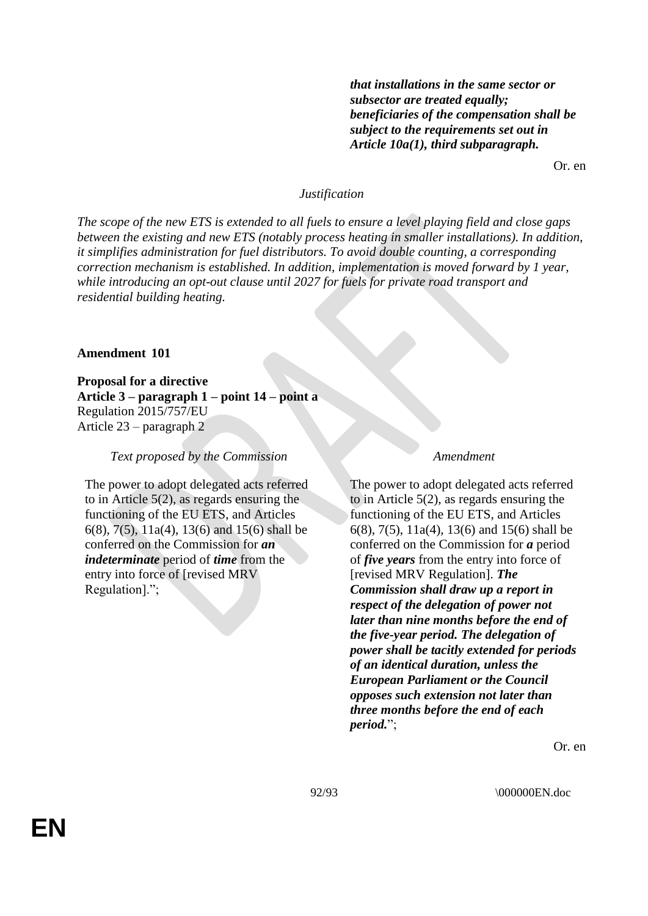*that installations in the same sector or subsector are treated equally; beneficiaries of the compensation shall be subject to the requirements set out in Article 10a(1), third subparagraph.*

Or. en

### *Justification*

*The scope of the new ETS is extended to all fuels to ensure a level playing field and close gaps between the existing and new ETS (notably process heating in smaller installations). In addition, it simplifies administration for fuel distributors. To avoid double counting, a corresponding correction mechanism is established. In addition, implementation is moved forward by 1 year, while introducing an opt-out clause until 2027 for fuels for private road transport and residential building heating.*

### **Amendment 101**

**Proposal for a directive Article 3 – paragraph 1 – point 14 – point a** Regulation 2015/757/EU Article 23 – paragraph 2

### *Text proposed by the Commission Amendment*

The power to adopt delegated acts referred to in Article 5(2), as regards ensuring the functioning of the EU ETS, and Articles 6(8), 7(5), 11a(4), 13(6) and 15(6) shall be conferred on the Commission for *an indeterminate* period of *time* from the entry into force of [revised MRV Regulation].";

The power to adopt delegated acts referred to in Article 5(2), as regards ensuring the functioning of the EU ETS, and Articles 6(8), 7(5), 11a(4), 13(6) and 15(6) shall be conferred on the Commission for *a* period of *five years* from the entry into force of [revised MRV Regulation]. *The Commission shall draw up a report in respect of the delegation of power not later than nine months before the end of the five-year period. The delegation of power shall be tacitly extended for periods of an identical duration, unless the European Parliament or the Council opposes such extension not later than three months before the end of each period.*";

Or. en